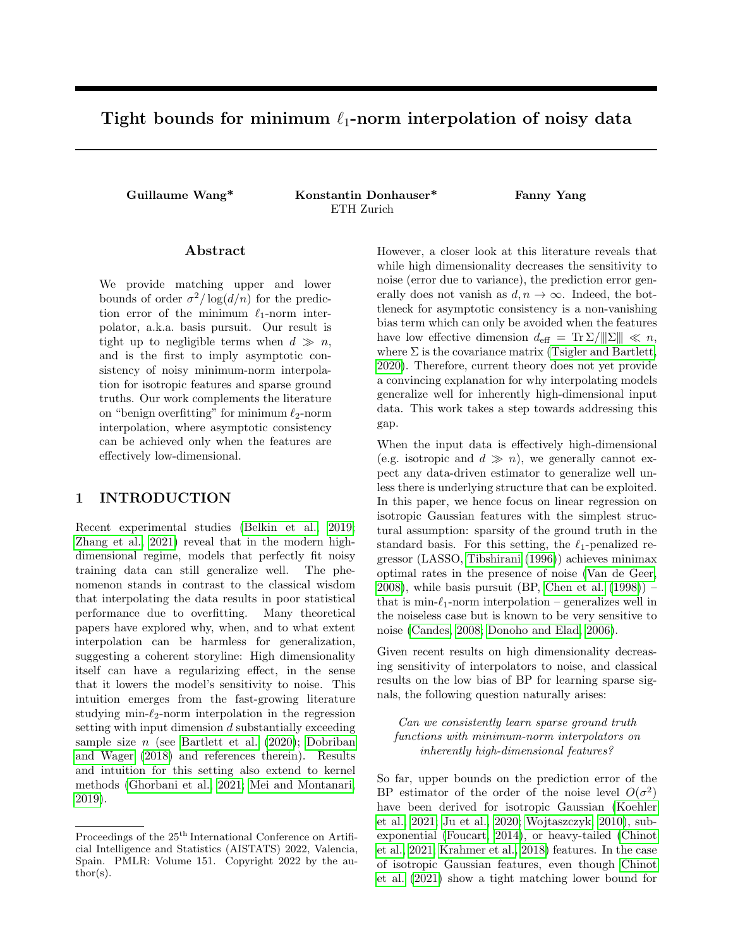# Tight bounds for minimum  $\ell_1$ -norm interpolation of noisy data

Guillaume Wang\* Konstantin Donhauser\* Fanny Yang ETH Zurich

# Abstract

We provide matching upper and lower bounds of order  $\sigma^2/\log(d/n)$  for the prediction error of the minimum  $\ell_1$ -norm interpolator, a.k.a. basis pursuit. Our result is tight up to negligible terms when  $d \gg n$ , and is the first to imply asymptotic consistency of noisy minimum-norm interpolation for isotropic features and sparse ground truths. Our work complements the literature on "benign overfitting" for minimum  $\ell_2$ -norm interpolation, where asymptotic consistency can be achieved only when the features are effectively low-dimensional.

# 1 INTRODUCTION

Recent experimental studies [\(Belkin et al., 2019;](#page-7-0) [Zhang et al., 2021\)](#page-8-0) reveal that in the modern highdimensional regime, models that perfectly fit noisy training data can still generalize well. The phenomenon stands in contrast to the classical wisdom that interpolating the data results in poor statistical performance due to overfitting. Many theoretical papers have explored why, when, and to what extent interpolation can be harmless for generalization, suggesting a coherent storyline: High dimensionality itself can have a regularizing effect, in the sense that it lowers the model's sensitivity to noise. This intuition emerges from the fast-growing literature studying min- $\ell_2$ -norm interpolation in the regression setting with input dimension d substantially exceeding sample size  $n$  (see [Bartlett et al. \(2020\)](#page-7-1); [Dobriban](#page-7-2) [and Wager \(2018\)](#page-7-2) and references therein). Results and intuition for this setting also extend to kernel methods [\(Ghorbani et al., 2021;](#page-7-3) [Mei and Montanari,](#page-7-4) [2019\)](#page-7-4).

However, a closer look at this literature reveals that while high dimensionality decreases the sensitivity to noise (error due to variance), the prediction error generally does not vanish as  $d, n \to \infty$ . Indeed, the bottleneck for asymptotic consistency is a non-vanishing bias term which can only be avoided when the features have low effective dimension  $d_{\text{eff}} = \text{Tr} \Sigma / ||\Sigma|| \ll n$ , where  $\Sigma$  is the covariance matrix [\(Tsigler and Bartlett,](#page-7-5) [2020\)](#page-7-5). Therefore, current theory does not yet provide a convincing explanation for why interpolating models generalize well for inherently high-dimensional input data. This work takes a step towards addressing this gap.

When the input data is effectively high-dimensional (e.g. isotropic and  $d \gg n$ ), we generally cannot expect any data-driven estimator to generalize well unless there is underlying structure that can be exploited. In this paper, we hence focus on linear regression on isotropic Gaussian features with the simplest structural assumption: sparsity of the ground truth in the standard basis. For this setting, the  $\ell_1$ -penalized regressor (LASSO, [Tibshirani \(1996\)](#page-7-6)) achieves minimax optimal rates in the presence of noise [\(Van de Geer,](#page-8-1)  $2008$ ), while basis pursuit (BP, Chen et al.  $(1998)$ ) – that is min- $\ell_1$ -norm interpolation – generalizes well in the noiseless case but is known to be very sensitive to noise [\(Candes, 2008;](#page-7-8) [Donoho and Elad, 2006\)](#page-7-9).

Given recent results on high dimensionality decreasing sensitivity of interpolators to noise, and classical results on the low bias of BP for learning sparse signals, the following question naturally arises:

Can we consistently learn sparse ground truth functions with minimum-norm interpolators on inherently high-dimensional features?

So far, upper bounds on the prediction error of the BP estimator of the order of the noise level  $O(\sigma^2)$ have been derived for isotropic Gaussian [\(Koehler](#page-7-10) [et al., 2021;](#page-7-10) [Ju et al., 2020;](#page-7-11) [Wojtaszczyk, 2010\)](#page-8-2), subexponential [\(Foucart, 2014\)](#page-7-12), or heavy-tailed [\(Chinot](#page-7-13) [et al., 2021;](#page-7-13) [Krahmer et al., 2018\)](#page-7-14) features. In the case of isotropic Gaussian features, even though [Chinot](#page-7-13) [et al. \(2021\)](#page-7-13) show a tight matching lower bound for

Proceedings of the  $25<sup>th</sup>$  International Conference on Artificial Intelligence and Statistics (AISTATS) 2022, Valencia, Spain. PMLR: Volume 151. Copyright 2022 by the au- $\text{thor}(s)$ .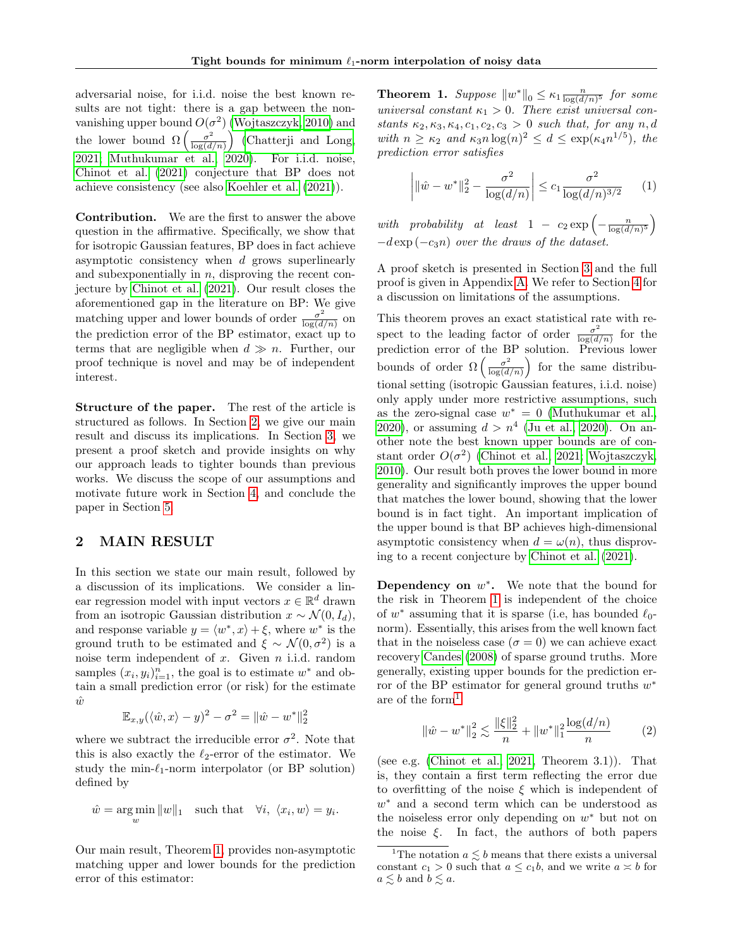adversarial noise, for i.i.d. noise the best known results are not tight: there is a gap between the nonvanishing upper bound  $O(\sigma^2)$  [\(Wojtaszczyk, 2010\)](#page-8-2) and the lower bound  $\Omega\left(\frac{\sigma^2}{\log(d)}\right)$  $\left(\frac{\sigma^2}{\log(d/n)}\right)$  [\(Chatterji and Long,](#page-7-15) [2021;](#page-7-15) [Muthukumar et al., 2020\)](#page-7-16). For i.i.d. noise, [Chinot et al. \(2021\)](#page-7-13) conjecture that BP does not achieve consistency (see also [Koehler et al. \(2021\)](#page-7-10)).

Contribution. We are the first to answer the above question in the affirmative. Specifically, we show that for isotropic Gaussian features, BP does in fact achieve asymptotic consistency when  $d$  grows superlinearly and subexponentially in  $n$ , disproving the recent conjecture by [Chinot et al. \(2021\)](#page-7-13). Our result closes the aforementioned gap in the literature on BP: We give matching upper and lower bounds of order  $\frac{\sigma^2}{\log(d)}$  $\frac{\sigma^2}{\log(d/n)}$  on the prediction error of the BP estimator, exact up to terms that are negligible when  $d \gg n$ . Further, our proof technique is novel and may be of independent interest.

Structure of the paper. The rest of the article is structured as follows. In Section [2,](#page-1-0) we give our main result and discuss its implications. In Section [3,](#page-2-0) we present a proof sketch and provide insights on why our approach leads to tighter bounds than previous works. We discuss the scope of our assumptions and motivate future work in Section [4,](#page-6-0) and conclude the paper in Section [5.](#page-6-1)

# <span id="page-1-0"></span>2 MAIN RESULT

In this section we state our main result, followed by a discussion of its implications. We consider a linear regression model with input vectors  $x \in \mathbb{R}^d$  drawn from an isotropic Gaussian distribution  $x \sim \mathcal{N}(0, I_d)$ , and response variable  $y = \langle w^*, x \rangle + \xi$ , where  $w^*$  is the ground truth to be estimated and  $\xi \sim \mathcal{N}(0, \sigma^2)$  is a noise term independent of  $x$ . Given  $n$  i.i.d. random samples  $(x_i, y_i)_{i=1}^n$ , the goal is to estimate  $w^*$  and obtain a small prediction error (or risk) for the estimate  $\hat{w}$ 

$$
\mathbb{E}_{x,y}(\langle \hat{w}, x \rangle - y)^2 - \sigma^2 = ||\hat{w} - w^*||_2^2
$$

where we subtract the irreducible error  $\sigma^2$ . Note that this is also exactly the  $\ell_2$ -error of the estimator. We study the min- $\ell_1$ -norm interpolator (or BP solution) defined by

$$
\hat{w} = \underset{w}{\arg\min} ||w||_1 \quad \text{such that} \quad \forall i, \ \langle x_i, w \rangle = y_i.
$$

Our main result, Theorem [1,](#page-1-1) provides non-asymptotic matching upper and lower bounds for the prediction error of this estimator:

<span id="page-1-1"></span>**Theorem 1.** Suppose  $||w^*||_0 \leq \kappa_1 \frac{n}{\log(d/n)^5}$  for some universal constant  $\kappa_1 > 0$ . There exist universal constants  $\kappa_2, \kappa_3, \kappa_4, c_1, c_2, c_3 > 0$  such that, for any  $n, d$ with  $n \geq \kappa_2$  and  $\kappa_3 n \log(n)^2 \leq d \leq \exp(\kappa_4 n^{1/5})$ , the prediction error satisfies

<span id="page-1-4"></span>
$$
\left| \|\hat{w} - w^*\|_2^2 - \frac{\sigma^2}{\log(d/n)} \right| \le c_1 \frac{\sigma^2}{\log(d/n)^{3/2}} \tag{1}
$$

with probability at least  $1 - c_2 \exp \left(-\frac{n}{\log(d/n)^5}\right)$  $-d \exp(-c_3 n)$  over the draws of the dataset.

A proof sketch is presented in Section [3](#page-2-0) and the full proof is given in Appendix [A.](#page-9-0) We refer to Section [4](#page-6-0) for a discussion on limitations of the assumptions.

This theorem proves an exact statistical rate with respect to the leading factor of order  $\frac{\sigma^2}{\log(d)}$  $\frac{\sigma^2}{\log(d/n)}$  for the prediction error of the BP solution. Previous lower bounds of order  $\Omega\left(\frac{\sigma^2}{\log(d)}\right)$  $\left(\frac{\sigma^2}{\log(d/n)}\right)$  for the same distributional setting (isotropic Gaussian features, i.i.d. noise) only apply under more restrictive assumptions, such as the zero-signal case  $w^* = 0$  [\(Muthukumar et al.,](#page-7-16) [2020\)](#page-7-16), or assuming  $d > n^4$  [\(Ju et al., 2020\)](#page-7-11). On another note the best known upper bounds are of constant order  $O(\sigma^2)$  [\(Chinot et al., 2021;](#page-7-13) [Wojtaszczyk,](#page-8-2) [2010\)](#page-8-2). Our result both proves the lower bound in more generality and significantly improves the upper bound that matches the lower bound, showing that the lower bound is in fact tight. An important implication of the upper bound is that BP achieves high-dimensional asymptotic consistency when  $d = \omega(n)$ , thus disproving to a recent conjecture by [Chinot et al. \(2021\)](#page-7-13).

Dependency on  $w^*$ . We note that the bound for the risk in Theorem [1](#page-1-1) is independent of the choice of  $w^*$  assuming that it is sparse (i.e, has bounded  $\ell_0$ norm). Essentially, this arises from the well known fact that in the noiseless case ( $\sigma = 0$ ) we can achieve exact recovery [Candes \(2008\)](#page-7-8) of sparse ground truths. More generally, existing upper bounds for the prediction error of the BP estimator for general ground truths  $w^*$ are of the form[1](#page-1-2)

<span id="page-1-3"></span>
$$
\|\hat{w} - w^*\|_2^2 \lesssim \frac{\|\xi\|_2^2}{n} + \|w^*\|_1^2 \frac{\log(d/n)}{n} \tag{2}
$$

(see e.g. [\(Chinot et al., 2021,](#page-7-13) Theorem 3.1)). That is, they contain a first term reflecting the error due to overfitting of the noise  $\xi$  which is independent of w <sup>∗</sup> and a second term which can be understood as the noiseless error only depending on  $w^*$  but not on the noise  $\xi$ . In fact, the authors of both papers

<span id="page-1-2"></span><sup>&</sup>lt;sup>1</sup>The notation  $a \leq b$  means that there exists a universal constant  $c_1 > 0$  such that  $a \leq c_1b$ , and we write  $a \approx b$  for  $a \lesssim b$  and  $b \lesssim a.$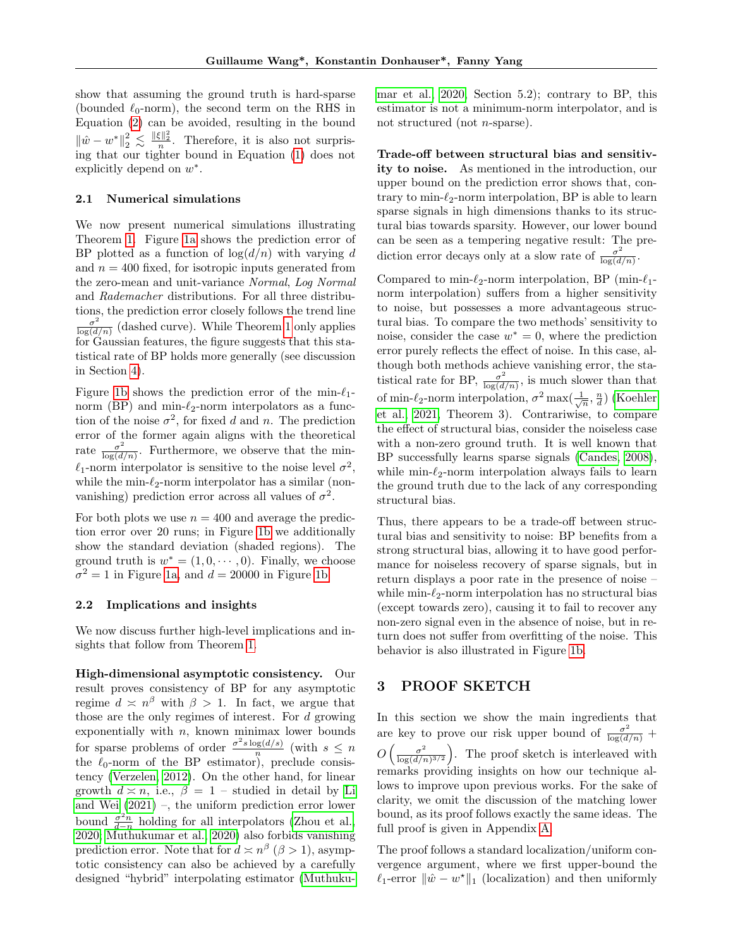show that assuming the ground truth is hard-sparse (bounded  $\ell_0$ -norm), the second term on the RHS in Equation [\(2\)](#page-1-3) can be avoided, resulting in the bound  $\|\hat{w} - w^*\|_2^2 \leq \frac{\|\xi\|_2^2}{n}$ . Therefore, it is also not surprising that our tighter bound in Equation [\(1\)](#page-1-4) does not explicitly depend on  $w^*$ .

# <span id="page-2-1"></span>2.1 Numerical simulations

We now present numerical simulations illustrating Theorem [1.](#page-1-1) Figure [1a](#page-3-0) shows the prediction error of BP plotted as a function of  $\log(d/n)$  with varying d and  $n = 400$  fixed, for isotropic inputs generated from the zero-mean and unit-variance Normal, Log Normal and Rademacher distributions. For all three distributions, the prediction error closely follows the trend line  $\sigma^2$  $\frac{\sigma^2}{\log(d/n)}$  (dashed curve). While Theorem [1](#page-1-1) only applies for Gaussian features, the figure suggests that this statistical rate of BP holds more generally (see discussion in Section [4\)](#page-6-0).

Figure [1b](#page-3-0) shows the prediction error of the min- $\ell_1$ norm (BP) and min- $\ell_2$ -norm interpolators as a function of the noise  $\sigma^2$ , for fixed d and n. The prediction error of the former again aligns with the theoretical rate  $\frac{\sigma^2}{\log(d)}$  $\frac{\sigma^2}{\log(d/n)}$ . Furthermore, we observe that the min- $\ell_1$ -norm interpolator is sensitive to the noise level  $\sigma^2$ , while the min- $\ell_2$ -norm interpolator has a similar (nonvanishing) prediction error across all values of  $\sigma^2$ .

For both plots we use  $n = 400$  and average the prediction error over 20 runs; in Figure [1b](#page-3-0) we additionally show the standard deviation (shaded regions). The ground truth is  $w^* = (1, 0, \dots, 0)$ . Finally, we choose  $\sigma^2 = 1$  in Figure [1a,](#page-3-0) and  $d = 20000$  in Figure [1b.](#page-3-0)

# 2.2 Implications and insights

We now discuss further high-level implications and insights that follow from Theorem [1.](#page-1-1)

High-dimensional asymptotic consistency. Our result proves consistency of BP for any asymptotic regime  $d \n\times n^{\beta}$  with  $\beta > 1$ . In fact, we argue that those are the only regimes of interest. For  $d$  growing exponentially with  $n$ , known minimax lower bounds for sparse problems of order  $\frac{\sigma^2 s \log(d/s)}{n}$  $\frac{\log(d/s)}{n}$  (with  $s \leq n$ the  $\ell_0$ -norm of the BP estimator), preclude consistency [\(Verzelen, 2012\)](#page-8-3). On the other hand, for linear growth  $d \simeq n$ , i.e.,  $\beta = 1$  – studied in detail by [Li](#page-7-17) [and Wei \(2021\)](#page-7-17) –, the uniform prediction error lower bound  $\frac{\sigma^2 n}{d-n}$  holding for all interpolators [\(Zhou et al.,](#page-8-4) [2020;](#page-8-4) [Muthukumar et al., 2020\)](#page-7-16) also forbids vanishing prediction error. Note that for  $d \simeq n^{\beta}$  ( $\beta > 1$ ), asymptotic consistency can also be achieved by a carefully designed "hybrid" interpolating estimator [\(Muthuku-](#page-7-16) [mar et al., 2020,](#page-7-16) Section 5.2); contrary to BP, this estimator is not a minimum-norm interpolator, and is not structured (not n-sparse).

Trade-off between structural bias and sensitivity to noise. As mentioned in the introduction, our upper bound on the prediction error shows that, contrary to min- $\ell_2$ -norm interpolation, BP is able to learn sparse signals in high dimensions thanks to its structural bias towards sparsity. However, our lower bound can be seen as a tempering negative result: The prediction error decays only at a slow rate of  $\frac{\sigma^2}{\log(d)}$  $\frac{\sigma^2}{\log(d/n)}$ .

Compared to min- $\ell_2$ -norm interpolation, BP (min- $\ell_1$ norm interpolation) suffers from a higher sensitivity to noise, but possesses a more advantageous structural bias. To compare the two methods' sensitivity to noise, consider the case  $w^* = 0$ , where the prediction error purely reflects the effect of noise. In this case, although both methods achieve vanishing error, the statistical rate for BP,  $\frac{\sigma^2}{\log(d)}$  $\frac{\sigma^2}{\log(d/n)}$ , is much slower than that of min- $\ell_2$ -norm interpolation,  $\sigma^2 \max(\frac{1}{\sqrt{n}}, \frac{n}{d})$  [\(Koehler](#page-7-10) [et al., 2021,](#page-7-10) Theorem 3). Contrariwise, to compare the effect of structural bias, consider the noiseless case with a non-zero ground truth. It is well known that BP successfully learns sparse signals [\(Candes, 2008\)](#page-7-8), while min- $\ell_2$ -norm interpolation always fails to learn the ground truth due to the lack of any corresponding structural bias.

Thus, there appears to be a trade-off between structural bias and sensitivity to noise: BP benefits from a strong structural bias, allowing it to have good performance for noiseless recovery of sparse signals, but in return displays a poor rate in the presence of noise – while min- $\ell_2$ -norm interpolation has no structural bias (except towards zero), causing it to fail to recover any non-zero signal even in the absence of noise, but in return does not suffer from overfitting of the noise. This behavior is also illustrated in Figure [1b.](#page-3-0)

# <span id="page-2-0"></span>3 PROOF SKETCH

In this section we show the main ingredients that are key to prove our risk upper bound of  $\frac{\sigma^2}{\log(d/n)}$  +  $O\left(\frac{\sigma^2}{\log(d/a)}\right)$  $\left(\frac{\sigma^2}{\log(d/n)^{3/2}}\right)$ . The proof sketch is interleaved with remarks providing insights on how our technique allows to improve upon previous works. For the sake of clarity, we omit the discussion of the matching lower bound, as its proof follows exactly the same ideas. The full proof is given in Appendix [A.](#page-9-0)

The proof follows a standard localization/uniform convergence argument, where we first upper-bound the  $\ell_1$ -error  $\|\hat{w} - w^*\|_1$  (localization) and then uniformly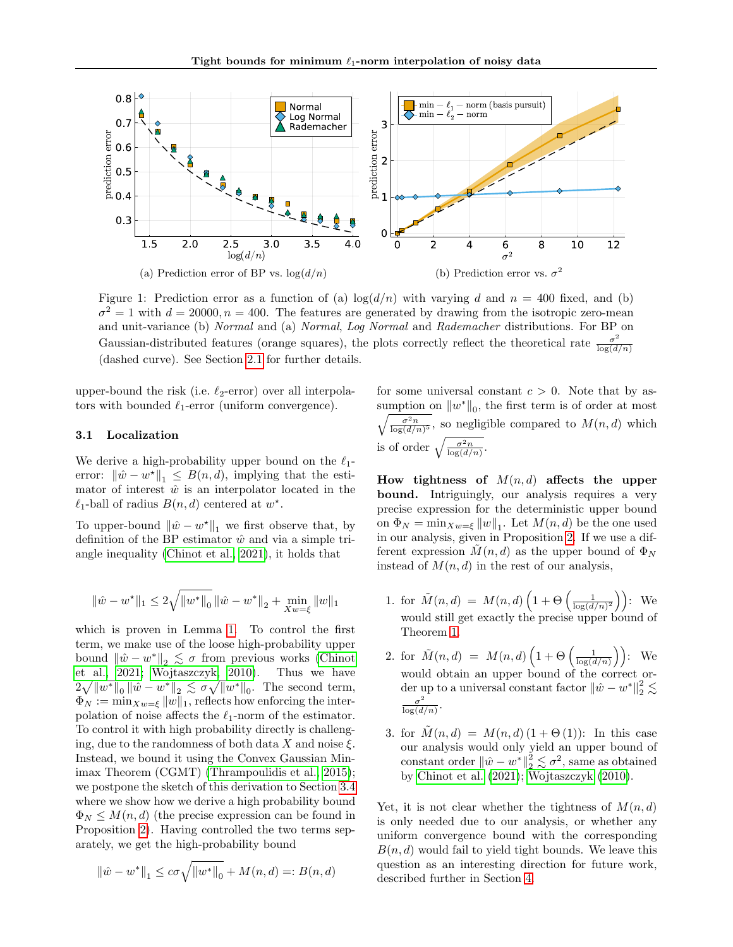<span id="page-3-0"></span>

Figure 1: Prediction error as a function of (a)  $\log(d/n)$  with varying d and n = 400 fixed, and (b)  $\sigma^2 = 1$  with  $d = 20000, n = 400$ . The features are generated by drawing from the isotropic zero-mean and unit-variance (b) Normal and (a) Normal, Log Normal and Rademacher distributions. For BP on Gaussian-distributed features (orange squares), the plots correctly reflect the theoretical rate  $\frac{\sigma^2}{\log(d)}$  $log(d/n)$ (dashed curve). See Section [2.1](#page-2-1) for further details.

upper-bound the risk (i.e.  $\ell_2$ -error) over all interpolators with bounded  $\ell_1$ -error (uniform convergence).

# <span id="page-3-1"></span>3.1 Localization

We derive a high-probability upper bound on the  $\ell_1$ error:  $\|\hat{w} - w^*\|_1 \leq B(n, d)$ , implying that the estimator of interest  $\hat{w}$  is an interpolator located in the  $\ell_1$ -ball of radius  $B(n, d)$  centered at  $w^*$ .

To upper-bound  $\|\hat{w} - w^*\|_1$  we first observe that, by definition of the BP estimator  $\hat{w}$  and via a simple triangle inequality [\(Chinot et al., 2021\)](#page-7-13), it holds that

$$
\|\hat{w} - w^\star\|_1 \leq 2\sqrt{\|w^\ast\|_0} \, \|\hat{w} - w^\star\|_2 + \min_{Xw = \xi} \|w\|_1
$$

which is proven in Lemma [1.](#page-10-0) To control the first term, we make use of the loose high-probability upper bound  $\|\hat{w} - w^*\|_2 \leq \sigma$  from previous works [\(Chinot](#page-7-13) [et al., 2021;](#page-7-13) [Wojtaszczyk, 2010\)](#page-8-2). Thus we have  $2\sqrt{\|w^*\|_0}\|\hat{w}-w^*\|_2 \lesssim \sigma\sqrt{\|w^*\|_0}$ . The second term,  $\Phi_N := \min_{X_w = \xi} ||w||_1$ , reflects how enforcing the interpolation of noise affects the  $\ell_1$ -norm of the estimator. To control it with high probability directly is challenging, due to the randomness of both data X and noise  $\xi$ . Instead, we bound it using the Convex Gaussian Minimax Theorem (CGMT) [\(Thrampoulidis et al., 2015\)](#page-7-18); we postpone the sketch of this derivation to Section [3.4](#page-5-0) where we show how we derive a high probability bound  $\Phi_N \leq M(n, d)$  (the precise expression can be found in Proposition [2\)](#page-11-0). Having controlled the two terms separately, we get the high-probability bound

$$
\|\hat{w} - w^*\|_1 \le c\sigma \sqrt{\|w^*\|_0} + M(n, d) =: B(n, d)
$$

for some universal constant  $c > 0$ . Note that by assumption on  $||w^*||_0$ , the first term is of order at most  $\sqrt{\frac{\sigma^2 n}{\log(d/n)^5}}$ , so negligible compared to  $M(n,d)$  which is of order  $\sqrt{\frac{\sigma^2 n}{\log(d/n)}}$ .

How tightness of  $M(n,d)$  affects the upper bound. Intriguingly, our analysis requires a very precise expression for the deterministic upper bound on  $\Phi_N = \min_{X_w = \xi} ||w||_1$ . Let  $M(n, d)$  be the one used in our analysis, given in Proposition [2.](#page-11-0) If we use a different expression  $M(n, d)$  as the upper bound of  $\Phi_N$ instead of  $M(n, d)$  in the rest of our analysis,

- 1. for  $\tilde{M}(n,d) = M(n,d) \left( 1 + \Theta \left( \frac{1}{\log(d/n)^2} \right) \right)$ : We would still get exactly the precise upper bound of Theorem [1.](#page-1-1)
- 2. for  $\tilde{M}(n,d) = M(n,d) \left(1 + \Theta \left(\frac{1}{\log(d/n)}\right)\right)$ : We would obtain an upper bound of the correct order up to a universal constant factor  $\|\hat{w} - w^*\|_2^2 \lesssim$  $\sigma^2$  $\frac{\sigma^2}{\log(d/n)}$ .
- 3. for  $M(n,d) = M(n,d) (1 + \Theta(1))$ : In this case our analysis would only yield an upper bound of constant order  $\|\hat{w} - w^*\|_2^2 \lesssim \sigma^2$ , same as obtained by [Chinot et al. \(2021\)](#page-7-13); [Wojtaszczyk \(2010\)](#page-8-2).

Yet, it is not clear whether the tightness of  $M(n, d)$ is only needed due to our analysis, or whether any uniform convergence bound with the corresponding  $B(n, d)$  would fail to yield tight bounds. We leave this question as an interesting direction for future work, described further in Section [4.](#page-6-0)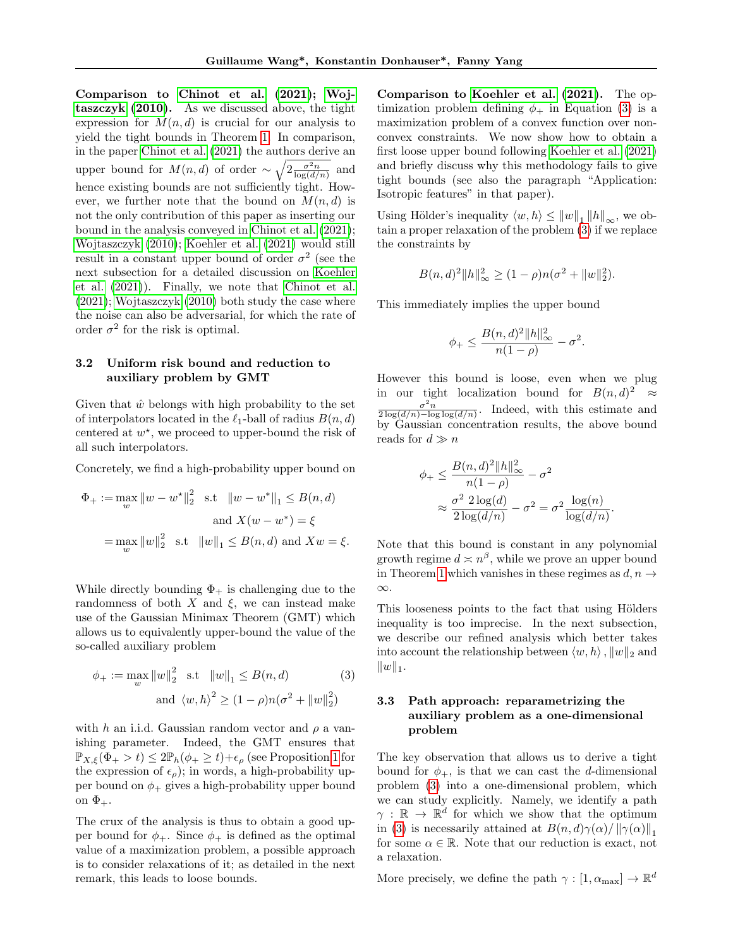Comparison to [Chinot et al.](#page-7-13) [\(2021\)](#page-7-13); [Woj](#page-8-2)[taszczyk](#page-8-2) [\(2010\)](#page-8-2). As we discussed above, the tight expression for  $M(n, d)$  is crucial for our analysis to yield the tight bounds in Theorem [1.](#page-1-1) In comparison, in the paper [Chinot et al. \(2021\)](#page-7-13) the authors derive an upper bound for  $M(n, d)$  of order  $\sim \sqrt{2 \frac{\sigma^2 n}{\log(d/n)}}$  and hence existing bounds are not sufficiently tight. However, we further note that the bound on  $M(n, d)$  is not the only contribution of this paper as inserting our bound in the analysis conveyed in [Chinot et al. \(2021\)](#page-7-13); [Wojtaszczyk \(2010\)](#page-8-2); [Koehler et al. \(2021\)](#page-7-10) would still result in a constant upper bound of order  $\sigma^2$  (see the next subsection for a detailed discussion on [Koehler](#page-7-10) [et al. \(2021\)](#page-7-10)). Finally, we note that [Chinot et al.](#page-7-13) [\(2021\)](#page-7-13); [Wojtaszczyk \(2010\)](#page-8-2) both study the case where the noise can also be adversarial, for which the rate of order  $\sigma^2$  for the risk is optimal.

# 3.2 Uniform risk bound and reduction to auxiliary problem by GMT

Given that  $\hat{w}$  belongs with high probability to the set of interpolators located in the  $\ell_1$ -ball of radius  $B(n, d)$ centered at  $w^*$ , we proceed to upper-bound the risk of all such interpolators.

Concretely, we find a high-probability upper bound on

$$
\Phi_{+} := \max_{w} \|w - w^{\star}\|_{2}^{2} \quad \text{s.t} \quad \|w - w^{\star}\|_{1} \leq B(n, d)
$$
\n
$$
\text{and } X(w - w^{\star}) = \xi
$$
\n
$$
= \max_{w} \|w\|_{2}^{2} \quad \text{s.t} \quad \|w\|_{1} \leq B(n, d) \text{ and } Xw = \xi.
$$

While directly bounding  $\Phi_+$  is challenging due to the randomness of both  $X$  and  $\xi$ , we can instead make use of the Gaussian Minimax Theorem (GMT) which allows us to equivalently upper-bound the value of the so-called auxiliary problem

$$
\phi_{+} := \max_{w} \|w\|_{2}^{2} \text{ s.t } \|w\|_{1} \le B(n, d)
$$
 (3)  
and  $\langle w, h \rangle^{2} \ge (1 - \rho) n(\sigma^{2} + \|w\|_{2}^{2})$ 

with h an i.i.d. Gaussian random vector and  $\rho$  a vanishing parameter. Indeed, the GMT ensures that  $\mathbb{P}_{X,\xi}(\Phi_+ > t) \leq 2\mathbb{P}_h(\phi_+ \geq t) + \epsilon_\rho$  (see Proposition [1](#page-10-1) for the expression of  $\epsilon_{\rho}$ ); in words, a high-probability upper bound on  $\phi_+$  gives a high-probability upper bound on  $\Phi_+$ .

The crux of the analysis is thus to obtain a good upper bound for  $\phi_+$ . Since  $\phi_+$  is defined as the optimal value of a maximization problem, a possible approach is to consider relaxations of it; as detailed in the next remark, this leads to loose bounds.

Comparison to [Koehler et al.](#page-7-10) [\(2021\)](#page-7-10). The optimization problem defining  $\phi_+$  in Equation [\(3\)](#page-4-0) is a maximization problem of a convex function over nonconvex constraints. We now show how to obtain a first loose upper bound following [Koehler et al. \(2021\)](#page-7-10) and briefly discuss why this methodology fails to give tight bounds (see also the paragraph "Application: Isotropic features" in that paper).

Using Hölder's inequality  $\langle w, h \rangle \leq ||w||_1 ||h||_{\infty}$ , we obtain a proper relaxation of the problem [\(3\)](#page-4-0) if we replace the constraints by

$$
B(n, d)^{2} ||h||_{\infty}^{2} \ge (1 - \rho)n(\sigma^{2} + ||w||_{2}^{2}).
$$

This immediately implies the upper bound

$$
\phi_+\leq \frac{B(n,d)^2\|h\|_\infty^2}{n(1-\rho)}-\sigma^2.
$$

However this bound is loose, even when we plug in our tight localization bound for  $B(n,d)^2 \approx$  $\frac{\sigma^2 n}{2 \log(d/n) - \log \log(d/n)}$ . Indeed, with this estimate and by Gaussian concentration results, the above bound reads for  $d \gg n$ 

$$
\phi_+ \leq \frac{B(n, d)^2 ||h||_{\infty}^2}{n(1 - \rho)} - \sigma^2
$$

$$
\approx \frac{\sigma^2 2 \log(d)}{2 \log(d/n)} - \sigma^2 = \sigma^2 \frac{\log(n)}{\log(d/n)}.
$$

Note that this bound is constant in any polynomial growth regime  $d \simeq n^{\beta}$ , while we prove an upper bound in Theorem [1](#page-1-1) which vanishes in these regimes as  $d, n \rightarrow$ ∞.

This looseness points to the fact that using Hölders inequality is too imprecise. In the next subsection, we describe our refined analysis which better takes into account the relationship between  $\langle w, h \rangle$ ,  $||w||_2$  and  $||w||_1.$ 

# <span id="page-4-0"></span>3.3 Path approach: reparametrizing the auxiliary problem as a one-dimensional problem

The key observation that allows us to derive a tight bound for  $\phi_+$ , is that we can cast the d-dimensional problem [\(3\)](#page-4-0) into a one-dimensional problem, which we can study explicitly. Namely, we identify a path  $\gamma : \mathbb{R} \to \mathbb{R}^d$  for which we show that the optimum in [\(3\)](#page-4-0) is necessarily attained at  $B(n, d)\gamma(\alpha)/\|\gamma(\alpha)\|_1$ for some  $\alpha \in \mathbb{R}$ . Note that our reduction is exact, not a relaxation.

More precisely, we define the path  $\gamma : [1, \alpha_{\text{max}}] \to \mathbb{R}^d$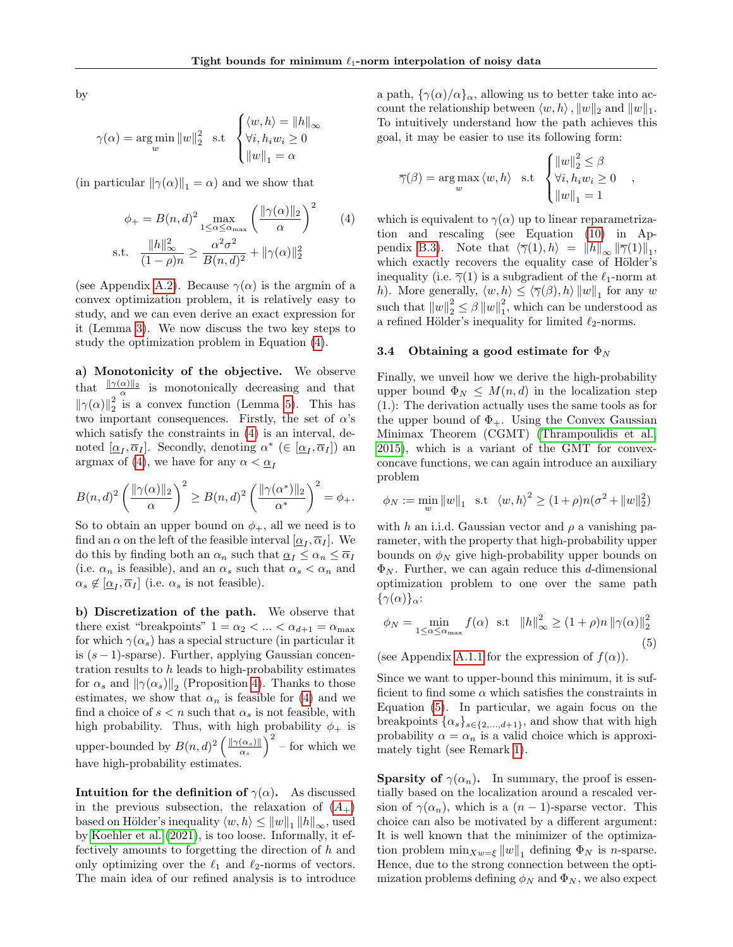by

$$
\gamma(\alpha) = \underset{w}{\arg\min} \|w\|_2^2 \quad \text{s.t} \quad \begin{cases} \langle w, h \rangle = \|h\|_{\infty} \\ \forall i, h_i w_i \ge 0 \\ \|w\|_1 = \alpha \end{cases}
$$

(in particular  $\|\gamma(\alpha)\|_1 = \alpha$ ) and we show that

$$
\phi_{+} = B(n, d)^{2} \max_{1 \leq \alpha \leq \alpha_{\text{max}}} \left( \frac{\|\gamma(\alpha)\|_{2}}{\alpha} \right)^{2} \qquad (4)
$$
  
s.t. 
$$
\frac{\|h\|_{\infty}^{2}}{(1 - \rho)n} \geq \frac{\alpha^{2} \sigma^{2}}{B(n, d)^{2}} + \|\gamma(\alpha)\|_{2}^{2}
$$

(see Appendix [A.2\)](#page-11-1). Because  $\gamma(\alpha)$  is the argmin of a convex optimization problem, it is relatively easy to study, and we can even derive an exact expression for it (Lemma [3\)](#page-13-0). We now discuss the two key steps to study the optimization problem in Equation [\(4\)](#page-5-1).

a) Monotonicity of the objective. We observe that  $\frac{\|\gamma(\alpha)\|_2}{\alpha}$  is monotonically decreasing and that  $\left\|\gamma(\alpha)\right\|_2^2$  is a convex function (Lemma [5\)](#page-15-0). This has two important consequences. Firstly, the set of  $\alpha$ 's which satisfy the constraints in [\(4\)](#page-5-1) is an interval, denoted  $[\underline{\alpha}_I, \overline{\alpha}_I]$ . Secondly, denoting  $\alpha^*$  ( $\in [\underline{\alpha}_I, \overline{\alpha}_I]$ ) an argmax of [\(4\)](#page-5-1), we have for any  $\alpha < \alpha_I$ 

$$
B(n,d)^2 \left( \frac{\|\gamma(\alpha)\|_2}{\alpha} \right)^2 \ge B(n,d)^2 \left( \frac{\|\gamma(\alpha^*)\|_2}{\alpha^*} \right)^2 = \phi_+.
$$

So to obtain an upper bound on  $\phi_+$ , all we need is to find an  $\alpha$  on the left of the feasible interval  $[\underline{\alpha}_I, \overline{\alpha}_I]$ . We do this by finding both an  $\alpha_n$  such that  $\underline{\alpha}_I \leq \alpha_n \leq \overline{\alpha}_I$ (i.e.  $\alpha_n$  is feasible), and an  $\alpha_s$  such that  $\alpha_s < \alpha_n$  and  $\alpha_s \notin [\underline{\alpha}_I, \overline{\alpha}_I]$  (i.e.  $\alpha_s$  is not feasible).

b) Discretization of the path. We observe that there exist "breakpoints"  $1 = \alpha_2 < ... < \alpha_{d+1} = \alpha_{\text{max}}$ for which  $\gamma(\alpha_s)$  has a special structure (in particular it is  $(s-1)$ -sparse). Further, applying Gaussian concentration results to  $h$  leads to high-probability estimates for  $\alpha_s$  and  $\|\gamma(\alpha_s)\|_2$  (Proposition [4\)](#page-13-1). Thanks to those estimates, we show that  $\alpha_n$  is feasible for [\(4\)](#page-5-1) and we find a choice of  $s < n$  such that  $\alpha_s$  is not feasible, with high probability. Thus, with high probability  $\phi_+$  is upper-bounded by  $B(n,d)^2 \left( \frac{\|\gamma(\alpha_s)\|}{\alpha_s} \right)$  $\frac{(\alpha_s) \parallel}{\alpha_s}$   $\Big)^2$  – for which we have high-probability estimates.

Intuition for the definition of  $\gamma(\alpha)$ . As discussed in the previous subsection, the relaxation of  $(A<sub>+</sub>)$  $(A<sub>+</sub>)$  $(A<sub>+</sub>)$ based on Hölder's inequality  $\langle w, h \rangle \leq ||w||_1 ||h||_{\infty}$ , used by [Koehler et al. \(2021\)](#page-7-10), is too loose. Informally, it effectively amounts to forgetting the direction of h and only optimizing over the  $\ell_1$  and  $\ell_2$ -norms of vectors. The main idea of our refined analysis is to introduce a path,  $\{\gamma(\alpha)/\alpha\}_\alpha$ , allowing us to better take into account the relationship between  $\langle w, h \rangle$ ,  $||w||_2$  and  $||w||_1$ . To intuitively understand how the path achieves this goal, it may be easier to use its following form:

$$
\overline{\gamma}(\beta) = \underset{w}{\arg \max} \langle w, h \rangle \text{ s.t } \begin{cases} ||w||_2^2 \leq \beta \\ \forall i, h_i w_i \geq 0 \\ ||w||_1 = 1 \end{cases},
$$

<span id="page-5-1"></span>which is equivalent to  $\gamma(\alpha)$  up to linear reparametrization and rescaling (see Equation [\(10\)](#page-18-0) in Ap-pendix [B.3\)](#page-18-1). Note that  $\langle \overline{\gamma}(1), h \rangle = ||h||_{\infty} ||\overline{\gamma}(1)||_1$ , which exactly recovers the equality case of Hölder's inequality (i.e.  $\overline{\gamma}(1)$  is a subgradient of the  $\ell_1$ -norm at h). More generally,  $\langle w, h \rangle \leq \langle \overline{\gamma}(\beta), h \rangle ||w||_1$  for any w such that  $||w||_2^2 \leq \beta ||w||_1^2$ , which can be understood as a refined Hölder's inequality for limited  $\ell_2\text{-norms.}$ 

#### <span id="page-5-0"></span>3.4 Obtaining a good estimate for  $\Phi_N$

Finally, we unveil how we derive the high-probability upper bound  $\Phi_N \leq M(n,d)$  in the localization step (1.): The derivation actually uses the same tools as for the upper bound of  $\Phi_+$ . Using the Convex Gaussian Minimax Theorem (CGMT) [\(Thrampoulidis et al.,](#page-7-18) [2015\)](#page-7-18), which is a variant of the GMT for convexconcave functions, we can again introduce an auxiliary problem

$$
\phi_N := \min_w \|w\|_1 \text{ s.t } \langle w, h \rangle^2 \ge (1+\rho)n(\sigma^2 + \|w\|_2^2)
$$

with h an i.i.d. Gaussian vector and  $\rho$  a vanishing parameter, with the property that high-probability upper bounds on  $\phi_N$  give high-probability upper bounds on  $\Phi_N$ . Further, we can again reduce this d-dimensional optimization problem to one over the same path  $\{\gamma(\alpha)\}_\alpha$ :

<span id="page-5-2"></span>
$$
\phi_N = \min_{1 \le \alpha \le \alpha_{\text{max}}} f(\alpha) \quad \text{s.t} \quad \|h\|_{\infty}^2 \ge (1+\rho)n \|\gamma(\alpha)\|_2^2 \tag{5}
$$

(see Appendix [A.1.1](#page-10-3) for the expression of  $f(\alpha)$ ).

Since we want to upper-bound this minimum, it is sufficient to find some  $\alpha$  which satisfies the constraints in Equation [\(5\)](#page-5-2). In particular, we again focus on the breakpoints  $\{\alpha_s\}_{s\in\{2,\ldots,d+1\}}$ , and show that with high probability  $\alpha = \alpha_n$  is a valid choice which is approximately tight (see Remark [1\)](#page-14-0).

**Sparsity of**  $\gamma(\alpha_n)$ . In summary, the proof is essentially based on the localization around a rescaled version of  $\gamma(\alpha_n)$ , which is a  $(n-1)$ -sparse vector. This choice can also be motivated by a different argument: It is well known that the minimizer of the optimization problem  $\min_{X_w=\xi} ||w||_1$  defining  $\Phi_N$  is *n*-sparse. Hence, due to the strong connection between the optimization problems defining  $\phi_N$  and  $\Phi_N$ , we also expect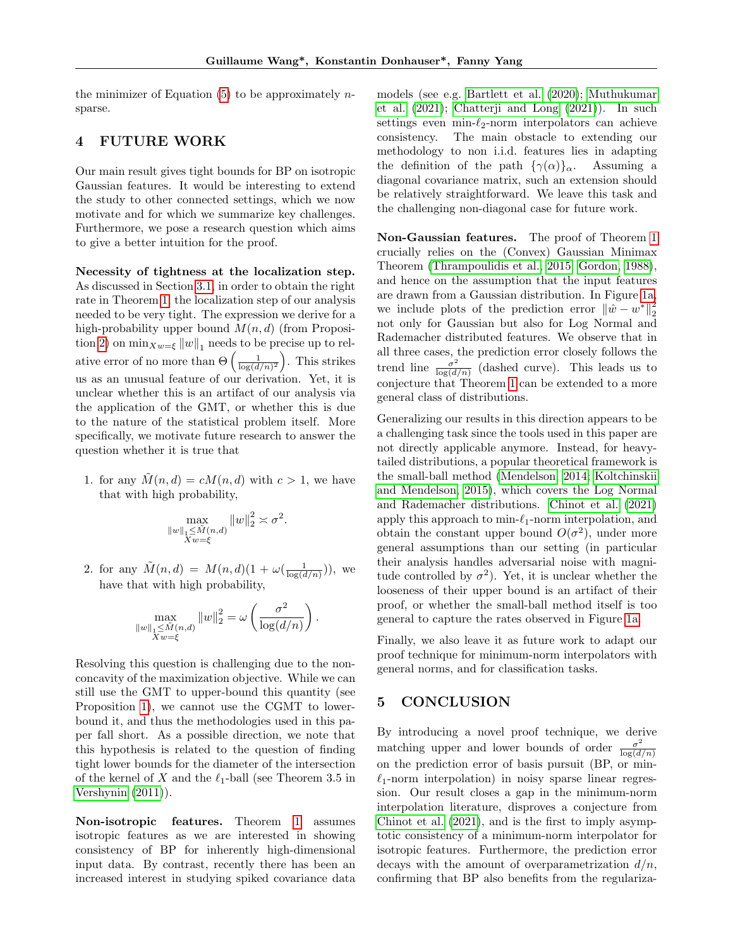the minimizer of Equation  $(5)$  to be approximately *n*sparse.

# <span id="page-6-0"></span>4 FUTURE WORK

Our main result gives tight bounds for BP on isotropic Gaussian features. It would be interesting to extend the study to other connected settings, which we now motivate and for which we summarize key challenges. Furthermore, we pose a research question which aims to give a better intuition for the proof.

Necessity of tightness at the localization step. As discussed in Section [3.1,](#page-3-1) in order to obtain the right rate in Theorem [1,](#page-1-1) the localization step of our analysis needed to be very tight. The expression we derive for a high-probability upper bound  $M(n, d)$  (from Proposi-tion [2\)](#page-11-0) on  $\min_{X_w=\xi} ||w||_1$  needs to be precise up to relative error of no more than  $\Theta\left(\frac{1}{\log(d/n)^2}\right)$ . This strikes us as an unusual feature of our derivation. Yet, it is unclear whether this is an artifact of our analysis via the application of the GMT, or whether this is due to the nature of the statistical problem itself. More specifically, we motivate future research to answer the question whether it is true that

1. for any  $M(n, d) = cM(n, d)$  with  $c > 1$ , we have that with high probability,

$$
\max_{\substack{\|w\|_1 \leq \tilde{M}(n,d) \\ Xw=\xi}} \|w\|_2^2 \asymp \sigma^2
$$

.

.

2. for any  $\tilde{M}(n,d) = M(n,d)(1 + \omega(\frac{1}{\log(d/n)}))$ , we have that with high probability,

$$
\max_{\substack{\|w\|_1 \le \tilde{M}(n,d) \\ Xw = \xi}} \|w\|_2^2 = \omega \left(\frac{\sigma^2}{\log(d/n)}\right)
$$

Resolving this question is challenging due to the nonconcavity of the maximization objective. While we can still use the GMT to upper-bound this quantity (see Proposition [1\)](#page-10-1), we cannot use the CGMT to lowerbound it, and thus the methodologies used in this paper fall short. As a possible direction, we note that this hypothesis is related to the question of finding tight lower bounds for the diameter of the intersection of the kernel of X and the  $\ell_1$ -ball (see Theorem 3.5 in [Vershynin \(2011\)](#page-8-5)).

Non-isotropic features. Theorem [1](#page-1-1) assumes isotropic features as we are interested in showing consistency of BP for inherently high-dimensional input data. By contrast, recently there has been an increased interest in studying spiked covariance data models (see e.g. [Bartlett et al. \(2020\)](#page-7-1); [Muthukumar](#page-7-19) [et al. \(2021\)](#page-7-19); [Chatterji and Long \(2021\)](#page-7-15)). In such settings even min- $\ell_2$ -norm interpolators can achieve consistency. The main obstacle to extending our methodology to non i.i.d. features lies in adapting the definition of the path  $\{\gamma(\alpha)\}_\alpha$ . Assuming a diagonal covariance matrix, such an extension should be relatively straightforward. We leave this task and the challenging non-diagonal case for future work.

Non-Gaussian features. The proof of Theorem [1](#page-1-1) crucially relies on the (Convex) Gaussian Minimax Theorem [\(Thrampoulidis et al., 2015;](#page-7-18) [Gordon, 1988\)](#page-7-20), and hence on the assumption that the input features are drawn from a Gaussian distribution. In Figure [1a,](#page-3-0) we include plots of the prediction error  $\|\hat{w} - w^*\|_2^2$ not only for Gaussian but also for Log Normal and Rademacher distributed features. We observe that in all three cases, the prediction error closely follows the trend line  $\frac{\sigma^2}{\log(d)}$  $\frac{\sigma^2}{\log(d/n)}$  (dashed curve). This leads us to conjecture that Theorem [1](#page-1-1) can be extended to a more general class of distributions.

Generalizing our results in this direction appears to be a challenging task since the tools used in this paper are not directly applicable anymore. Instead, for heavytailed distributions, a popular theoretical framework is the small-ball method [\(Mendelson, 2014;](#page-7-21) [Koltchinskii](#page-7-22) [and Mendelson, 2015\)](#page-7-22), which covers the Log Normal and Rademacher distributions. [Chinot et al. \(2021\)](#page-7-13) apply this approach to  $\min_{\ell_1}$ -norm interpolation, and obtain the constant upper bound  $O(\sigma^2)$ , under more general assumptions than our setting (in particular their analysis handles adversarial noise with magnitude controlled by  $\sigma^2$ ). Yet, it is unclear whether the looseness of their upper bound is an artifact of their proof, or whether the small-ball method itself is too general to capture the rates observed in Figure [1a.](#page-3-0)

Finally, we also leave it as future work to adapt our proof technique for minimum-norm interpolators with general norms, and for classification tasks.

# <span id="page-6-1"></span>5 CONCLUSION

By introducing a novel proof technique, we derive matching upper and lower bounds of order  $\frac{\sigma^2}{\log(d)}$  $log(d/n)$ on the prediction error of basis pursuit (BP, or min-  $\ell_1$ -norm interpolation) in noisy sparse linear regression. Our result closes a gap in the minimum-norm interpolation literature, disproves a conjecture from [Chinot et al. \(2021\)](#page-7-13), and is the first to imply asymptotic consistency of a minimum-norm interpolator for isotropic features. Furthermore, the prediction error decays with the amount of overparametrization  $d/n$ , confirming that BP also benefits from the regulariza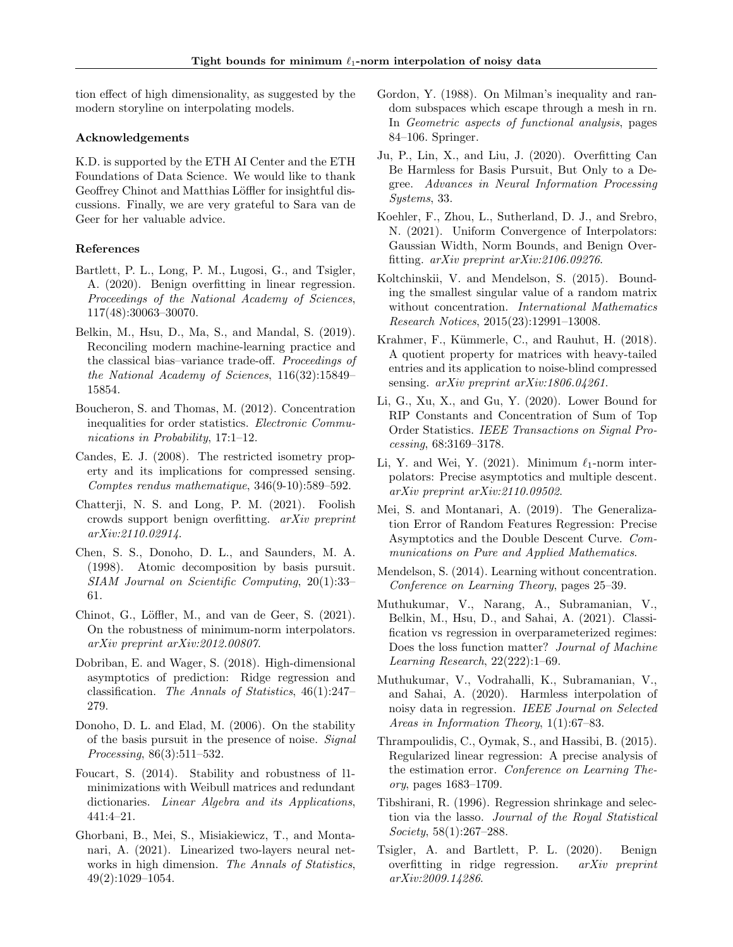tion effect of high dimensionality, as suggested by the modern storyline on interpolating models.

#### Acknowledgements

K.D. is supported by the ETH AI Center and the ETH Foundations of Data Science. We would like to thank Geoffrey Chinot and Matthias Löffler for insightful discussions. Finally, we are very grateful to Sara van de Geer for her valuable advice.

# References

- <span id="page-7-1"></span>Bartlett, P. L., Long, P. M., Lugosi, G., and Tsigler, A. (2020). Benign overfitting in linear regression. Proceedings of the National Academy of Sciences, 117(48):30063–30070.
- <span id="page-7-0"></span>Belkin, M., Hsu, D., Ma, S., and Mandal, S. (2019). Reconciling modern machine-learning practice and the classical bias–variance trade-off. Proceedings of the National Academy of Sciences, 116(32):15849– 15854.
- <span id="page-7-23"></span>Boucheron, S. and Thomas, M. (2012). Concentration inequalities for order statistics. Electronic Communications in Probability, 17:1–12.
- <span id="page-7-8"></span>Candes, E. J. (2008). The restricted isometry property and its implications for compressed sensing. Comptes rendus mathematique, 346(9-10):589–592.
- <span id="page-7-15"></span>Chatterji, N. S. and Long, P. M. (2021). Foolish crowds support benign overfitting. arXiv preprint arXiv:2110.02914.
- <span id="page-7-7"></span>Chen, S. S., Donoho, D. L., and Saunders, M. A. (1998). Atomic decomposition by basis pursuit. SIAM Journal on Scientific Computing, 20(1):33– 61.
- <span id="page-7-13"></span>Chinot, G., Löffler, M., and van de Geer, S. (2021). On the robustness of minimum-norm interpolators. arXiv preprint arXiv:2012.00807.
- <span id="page-7-2"></span>Dobriban, E. and Wager, S. (2018). High-dimensional asymptotics of prediction: Ridge regression and classification. The Annals of Statistics, 46(1):247– 279.
- <span id="page-7-9"></span>Donoho, D. L. and Elad, M. (2006). On the stability of the basis pursuit in the presence of noise. Signal Processing, 86(3):511–532.
- <span id="page-7-12"></span>Foucart, S. (2014). Stability and robustness of l1 minimizations with Weibull matrices and redundant dictionaries. Linear Algebra and its Applications, 441:4–21.
- <span id="page-7-3"></span>Ghorbani, B., Mei, S., Misiakiewicz, T., and Montanari, A. (2021). Linearized two-layers neural networks in high dimension. The Annals of Statistics, 49(2):1029–1054.
- <span id="page-7-20"></span>Gordon, Y. (1988). On Milman's inequality and random subspaces which escape through a mesh in rn. In Geometric aspects of functional analysis, pages 84–106. Springer.
- <span id="page-7-11"></span>Ju, P., Lin, X., and Liu, J. (2020). Overfitting Can Be Harmless for Basis Pursuit, But Only to a Degree. Advances in Neural Information Processing Systems, 33.
- <span id="page-7-10"></span>Koehler, F., Zhou, L., Sutherland, D. J., and Srebro, N. (2021). Uniform Convergence of Interpolators: Gaussian Width, Norm Bounds, and Benign Overfitting. arXiv preprint arXiv:2106.09276.
- <span id="page-7-22"></span>Koltchinskii, V. and Mendelson, S. (2015). Bounding the smallest singular value of a random matrix without concentration. International Mathematics Research Notices, 2015(23):12991–13008.
- <span id="page-7-14"></span>Krahmer, F., Kümmerle, C., and Rauhut, H. (2018). A quotient property for matrices with heavy-tailed entries and its application to noise-blind compressed sensing. arXiv preprint arXiv:1806.04261.
- <span id="page-7-24"></span>Li, G., Xu, X., and Gu, Y. (2020). Lower Bound for RIP Constants and Concentration of Sum of Top Order Statistics. IEEE Transactions on Signal Processing, 68:3169–3178.
- <span id="page-7-17"></span>Li, Y. and Wei, Y. (2021). Minimum  $\ell_1$ -norm interpolators: Precise asymptotics and multiple descent. arXiv preprint arXiv:2110.09502.
- <span id="page-7-4"></span>Mei, S. and Montanari, A. (2019). The Generalization Error of Random Features Regression: Precise Asymptotics and the Double Descent Curve. Communications on Pure and Applied Mathematics.
- <span id="page-7-21"></span>Mendelson, S. (2014). Learning without concentration. Conference on Learning Theory, pages 25–39.
- <span id="page-7-19"></span>Muthukumar, V., Narang, A., Subramanian, V., Belkin, M., Hsu, D., and Sahai, A. (2021). Classification vs regression in overparameterized regimes: Does the loss function matter? Journal of Machine Learning Research, 22(222):1–69.
- <span id="page-7-16"></span>Muthukumar, V., Vodrahalli, K., Subramanian, V., and Sahai, A. (2020). Harmless interpolation of noisy data in regression. IEEE Journal on Selected Areas in Information Theory, 1(1):67–83.
- <span id="page-7-18"></span>Thrampoulidis, C., Oymak, S., and Hassibi, B. (2015). Regularized linear regression: A precise analysis of the estimation error. Conference on Learning Theory, pages 1683–1709.
- <span id="page-7-6"></span>Tibshirani, R. (1996). Regression shrinkage and selection via the lasso. Journal of the Royal Statistical Society, 58(1):267–288.
- <span id="page-7-5"></span>Tsigler, A. and Bartlett, P. L. (2020). Benign overfitting in ridge regression. arXiv preprint arXiv:2009.14286.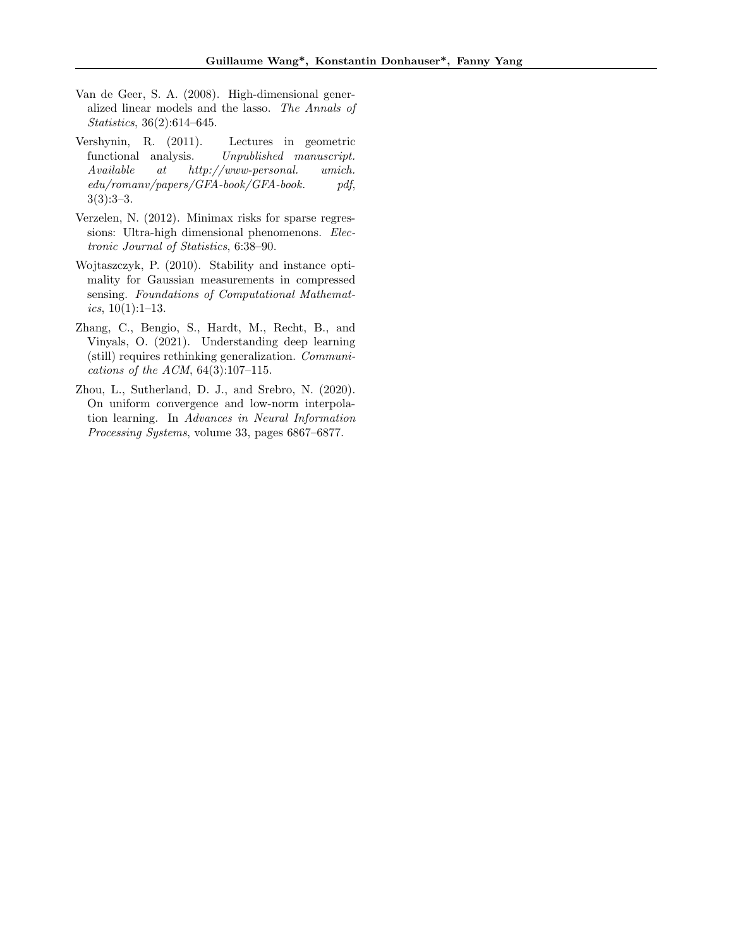- <span id="page-8-1"></span>Van de Geer, S. A. (2008). High-dimensional generalized linear models and the lasso. The Annals of Statistics, 36(2):614–645.
- <span id="page-8-5"></span>Vershynin, R. (2011). Lectures in geometric functional analysis. Unpublished manuscript. Available at http://www-personal. umich. edu/romanv/papers/GFA-book/GFA-book. pdf,  $3(3):3-3.$
- <span id="page-8-3"></span>Verzelen, N. (2012). Minimax risks for sparse regressions: Ultra-high dimensional phenomenons. Electronic Journal of Statistics, 6:38–90.
- <span id="page-8-2"></span>Wojtaszczyk, P. (2010). Stability and instance optimality for Gaussian measurements in compressed sensing. Foundations of Computational Mathematics,  $10(1):1-13$ .
- <span id="page-8-0"></span>Zhang, C., Bengio, S., Hardt, M., Recht, B., and Vinyals, O. (2021). Understanding deep learning (still) requires rethinking generalization. Communications of the ACM, 64(3):107–115.
- <span id="page-8-4"></span>Zhou, L., Sutherland, D. J., and Srebro, N. (2020). On uniform convergence and low-norm interpolation learning. In Advances in Neural Information Processing Systems, volume 33, pages 6867–6877.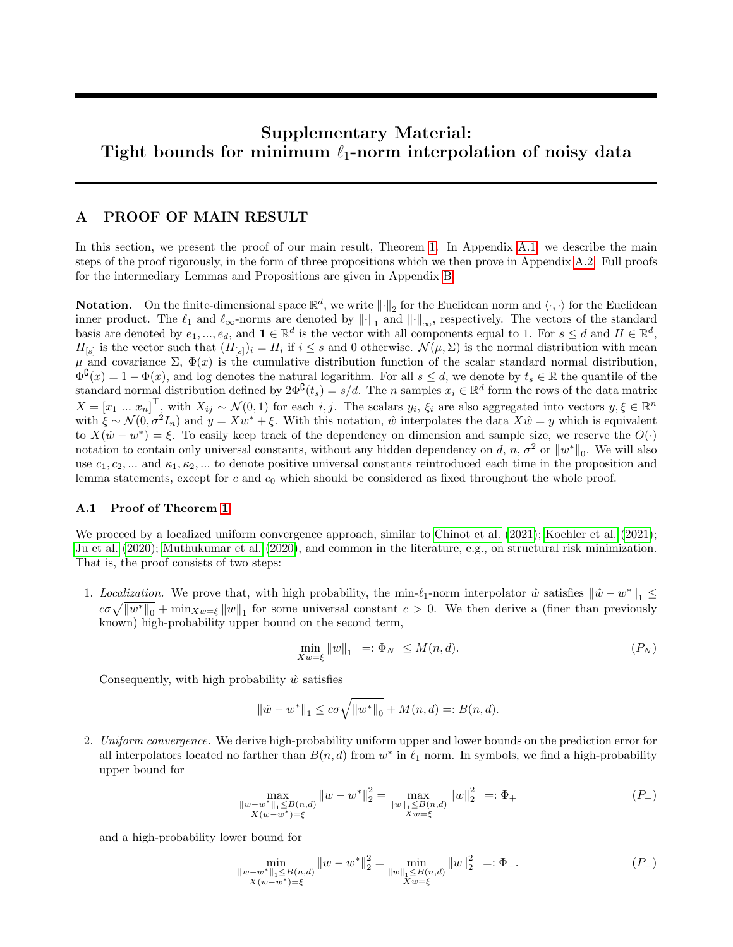# Supplementary Material: Tight bounds for minimum  $\ell_1$ -norm interpolation of noisy data

# <span id="page-9-0"></span>A PROOF OF MAIN RESULT

In this section, we present the proof of our main result, Theorem [1.](#page-1-1) In Appendix [A.1,](#page-9-1) we describe the main steps of the proof rigorously, in the form of three propositions which we then prove in Appendix [A.2.](#page-11-1) Full proofs for the intermediary Lemmas and Propositions are given in Appendix [B.](#page-16-0)

**Notation.** On the finite-dimensional space  $\mathbb{R}^d$ , we write  $\|\cdot\|_2$  for the Euclidean norm and  $\langle \cdot, \cdot \rangle$  for the Euclidean inner product. The  $\ell_1$  and  $\ell_{\infty}$ -norms are denoted by  $\|\cdot\|_1$  and  $\|\cdot\|_{\infty}$ , respectively. The vectors of the standard basis are denoted by  $e_1, ..., e_d$ , and  $\mathbf{1} \in \mathbb{R}^d$  is the vector with all components equal to 1. For  $s \leq d$  and  $H \in \mathbb{R}^d$ ,  $H_{[s]}$  is the vector such that  $(H_{[s]})_i = H_i$  if  $i \leq s$  and 0 otherwise.  $\mathcal{N}(\mu, \Sigma)$  is the normal distribution with mean  $\mu$  and covariance Σ,  $\Phi(x)$  is the cumulative distribution function of the scalar standard normal distribution,  $\Phi^{\complement}(x) = 1 - \Phi(x)$ , and log denotes the natural logarithm. For all  $s \leq d$ , we denote by  $t_s \in \mathbb{R}$  the quantile of the standard normal distribution defined by  $2\Phi^{\complement}(t_s) = s/d$ . The *n* samples  $x_i \in \mathbb{R}^d$  form the rows of the data matrix  $X = [x_1 \dots x_n]^\top$ , with  $X_{ij} \sim \mathcal{N}(0, 1)$  for each i, j. The scalars  $y_i, \xi_i$  are also aggregated into vectors  $y, \xi \in \mathbb{R}^n$ with  $\xi \sim \mathcal{N}(0, \sigma^2 I_n)$  and  $y = Xw^* + \xi$ . With this notation,  $\hat{w}$  interpolates the data  $X\hat{w} = y$  which is equivalent to  $X(\hat{w} - w^*) = \xi$ . To easily keep track of the dependency on dimension and sample size, we reserve the  $O(\cdot)$ notation to contain only universal constants, without any hidden dependency on d, n,  $\sigma^2$  or  $\|w^*\|_0$ . We will also use  $c_1, c_2, ...$  and  $\kappa_1, \kappa_2, ...$  to denote positive universal constants reintroduced each time in the proposition and lemma statements, except for  $c$  and  $c_0$  which should be considered as fixed throughout the whole proof.

# <span id="page-9-1"></span>A.1 Proof of Theorem [1](#page-1-1)

We proceed by a localized uniform convergence approach, similar to [Chinot et al. \(2021\)](#page-7-13); [Koehler et al. \(2021\)](#page-7-10); [Ju et al. \(2020\)](#page-7-11); [Muthukumar et al. \(2020\)](#page-7-16), and common in the literature, e.g., on structural risk minimization. That is, the proof consists of two steps:

1. Localization. We prove that, with high probability, the min- $\ell_1$ -norm interpolator  $\hat{w}$  satisfies  $\|\hat{w} - w^*\|_1 \leq$  $c\sigma\sqrt{\|w^*\|_0} + \min_{X\omega=\xi} \|w\|_1$  for some universal constant  $c > 0$ . We then derive a (finer than previously known) high-probability upper bound on the second term,

<span id="page-9-4"></span><span id="page-9-3"></span><span id="page-9-2"></span>
$$
\min_{Xw=\xi} \|w\|_1 = \mathbf{E} \Phi_N \le M(n, d). \tag{P_N}
$$

Consequently, with high probability  $\hat{w}$  satisfies

$$
\|\hat{w} - w^*\|_1 \le c\sigma \sqrt{\|w^*\|_0} + M(n, d) =: B(n, d).
$$

2. Uniform convergence. We derive high-probability uniform upper and lower bounds on the prediction error for all interpolators located no farther than  $B(n, d)$  from  $w^*$  in  $\ell_1$  norm. In symbols, we find a high-probability upper bound for

$$
\max_{\substack{\|w-w^*\|_1\leq B(n,d)\\X(w-w^*)=\xi}} \|w-w^*\|_2^2 = \max_{\substack{\|w\|_1\leq B(n,d)\\Xw=\xi}} \|w\|_2^2 =: \Phi_+ \tag{P_+}
$$

and a high-probability lower bound for

$$
\min_{\substack{\|w-w^*\|_1\leq B(n,d) \\ X(w-w^*)=\xi}} \|w-w^*\|_2^2 = \min_{\substack{\|w\|_1\leq B(n,d) \\ Xw=\xi}} \|w\|_2^2 =: \Phi_{-}.\tag{P_{-}}
$$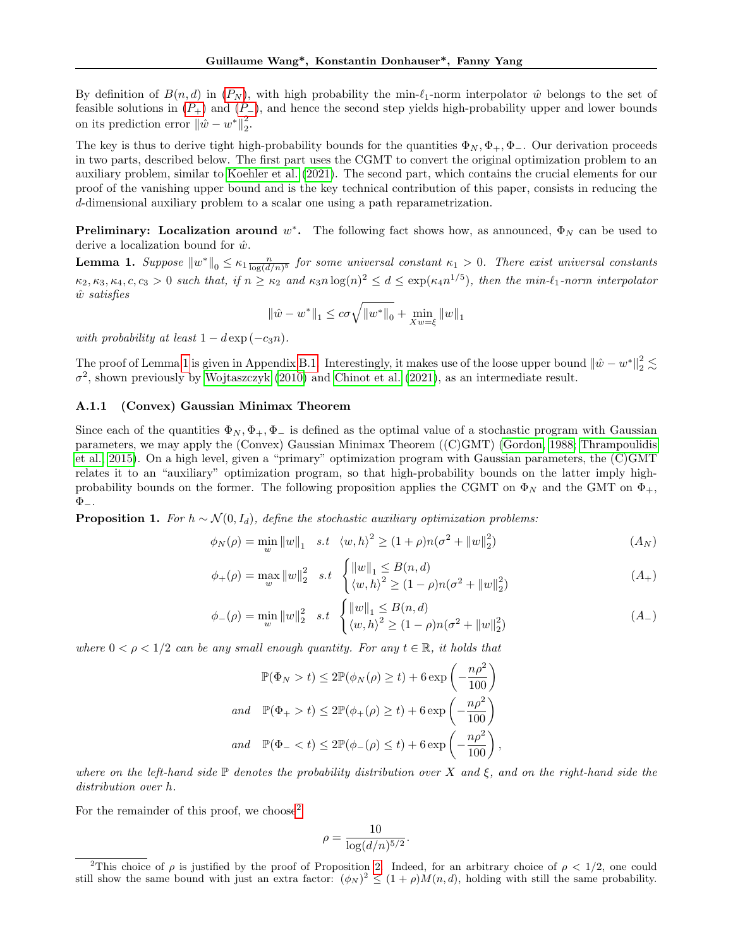By definition of  $B(n, d)$  in  $(P_N)$  $(P_N)$  $(P_N)$ , with high probability the min- $\ell_1$ -norm interpolator  $\hat{w}$  belongs to the set of feasible solutions in  $(P_+)$  $(P_+)$  $(P_+)$  and  $(P_-)$ , and hence the second step yields high-probability upper and lower bounds on its prediction error  $\|\hat{w} - w^*\|_2^2$ .

The key is thus to derive tight high-probability bounds for the quantities  $\Phi_N, \Phi_+, \Phi_-.$  Our derivation proceeds in two parts, described below. The first part uses the CGMT to convert the original optimization problem to an auxiliary problem, similar to [Koehler et al. \(2021\)](#page-7-10). The second part, which contains the crucial elements for our proof of the vanishing upper bound and is the key technical contribution of this paper, consists in reducing the d-dimensional auxiliary problem to a scalar one using a path reparametrization.

**Preliminary:** Localization around  $w^*$ . The following fact shows how, as announced,  $\Phi_N$  can be used to derive a localization bound for  $\hat{w}$ .

<span id="page-10-0"></span>**Lemma 1.** Suppose  $||w^*||_0 \le \kappa_1 \frac{n}{\log(d/n)^5}$  for some universal constant  $\kappa_1 > 0$ . There exist universal constants  $\kappa_2, \kappa_3, \kappa_4, c, c_3 > 0$  such that, if  $n \geq \kappa_2$  and  $\kappa_3 n \log(n)^2 \leq d \leq \exp(\kappa_4 n^{1/5})$ , then the min- $\ell_1$ -norm interpolator  $\hat{w}$  satisfies

$$
\|\hat{w} - w^*\|_1 \le c\sigma \sqrt{\|w^*\|_0} + \min_{Xw = \xi} \|w\|_1
$$

with probability at least  $1 - d \exp(-c_3 n)$ .

The proof of Lemma [1](#page-10-0) is given in Appendix [B.1.](#page-16-1) Interestingly, it makes use of the loose upper bound  $\|\hat{w} - w^*\|_2^2 \lesssim$  $\sigma^2$ , shown previously by [Wojtaszczyk \(2010\)](#page-8-2) and [Chinot et al. \(2021\)](#page-7-13), as an intermediate result.

# <span id="page-10-3"></span>A.1.1 (Convex) Gaussian Minimax Theorem

Since each of the quantities  $\Phi_N$ ,  $\Phi_+$ ,  $\Phi_-$  is defined as the optimal value of a stochastic program with Gaussian parameters, we may apply the (Convex) Gaussian Minimax Theorem ((C)GMT) [\(Gordon, 1988;](#page-7-20) [Thrampoulidis](#page-7-18) [et al., 2015\)](#page-7-18). On a high level, given a "primary" optimization program with Gaussian parameters, the (C)GMT relates it to an "auxiliary" optimization program, so that high-probability bounds on the latter imply highprobability bounds on the former. The following proposition applies the CGMT on  $\Phi_N$  and the GMT on  $\Phi_+$ ,  $\Phi_{-}.$ 

<span id="page-10-1"></span>**Proposition 1.** For  $h \sim \mathcal{N}(0, I_d)$ , define the stochastic auxiliary optimization problems:

<span id="page-10-5"></span>
$$
\phi_N(\rho) = \min_w \|w\|_1 \quad s.t \quad \langle w, h \rangle^2 \ge (1 + \rho)n(\sigma^2 + \|w\|_2^2) \tag{A_N}
$$

$$
\phi_{+}(\rho) = \max_{w} \|w\|_{2}^{2} \quad s.t \quad \begin{cases} \|w\|_{1} \leq B(n,d) \\ \langle w,h\rangle^{2} \geq (1-\rho)n(\sigma^{2} + \|w\|_{2}^{2}) \end{cases} \tag{A_{+}}
$$

$$
\phi_{-}(\rho) = \min_{w} \|w\|_{2}^{2} \quad s.t \quad \begin{cases} \|w\|_{1} \leq B(n,d) \\ \langle w,h\rangle^{2} \geq (1-\rho)n(\sigma^{2} + \|w\|_{2}^{2}) \end{cases} \tag{A_{-}}
$$

where  $0 < \rho < 1/2$  can be any small enough quantity. For any  $t \in \mathbb{R}$ , it holds that

$$
\mathbb{P}(\Phi_N > t) \le 2\mathbb{P}(\phi_N(\rho) \ge t) + 6 \exp\left(-\frac{n\rho^2}{100}\right)
$$
  
and 
$$
\mathbb{P}(\Phi_+ > t) \le 2\mathbb{P}(\phi_+(\rho) \ge t) + 6 \exp\left(-\frac{n\rho^2}{100}\right)
$$
  
and 
$$
\mathbb{P}(\Phi_- < t) \le 2\mathbb{P}(\phi_-(\rho) \le t) + 6 \exp\left(-\frac{n\rho^2}{100}\right),
$$

where on the left-hand side  $\mathbb P$  denotes the probability distribution over X and  $\xi$ , and on the right-hand side the distribution over h.

For the remainder of this proof, we choose<sup>[2](#page-10-4)</sup>

<span id="page-10-6"></span><span id="page-10-2"></span>
$$
\rho = \frac{10}{\log(d/n)^{5/2}}.
$$

<span id="page-10-4"></span><sup>&</sup>lt;sup>2</sup>This choice of  $\rho$  is justified by the proof of Proposition [2.](#page-11-0) Indeed, for an arbitrary choice of  $\rho < 1/2$ , one could still show the same bound with just an extra factor:  $(\phi_N)^2 \leq (1+\rho)M(n,d)$ , holding with still the same probability.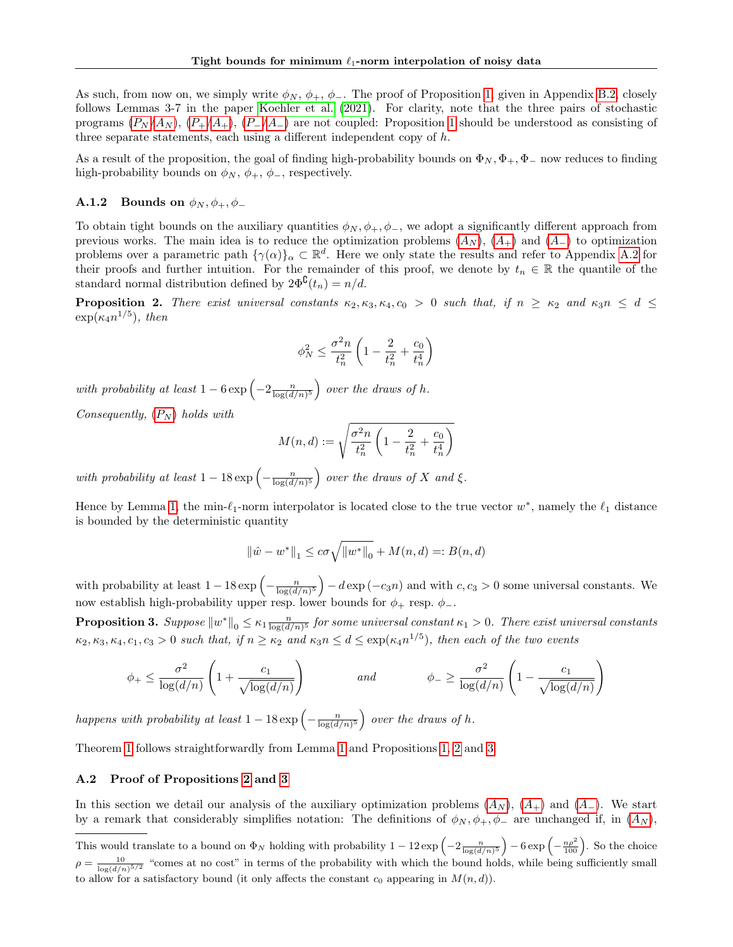As such, from now on, we simply write  $\phi_N$ ,  $\phi_+$ ,  $\phi_-$ . The proof of Proposition [1,](#page-10-1) given in Appendix [B.2,](#page-17-0) closely follows Lemmas 3-7 in the paper [Koehler et al. \(2021\)](#page-7-10). For clarity, note that the three pairs of stochastic programs  $(P_N/A_N)$  $(P_N/A_N)$  $(P_N/A_N)$  $(P_N/A_N)$  $(P_N/A_N)$ ,  $(P_+/A_+)$ ,  $(P_-/A_-)$  are not coupled: Proposition [1](#page-10-1) should be understood as consisting of three separate statements, each using a different independent copy of  $h$ .

As a result of the proposition, the goal of finding high-probability bounds on  $\Phi_N$ ,  $\Phi_+$ ,  $\Phi_-$  now reduces to finding high-probability bounds on  $\phi_N$ ,  $\phi_+$ ,  $\phi_-$ , respectively.

# **A.1.2** Bounds on  $\phi_N$ ,  $\phi_+$ ,  $\phi_-$

To obtain tight bounds on the auxiliary quantities  $\phi_N, \phi_+, \phi_-,$  we adopt a significantly different approach from previous works. The main idea is to reduce the optimization problems  $(A_N)$  $(A_N)$  $(A_N)$ ,  $(A_+)$  and  $(A_-)$  to optimization problems over a parametric path  $\{\gamma(\alpha)\}_\alpha \subset \mathbb{R}^d$ . Here we only state the results and refer to Appendix [A.2](#page-11-1) for their proofs and further intuition. For the remainder of this proof, we denote by  $t_n \in \mathbb{R}$  the quantile of the standard normal distribution defined by  $2\Phi^{\mathsf{C}}(t_n) = n/d$ .

<span id="page-11-0"></span>**Proposition 2.** There exist universal constants  $\kappa_2, \kappa_3, \kappa_4, c_0 > 0$  such that, if  $n \geq \kappa_2$  and  $\kappa_3 n \leq d \leq$  $\exp(\kappa_4 n^{1/5})$ , then

$$
\phi_N^2 \le \frac{\sigma^2 n}{t_n^2} \left( 1 - \frac{2}{t_n^2} + \frac{c_0}{t_n^4} \right)
$$

with probability at least  $1-6 \exp \left(-2 \frac{n}{\log(d/n)^5}\right)$  over the draws of h.

Consequently,  $(P_N)$  $(P_N)$  $(P_N)$  holds with

$$
M(n, d) := \sqrt{\frac{\sigma^2 n}{t_n^2} \left(1 - \frac{2}{t_n^2} + \frac{c_0}{t_n^4}\right)}
$$

with probability at least  $1-18 \exp \left(-\frac{n}{\log(d/n)^5}\right)$  over the draws of X and  $\xi$ .

Hence by Lemma [1,](#page-10-0) the min- $\ell_1$ -norm interpolator is located close to the true vector  $w^*$ , namely the  $\ell_1$  distance is bounded by the deterministic quantity

$$
\|\hat{w} - w^*\|_1 \le c\sigma \sqrt{\|w^*\|_0} + M(n, d) =: B(n, d)
$$

with probability at least  $1-18 \exp\left(-\frac{n}{\log(d/n)^5}\right) - d \exp(-c_3n)$  and with  $c, c_3 > 0$  some universal constants. We now establish high-probability upper resp. lower bounds for  $\phi_+$  resp.  $\phi_-$ .

<span id="page-11-2"></span>**Proposition 3.** Suppose  $\|w^*\|_0 \leq \kappa_1 \frac{n}{\log(d/n)^5}$  for some universal constant  $\kappa_1 > 0$ . There exist universal constants  $\kappa_2, \kappa_3, \kappa_4, c_1, c_3 > 0$  such that, if  $n \geq \kappa_2$  and  $\kappa_3 n \leq d \leq \exp(\kappa_4 n^{1/5})$ , then each of the two events

$$
\phi_+ \le \frac{\sigma^2}{\log(d/n)} \left( 1 + \frac{c_1}{\sqrt{\log(d/n)}} \right) \qquad \text{and} \qquad \phi_- \ge \frac{\sigma^2}{\log(d/n)} \left( 1 - \frac{c_1}{\sqrt{\log(d/n)}} \right)
$$

happens with probability at least  $1-18 \exp\left(-\frac{n}{\log(d/n)^5}\right)$  over the draws of h.

Theorem [1](#page-1-1) follows straightforwardly from Lemma [1](#page-10-0) and Propositions [1,](#page-10-1) [2](#page-11-0) and [3.](#page-11-2)

#### <span id="page-11-1"></span>A.2 Proof of Propositions [2](#page-11-0) and [3](#page-11-2)

In this section we detail our analysis of the auxiliary optimization problems  $(A_N)$  $(A_N)$  $(A_N)$ ,  $(A_+)$  and  $(A_-)$ . We start by a remark that considerably simplifies notation: The definitions of  $\phi_N, \phi_+, \phi_-$  are unchanged if, in  $(A_N)$  $(A_N)$  $(A_N)$ ,

This would translate to a bound on  $\Phi_N$  holding with probability  $1-12 \exp\left(-2\frac{n}{\log(d/n)^5}\right) - 6 \exp\left(-\frac{n\rho^2}{100}\right)$ . So the choice  $\rho = \frac{10}{\log(d/n)^{5/2}}$  "comes at no cost" in terms of the probability with which the bound holds, while being sufficiently small to allow for a satisfactory bound (it only affects the constant  $c_0$  appearing in  $M(n, d)$ ).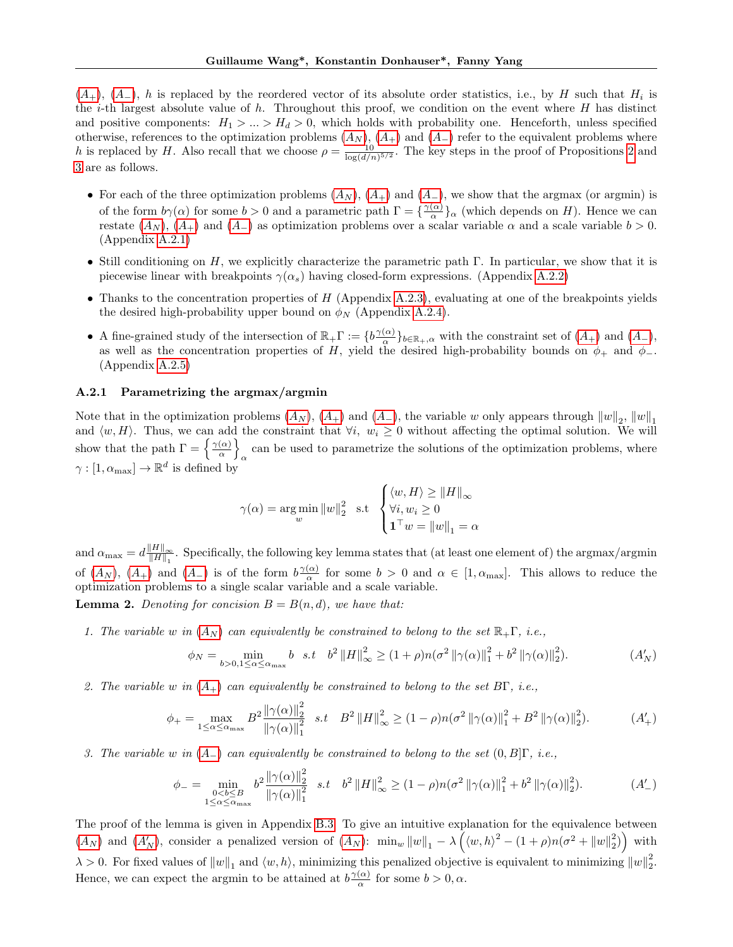$(A_{+}), (A_{-}), h$  $(A_{+}), (A_{-}), h$  $(A_{+}), (A_{-}), h$  is replaced by the reordered vector of its absolute order statistics, i.e., by H such that  $H_i$  is the *i*-th largest absolute value of h. Throughout this proof, we condition on the event where  $H$  has distinct and positive components:  $H_1 > ... > H_d > 0$ , which holds with probability one. Henceforth, unless specified otherwise, references to the optimization problems  $(A_N)$  $(A_N)$  $(A_N)$ ,  $(A_+)$  and  $(A_-)$  refer to the equivalent problems where h is replaced by H. Also recall that we choose  $\rho = \frac{10}{\log(d/n)^{5/2}}$ . The key steps in the proof of Propositions [2](#page-11-0) and [3](#page-11-2) are as follows.

- For each of the three optimization problems  $(A_N)$  $(A_N)$  $(A_N)$ ,  $(A_+)$  and  $(A_-)$ , we show that the argmax (or argmin) is of the form  $b\gamma(\alpha)$  for some  $b > 0$  and a parametric path  $\Gamma = \{ \frac{\gamma(\alpha)}{\alpha} \}$  $\frac{\alpha}{\alpha}$ , (which depends on H). Hence we can restate  $(A_N)$  $(A_N)$  $(A_N)$ ,  $(A_+)$  and  $(A_-)$  as optimization problems over a scalar variable  $\alpha$  and a scale variable  $b > 0$ . (Appendix [A.2.1\)](#page-12-0)
- Still conditioning on H, we explicitly characterize the parametric path  $\Gamma$ . In particular, we show that it is piecewise linear with breakpoints  $\gamma(\alpha_s)$  having closed-form expressions. (Appendix [A.2.2\)](#page-13-2)
- Thanks to the concentration properties of  $H$  (Appendix [A.2.3\)](#page-13-3), evaluating at one of the breakpoints yields the desired high-probability upper bound on  $\phi_N$  (Appendix [A.2.4\)](#page-13-4).
- A fine-grained study of the intersection of  $\mathbb{R}_{+}\Gamma := \{b\frac{\gamma(\alpha)}{\alpha}$  $\{\frac{\alpha}{\alpha}\}_{b\in\mathbb{R}_+,\alpha}$  with the constraint set of  $(A_+)$  $(A_+)$  $(A_+)$  and  $(A_-)$ , as well as the concentration properties of H, yield the desired high-probability bounds on  $\phi_+$  and  $\phi_-$ . (Appendix [A.2.5\)](#page-14-1)

# <span id="page-12-0"></span>A.2.1 Parametrizing the argmax/argmin

Note that in the optimization problems  $(A_N)$  $(A_N)$  $(A_N)$ ,  $(A_+)$  and  $(A_-)$ , the variable w only appears through  $\|w\|_2$ ,  $\|w\|_1$ and  $\langle w, H \rangle$ . Thus, we can add the constraint that  $\forall i, w_i \geq 0$  without affecting the optimal solution. We will show that the path  $\Gamma = \left\{ \frac{\gamma(\alpha)}{\alpha} \right\}$  $\frac{(\alpha)}{\alpha}$ can be used to parametrize the solutions of the optimization problems, where  $\alpha$  $\gamma : [1, \alpha_{\text{max}}] \to \mathbb{R}^d$  is defined by

<span id="page-12-1"></span>
$$
\gamma(\alpha) = \underset{w}{\arg\min} \|w\|_2^2 \text{ s.t } \begin{cases} \langle w, H \rangle \ge \|H\|_{\infty} \\ \forall i, w_i \ge 0 \\ \mathbf{1}^\top w = \|w\|_1 = \alpha \end{cases}
$$

and  $\alpha_{\text{max}} = d \frac{\Vert H \Vert_{\infty}}{\Vert H \Vert_{\infty}}$  $\frac{|H||_{\infty}}{||H||_1}$ . Specifically, the following key lemma states that (at least one element of) the argmax/argmin of  $(A_N)$  $(A_N)$  $(A_N)$ ,  $(A_+)$  and  $(A_-)$  is of the form  $b^{\gamma(\alpha)}$  $\frac{\alpha}{\alpha}$  for some  $b > 0$  and  $\alpha \in [1, \alpha_{\text{max}}]$ . This allows to reduce the optimization problems to a single scalar variable and a scale variable. **Lemma 2.** Denoting for concision  $B = B(n, d)$ , we have that:

<span id="page-12-2"></span>1. The variable w in  $(A_N)$  $(A_N)$  $(A_N)$  can equivalently be constrained to belong to the set  $\mathbb{R}_+\Gamma$ , i.e.,

<span id="page-12-3"></span>
$$
\phi_N = \min_{b > 0, 1 \le \alpha \le \alpha_{\text{max}}} b \quad s.t \quad b^2 \|H\|_{\infty}^2 \ge (1+\rho)n(\sigma^2 \|\gamma(\alpha)\|_1^2 + b^2 \|\gamma(\alpha)\|_2^2). \tag{A'_N}
$$

2. The variable w in  $(A_+)$  $(A_+)$  $(A_+)$  can equivalently be constrained to belong to the set  $B\Gamma$ , i.e.,

$$
\phi_{+} = \max_{1 \leq \alpha \leq \alpha_{\text{max}}} B^{2} \frac{\|\gamma(\alpha)\|_{2}^{2}}{\|\gamma(\alpha)\|_{1}^{2}} \quad s.t \quad B^{2} \|H\|_{\infty}^{2} \geq (1 - \rho)n(\sigma^{2} \|\gamma(\alpha)\|_{1}^{2} + B^{2} \|\gamma(\alpha)\|_{2}^{2}). \tag{A'_{+}}{}
$$

3. The variable w in  $(A_{-})$  $(A_{-})$  $(A_{-})$  can equivalently be constrained to belong to the set  $(0, B_{\cdot}|\Gamma, i.e.,$ 

<span id="page-12-4"></span>
$$
\phi_{-} = \min_{\substack{0 < b \leq B \\ 1 \leq \alpha \leq \alpha_{\text{max}}}} b^{2} \frac{\|\gamma(\alpha)\|_{2}^{2}}{\|\gamma(\alpha)\|_{1}^{2}} \quad s.t \quad b^{2} \|H\|_{\infty}^{2} \geq (1 - \rho)n(\sigma^{2} \|\gamma(\alpha)\|_{1}^{2} + b^{2} \|\gamma(\alpha)\|_{2}^{2}).\tag{A'_{-}}
$$

The proof of the lemma is given in Appendix [B.3.](#page-18-1) To give an intuitive explanation for the equivalence between  $(A_N)$  $(A_N)$  $(A_N)$  and  $(A'_N)$ , consider a penalized version of  $(A_N)$ :  $\min_w ||w||_1 - \lambda \left(\langle w, h \rangle^2 - (1 + \rho)n(\sigma^2 + ||w||_2^2)\right)$  with  $\lambda > 0$ . For fixed values of  $||w||_1$  and  $\langle w, h \rangle$ , minimizing this penalized objective is equivalent to minimizing  $||w||_2^2$ . Hence, we can expect the argmin to be attained at  $b\frac{\gamma(\alpha)}{\alpha}$  $\frac{\alpha}{\alpha}$  for some  $b > 0, \alpha$ .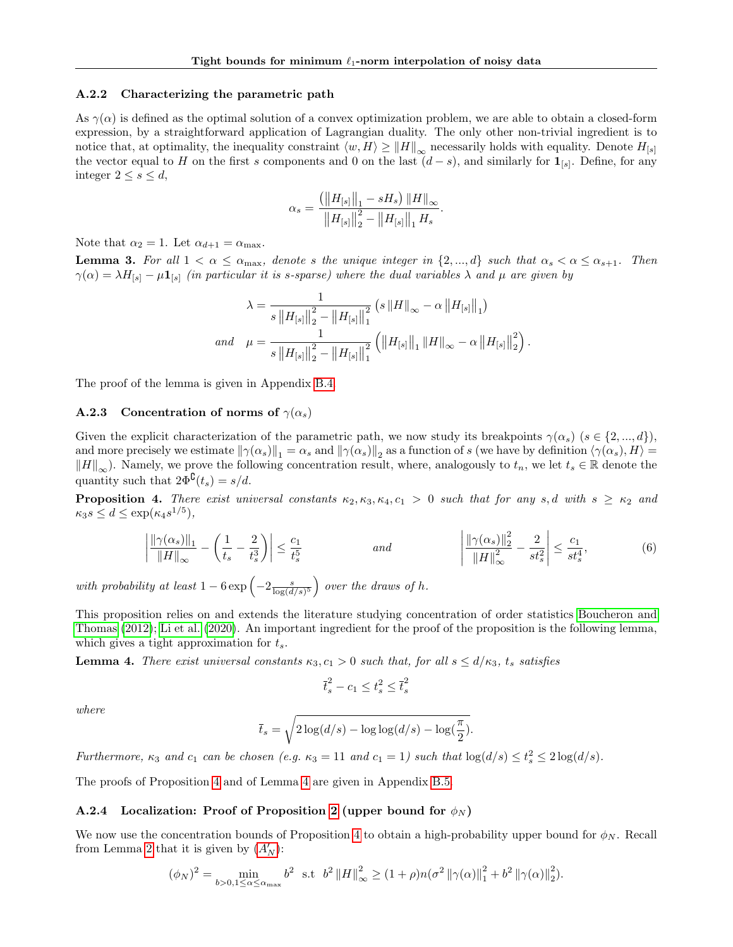#### <span id="page-13-2"></span>A.2.2 Characterizing the parametric path

As  $\gamma(\alpha)$  is defined as the optimal solution of a convex optimization problem, we are able to obtain a closed-form expression, by a straightforward application of Lagrangian duality. The only other non-trivial ingredient is to notice that, at optimality, the inequality constraint  $\langle w, H \rangle \ge ||H||_{\infty}$  necessarily holds with equality. Denote  $H_{[s]}$ the vector equal to H on the first s components and 0 on the last  $(d-s)$ , and similarly for  $\mathbf{1}_{[s]}$ . Define, for any integer  $2 \leq s \leq d$ ,

$$
\alpha_s = \frac{ \left( \left\| H_{[s]} \right\|_1 - s H_s \right) \left\| H \right\|_\infty}{\left\| H_{[s]} \right\|_2^2 - \left\| H_{[s]} \right\|_1 H_s}
$$

.

<span id="page-13-6"></span>.

Note that  $\alpha_2 = 1$ . Let  $\alpha_{d+1} = \alpha_{\text{max}}$ .

<span id="page-13-0"></span>**Lemma 3.** For all  $1 < \alpha \le \alpha_{\text{max}}$ , denote s the unique integer in  $\{2, ..., d\}$  such that  $\alpha_s < \alpha \le \alpha_{s+1}$ . Then  $\gamma(\alpha) = \lambda H_{[s]} - \mu \mathbf{1}_{[s]}$  (in particular it is s-sparse) where the dual variables  $\lambda$  and  $\mu$  are given by

$$
\lambda = \frac{1}{s \left\|H_{[s]}\right\|_{2}^{2} - \left\|H_{[s]}\right\|_{1}^{2}} \left(s \left\|H\right\|_{\infty} - \alpha \left\|H_{[s]}\right\|_{1}\right)
$$
  
and 
$$
\mu = \frac{1}{s \left\|H_{[s]}\right\|_{2}^{2} - \left\|H_{[s]}\right\|_{1}^{2}} \left(\left\|H_{[s]}\right\|_{1} \left\|H\right\|_{\infty} - \alpha \left\|H_{[s]}\right\|_{2}^{2}\right)
$$

The proof of the lemma is given in Appendix [B.4.](#page-19-0)

# <span id="page-13-3"></span>A.2.3 Concentration of norms of  $\gamma(\alpha_s)$

Given the explicit characterization of the parametric path, we now study its breakpoints  $\gamma(\alpha_s)$  ( $s \in \{2, ..., d\}$ ), and more precisely we estimate  $\|\gamma(\alpha_s)\|_1 = \alpha_s$  and  $\|\gamma(\alpha_s)\|_2$  as a function of s (we have by definition  $\langle \gamma(\alpha_s), H \rangle =$  $\|H\|_{\infty}$ ). Namely, we prove the following concentration result, where, analogously to  $t_n$ , we let  $t_s \in \mathbb{R}$  denote the quantity such that  $2\Phi^{\complement}(t_s) = s/d$ .

<span id="page-13-1"></span>**Proposition 4.** There exist universal constants  $\kappa_2, \kappa_3, \kappa_4, c_1 > 0$  such that for any s, d with  $s \geq \kappa_2$  and  $\kappa_3 s \leq d \leq \exp(\kappa_4 s^{1/5}),$ 

$$
\left| \frac{\|\gamma(\alpha_s)\|_1}{\|H\|_{\infty}} - \left(\frac{1}{t_s} - \frac{2}{t_s^3}\right) \right| \le \frac{c_1}{t_s^5} \qquad \text{and} \qquad \left| \frac{\|\gamma(\alpha_s)\|_2^2}{\|H\|_{\infty}^2} - \frac{2}{st_s^2} \right| \le \frac{c_1}{st_s^4},\tag{6}
$$

with probability at least  $1-6 \exp \left(-2 \frac{s}{\log(d/s)^5}\right)$  over the draws of h.

This proposition relies on and extends the literature studying concentration of order statistics [Boucheron and](#page-7-23) [Thomas \(2012\)](#page-7-23); [Li et al. \(2020\)](#page-7-24). An important ingredient for the proof of the proposition is the following lemma, which gives a tight approximation for  $t_s$ .

<span id="page-13-5"></span>**Lemma 4.** There exist universal constants  $\kappa_3, c_1 > 0$  such that, for all  $s \leq d/\kappa_3$ ,  $t_s$  satisfies

$$
\overline{t}_s^2 - c_1 \le t_s^2 \le \overline{t}_s^2
$$

where

$$
\bar{t}_s = \sqrt{2\log(d/s) - \log\log(d/s) - \log(\frac{\pi}{2})}.
$$

Furthermore,  $\kappa_3$  and  $c_1$  can be chosen (e.g.  $\kappa_3 = 11$  and  $c_1 = 1$ ) such that  $\log(d/s) \le t_s^2 \le 2 \log(d/s)$ .

The proofs of Proposition [4](#page-13-1) and of Lemma [4](#page-13-5) are given in Appendix [B.5.](#page-21-0)

# <span id="page-13-4"></span>A.2.4 Localization: Proof of Proposition [2](#page-11-0) (upper bound for  $\phi_N$ )

We now use the concentration bounds of Proposition [4](#page-13-1) to obtain a high-probability upper bound for  $\phi_N$ . Recall from Lemma [2](#page-12-2) that it is given by  $(A'_N)$  $(A'_N)$  $(A'_N)$ :

$$
(\phi_N)^2 = \min_{b>0,1 \le \alpha \le \alpha_{\text{max}}} b^2 \text{ s.t } b^2 ||H||_{\infty}^2 \ge (1+\rho)n(\sigma^2 ||\gamma(\alpha)||_1^2 + b^2 ||\gamma(\alpha)||_2^2).
$$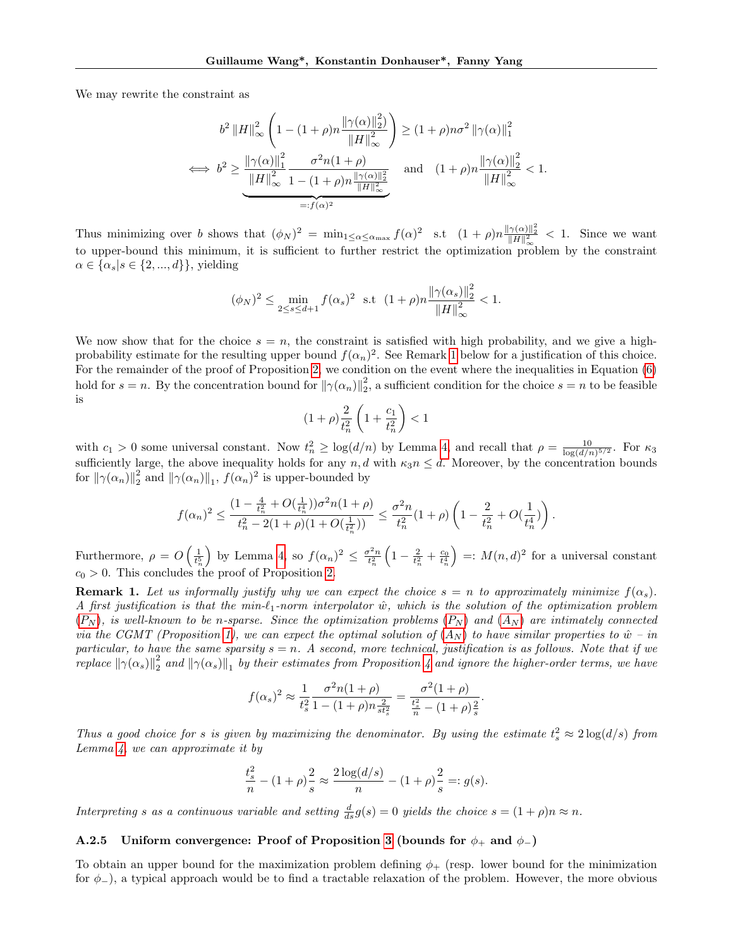We may rewrite the constraint as

$$
b^{2} \|H\|_{\infty}^{2} \left(1 - (1+\rho) n \frac{\|\gamma(\alpha)\|_{2}^{2}}{\|H\|_{\infty}^{2}}\right) \ge (1+\rho) n \sigma^{2} \|\gamma(\alpha)\|_{1}^{2}
$$
  

$$
\iff b^{2} \ge \frac{\|\gamma(\alpha)\|_{1}^{2}}{\|H\|_{\infty}^{2}} \frac{\sigma^{2} n (1+\rho)}{1 - (1+\rho) n \frac{\|\gamma(\alpha)\|_{2}^{2}}{\|H\|_{\infty}^{2}}} \quad \text{and} \quad (1+\rho) n \frac{\|\gamma(\alpha)\|_{2}^{2}}{\|H\|_{\infty}^{2}} < 1.
$$

Thus minimizing over b shows that  $(\phi_N)^2 = \min_{1 \leq \alpha \leq \alpha_{\text{max}}} f(\alpha)^2$  s.t  $(1 + \rho) n \frac{\|\gamma(\alpha)\|_2^2}{\|H\|_{\infty}^2} < 1$ . Since we want to upper-bound this minimum, it is sufficient to further restrict the optimization problem by the constraint  $\alpha \in {\{\alpha_s | s \in \{2, ..., d\}\}\},\$  yielding

$$
(\phi_N)^2 \le \min_{2 \le s \le d+1} f(\alpha_s)^2 \text{ s.t } (1+\rho)n \frac{\|\gamma(\alpha_s)\|_2^2}{\|H\|_{\infty}^2} < 1.
$$

We now show that for the choice  $s = n$ , the constraint is satisfied with high probability, and we give a highprobability estimate for the resulting upper bound  $f(\alpha_n)^2$ . See Remark [1](#page-14-0) below for a justification of this choice. For the remainder of the proof of Proposition [2,](#page-11-0) we condition on the event where the inequalities in Equation [\(6\)](#page-13-6) hold for  $s = n$ . By the concentration bound for  $\|\gamma(\alpha_n)\|_2^2$ , a sufficient condition for the choice  $s = n$  to be feasible is

$$
(1+\rho)\frac{2}{t_n^2}\left(1+\frac{c_1}{t_n^2}\right) < 1
$$

with  $c_1 > 0$  some universal constant. Now  $t_n^2 \geq \log(d/n)$  by Lemma [4,](#page-13-5) and recall that  $\rho = \frac{10}{\log(d/n)^{5/2}}$ . For  $\kappa_3$ sufficiently large, the above inequality holds for any  $n, d$  with  $\kappa_3 n \leq d$ . Moreover, by the concentration bounds for  $\|\gamma(\alpha_n)\|_2^2$  and  $\|\gamma(\alpha_n)\|_1$ ,  $f(\alpha_n)^2$  is upper-bounded by

$$
f(\alpha_n)^2 \le \frac{\left(1 - \frac{4}{t_n^2} + O\left(\frac{1}{t_n^4}\right)\right)\sigma^2 n(1+\rho)}{t_n^2 - 2(1+\rho)(1+O\left(\frac{1}{t_n^2}\right))} \le \frac{\sigma^2 n}{t_n^2} (1+\rho) \left(1 - \frac{2}{t_n^2} + O\left(\frac{1}{t_n^4}\right)\right).
$$

Furthermore,  $\rho = O\left(\frac{1}{t_n^5}\right)$ by Lemma [4,](#page-13-5) so  $f(\alpha_n)^2 \leq \frac{\sigma^2 n}{t_n^2}$  $\left(1-\frac{2}{t_n^2}+\frac{c_0}{t_n^4}\right)$  $= : M(n, d)^2$  for a universal constant  $c_0 > 0$ . This concludes the proof of Proposition [2.](#page-11-0)

<span id="page-14-0"></span>**Remark 1.** Let us informally justify why we can expect the choice  $s = n$  to approximately minimize  $f(\alpha_s)$ . A first justification is that the min- $\ell_1$ -norm interpolator  $\hat{w}$ , which is the solution of the optimization problem  $(P_N)$  $(P_N)$  $(P_N)$ , is well-known to be n-sparse. Since the optimization problems  $(P_N)$  and  $(A_N)$  $(A_N)$  $(A_N)$  are intimately connected via the CGMT (Proposition [1\)](#page-10-1), we can expect the optimal solution of  $(A_N)$  $(A_N)$  $(A_N)$  to have similar properties to  $\hat{w}$  – in particular, to have the same sparsity  $s = n$ . A second, more technical, justification is as follows. Note that if we  $\| \gamma(\alpha_s) \|_2^2$  and  $\| \gamma(\alpha_s) \|_1$  by their estimates from Proposition [4](#page-13-1) and ignore the higher-order terms, we have

$$
f(\alpha_s)^2 \approx \frac{1}{t_s^2} \frac{\sigma^2 n (1+\rho)}{1 - (1+\rho) n \frac{2}{st_s^2}} = \frac{\sigma^2 (1+\rho)}{\frac{t_s^2}{n} - (1+\rho) \frac{2}{s}}
$$

.

Thus a good choice for s is given by maximizing the denominator. By using the estimate  $t_s^2 \approx 2 \log(d/s)$  from Lemma [4,](#page-13-5) we can approximate it by

$$
\frac{t_s^2}{n} - (1+\rho)\frac{2}{s} \approx \frac{2\log(d/s)}{n} - (1+\rho)\frac{2}{s} =: g(s).
$$

Interpreting s as a continuous variable and setting  $\frac{d}{ds}g(s) = 0$  yields the choice  $s = (1 + \rho)n \approx n$ .

# <span id="page-14-1"></span>A.2.5 Uniform convergence: Proof of Proposition [3](#page-11-2) (bounds for  $\phi_+$  and  $\phi_-$ )

To obtain an upper bound for the maximization problem defining  $\phi_{+}$  (resp. lower bound for the minimization for  $\phi$ <sub>−</sub>), a typical approach would be to find a tractable relaxation of the problem. However, the more obvious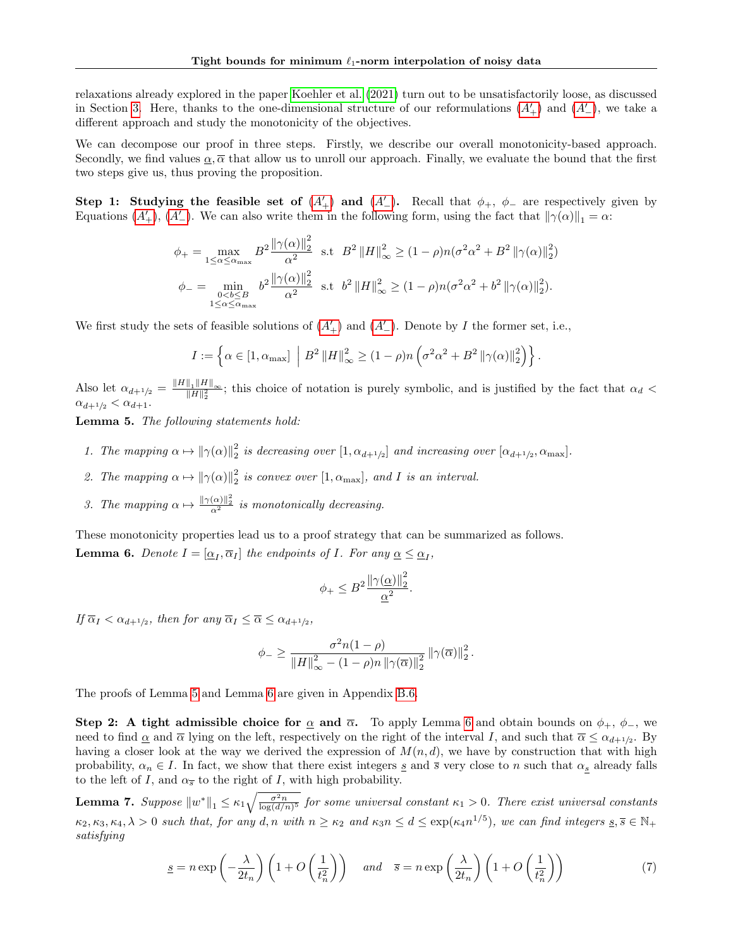relaxations already explored in the paper [Koehler et al. \(2021\)](#page-7-10) turn out to be unsatisfactorily loose, as discussed in Section [3.](#page-2-0) Here, thanks to the one-dimensional structure of our reformulations  $(A'_{+})$  $(A'_{+})$  $(A'_{+})$  and  $(A'_{-})$ , we take a different approach and study the monotonicity of the objectives.

We can decompose our proof in three steps. Firstly, we describe our overall monotonicity-based approach. Secondly, we find values  $\alpha$ ,  $\overline{\alpha}$  that allow us to unroll our approach. Finally, we evaluate the bound that the first two steps give us, thus proving the proposition.

Step 1: Studying the feasible set of  $(A'_+)$  $(A'_+)$  $(A'_+)$  and  $(A'')$ . Recall that  $\phi_+$ ,  $\phi_-$  are respectively given by Equations  $(A'_{+}), (A'_{-})$  $(A'_{+}), (A'_{-})$  $(A'_{+}), (A'_{-})$ . We can also write them in the following form, using the fact that  $\|\gamma(\alpha)\|_1 = \alpha$ :

$$
\phi_{+} = \max_{1 \leq \alpha \leq \alpha_{\text{max}}} B^{2} \frac{\|\gamma(\alpha)\|_{2}^{2}}{\alpha^{2}} \text{ s.t } B^{2} \|H\|_{\infty}^{2} \geq (1 - \rho)n(\sigma^{2} \alpha^{2} + B^{2} \|\gamma(\alpha)\|_{2}^{2})
$$
  

$$
\phi_{-} = \min_{\substack{\alpha < b \leq B \\ 1 \leq \alpha \leq \alpha_{\text{max}}}} b^{2} \frac{\|\gamma(\alpha)\|_{2}^{2}}{\alpha^{2}} \text{ s.t } b^{2} \|H\|_{\infty}^{2} \geq (1 - \rho)n(\sigma^{2} \alpha^{2} + b^{2} \|\gamma(\alpha)\|_{2}^{2}).
$$

We first study the sets of feasible solutions of  $(A'_{+})$  $(A'_{+})$  $(A'_{+})$  and  $(A'_{-})$ . Denote by I the former set, i.e.,

$$
I := \left\{ \alpha \in [1, \alpha_{\text{max}}] \middle| B^2 ||H||_{\infty}^2 \ge (1 - \rho) n \left( \sigma^2 \alpha^2 + B^2 ||\gamma(\alpha)||_2^2 \right) \right\}.
$$

Also let  $\alpha_{d+1/2} = \frac{\|H\|_1 \|H\|_{\infty}}{\|H\|_2^2}$ ; this choice of notation is purely symbolic, and is justified by the fact that  $\alpha_d$  $\alpha_{d+1/2} < \alpha_{d+1}.$ 

<span id="page-15-0"></span>Lemma 5. The following statements hold:

- 1. The mapping  $\alpha \mapsto ||\gamma(\alpha)||_2^2$  is decreasing over  $[1, \alpha_{d+1/2}]$  and increasing over  $[\alpha_{d+1/2}, \alpha_{\text{max}}]$ .
- 2. The mapping  $\alpha \mapsto ||\gamma(\alpha)||_2^2$  is convex over  $[1, \alpha_{\text{max}}]$ , and I is an interval.
- 3. The mapping  $\alpha \mapsto \frac{\|\gamma(\alpha)\|_2^2}{\alpha^2}$  is monotonically decreasing.

<span id="page-15-1"></span>These monotonicity properties lead us to a proof strategy that can be summarized as follows. **Lemma 6.** Denote  $I = [\underline{\alpha}_I, \overline{\alpha}_I]$  the endpoints of I. For any  $\underline{\alpha} \leq \underline{\alpha}_I$ ,

<span id="page-15-3"></span>
$$
\phi_+ \leq B^2 \frac{\|\gamma(\underline{\alpha})\|_2^2}{\underline{\alpha}^2}.
$$

If  $\overline{\alpha}_I < \alpha_{d+1/2}$ , then for any  $\overline{\alpha}_I \leq \overline{\alpha} \leq \alpha_{d+1/2}$ ,

$$
\phi_{-} \geq \frac{\sigma^2 n(1-\rho)}{\|H\|_{\infty}^2 - (1-\rho)n\left\|\gamma(\overline{\alpha})\right\|_2^2} \left\|\gamma(\overline{\alpha})\right\|_2^2.
$$

The proofs of Lemma [5](#page-15-0) and Lemma [6](#page-15-1) are given in Appendix [B.6.](#page-25-0)

Step 2: A tight admissible choice for  $\alpha$  and  $\overline{\alpha}$ . To apply Lemma [6](#page-15-1) and obtain bounds on  $\phi_+$ ,  $\phi_-$ , we need to find  $\underline{\alpha}$  and  $\overline{\alpha}$  lying on the left, respectively on the right of the interval I, and such that  $\overline{\alpha} \leq \alpha_{d+1/2}$ . By having a closer look at the way we derived the expression of  $M(n, d)$ , we have by construction that with high probability,  $\alpha_n \in I$ . In fact, we show that there exist integers s and  $\overline{s}$  very close to n such that  $\alpha_s$  already falls to the left of I, and  $\alpha_{\overline{s}}$  to the right of I, with high probability.

<span id="page-15-2"></span>**Lemma 7.** Suppose  $||w^*||_1 \le \kappa_1 \sqrt{\frac{\sigma^2 n}{\log(d/n)^5}}$  for some universal constant  $\kappa_1 > 0$ . There exist universal constants  $\kappa_2, \kappa_3, \kappa_4, \lambda > 0$  such that, for any d, n with  $n \geq \kappa_2$  and  $\kappa_3 n \leq d \leq \exp(\kappa_4 n^{1/5})$ , we can find integers  $\underline{s}, \overline{s} \in \mathbb{N}_+$ satisfying

$$
\underline{s} = n \exp\left(-\frac{\lambda}{2t_n}\right) \left(1 + O\left(\frac{1}{t_n^2}\right)\right) \quad \text{and} \quad \overline{s} = n \exp\left(\frac{\lambda}{2t_n}\right) \left(1 + O\left(\frac{1}{t_n^2}\right)\right) \tag{7}
$$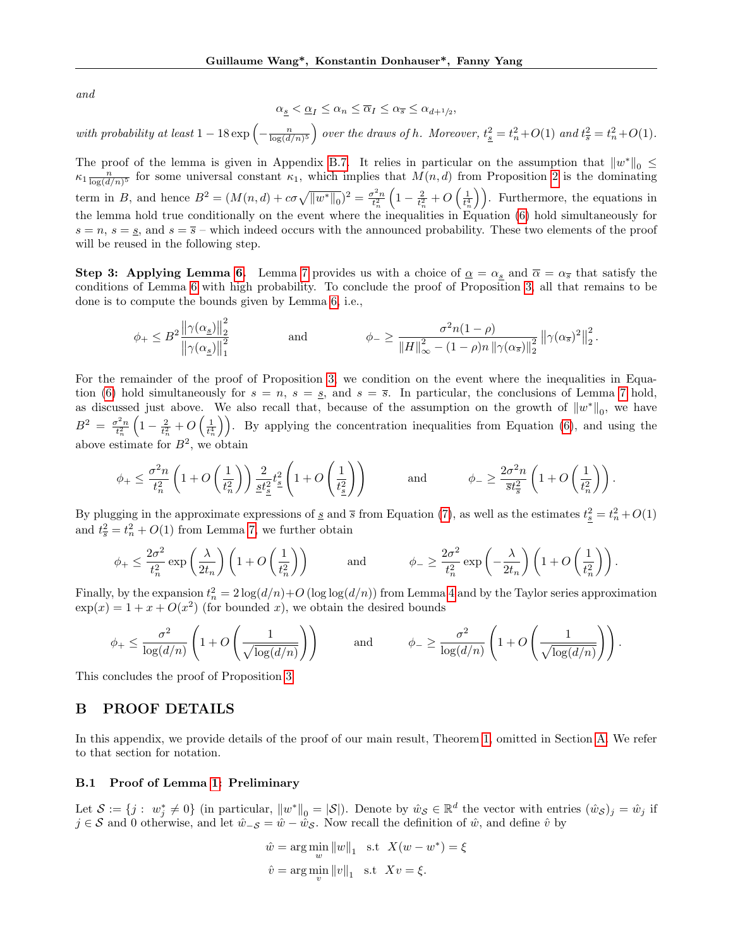and

$$
\alpha_{\underline{s}}<\underline{\alpha}_I\leq\alpha_n\leq\overline{\alpha}_I\leq\alpha_{\overline{s}}\leq\alpha_{d+1/2}
$$

,

# with probability at least  $1-18 \exp\left(-\frac{n}{\log(d/n)^5}\right)$  over the draws of h. Moreover,  $t_{\frac{8}{5}} = t_n^2 + O(1)$  and  $t_{\overline{s}}^2 = t_n^2 + O(1)$ .

The proof of the lemma is given in Appendix [B.7.](#page-27-0) It relies in particular on the assumption that  $||w^*||_0 \le$  $\kappa_1 \frac{n}{\log(d/n)^5}$  for some universal constant  $\kappa_1$ , which implies that  $M(n,d)$  from Proposition [2](#page-11-0) is the dominating term in B, and hence  $B^2 = (M(n,d) + c\sigma\sqrt{\|w^*\|_0})^2 = \frac{\sigma^2 n}{t_n^2}$  $\left(1-\frac{2}{t_n^2}+O\left(\frac{1}{t_n^4}\right)\right)$ . Furthermore, the equations in the lemma hold true conditionally on the event where the inequalities in Equation [\(6\)](#page-13-6) hold simultaneously for  $s = n$ ,  $s = s$ , and  $s = \overline{s}$  – which indeed occurs with the announced probability. These two elements of the proof will be reused in the following step.

**Step 3:** Applying Lemma [6.](#page-15-1) Lemma [7](#page-15-2) provides us with a choice of  $\underline{\alpha} = \alpha_s$  and  $\overline{\alpha} = \alpha_{\overline{s}}$  that satisfy the conditions of Lemma [6](#page-15-1) with high probability. To conclude the proof of Proposition [3,](#page-11-2) all that remains to be done is to compute the bounds given by Lemma [6,](#page-15-1) i.e.,

$$
\phi_+ \leq B^2 \frac{\left\| \gamma(\alpha_\underline{s}) \right\|_2^2}{\left\| \gamma(\alpha_\underline{s}) \right\|_1^2} \hspace{1cm}\text{and}\hspace{1cm}\phi_- \geq \frac{\sigma^2 n (1-\rho)}{\left\| H \right\|_\infty^2 - (1-\rho) n \left\| \gamma(\alpha_{\overline{s}}) \right\|_2^2} \left\| \gamma(\alpha_{\overline{s}})^2 \right\|_2^2.
$$

For the remainder of the proof of Proposition [3,](#page-11-2) we condition on the event where the inequalities in Equa-tion [\(6\)](#page-13-6) hold simultaneously for  $s = n$ ,  $s = s$ , and  $s = \overline{s}$ . In particular, the conclusions of Lemma [7](#page-15-2) hold, as discussed just above. We also recall that, because of the assumption on the growth of  $||w^*||_0$ , we have  $B^2 = \frac{\sigma^2 n}{t_n^2}$  $\left(1-\frac{2}{t_n^2}+O\left(\frac{1}{t_n^4}\right)\right)$ . By applying the concentration inequalities from Equation [\(6\)](#page-13-6), and using the above estimate for  $B^2$ , we obtain

$$
\phi_+ \leq \frac{\sigma^2 n}{t_n^2} \left( 1 + O\left( \frac{1}{t_n^2} \right) \right) \frac{2}{\underline{st}_\underline{s}^2} t_{\underline{s}}^2 \left( 1 + O\left( \frac{1}{t_{\underline{s}}^2} \right) \right) \quad \text{and} \quad \phi_- \geq \frac{2\sigma^2 n}{\overline{st}_\overline{s}^2} \left( 1 + O\left( \frac{1}{t_n^2} \right) \right).
$$

By plugging in the approximate expressions of  $\underline{s}$  and  $\overline{s}$  from Equation [\(7\)](#page-15-3), as well as the estimates  $t_{\underline{s}}^2 = t_n^2 + O(1)$ and  $t_{\overline{s}}^2 = t_n^2 + O(1)$  from Lemma [7,](#page-15-2) we further obtain

$$
\phi_+ \leq \frac{2\sigma^2}{t_n^2} \exp\left(\frac{\lambda}{2t_n}\right) \left(1 + O\left(\frac{1}{t_n^2}\right)\right) \quad \text{and} \quad \phi_- \geq \frac{2\sigma^2}{t_n^2} \exp\left(-\frac{\lambda}{2t_n}\right) \left(1 + O\left(\frac{1}{t_n^2}\right)\right).
$$

Finally, by the expansion  $t_n^2 = 2 \log(d/n) + O(\log \log(d/n))$  from Lemma [4](#page-13-5) and by the Taylor series approximation  $\exp(x) = 1 + x + O(x^2)$  (for bounded x), we obtain the desired bounds

$$
\phi_+ \leq \frac{\sigma^2}{\log(d/n)} \left( 1 + O\left(\frac{1}{\sqrt{\log(d/n)}}\right) \right) \quad \text{and} \quad \phi_- \geq \frac{\sigma^2}{\log(d/n)} \left( 1 + O\left(\frac{1}{\sqrt{\log(d/n)}}\right) \right).
$$

This concludes the proof of Proposition [3.](#page-11-2)

# <span id="page-16-0"></span>B PROOF DETAILS

In this appendix, we provide details of the proof of our main result, Theorem [1,](#page-1-1) omitted in Section [A.](#page-9-0) We refer to that section for notation.

# <span id="page-16-1"></span>B.1 Proof of Lemma [1:](#page-10-0) Preliminary

Let  $\mathcal{S} := \{j : w_j^* \neq 0\}$  (in particular,  $||w^*||_0 = |\mathcal{S}||$ ). Denote by  $\hat{w}_{\mathcal{S}} \in \mathbb{R}^d$  the vector with entries  $(\hat{w}_{\mathcal{S}})_j = \hat{w}_j$  if  $j \in S$  and 0 otherwise, and let  $\hat{w}_-s = \hat{w}-\hat{w}_S$ . Now recall the definition of  $\hat{w}$ , and define  $\hat{v}$  by

$$
\hat{w} = \arg\min_{w} \|w\|_1 \quad \text{s.t} \quad X(w - w^*) = \xi
$$

$$
\hat{v} = \arg\min_{v} \|v\|_1 \quad \text{s.t} \quad Xv = \xi.
$$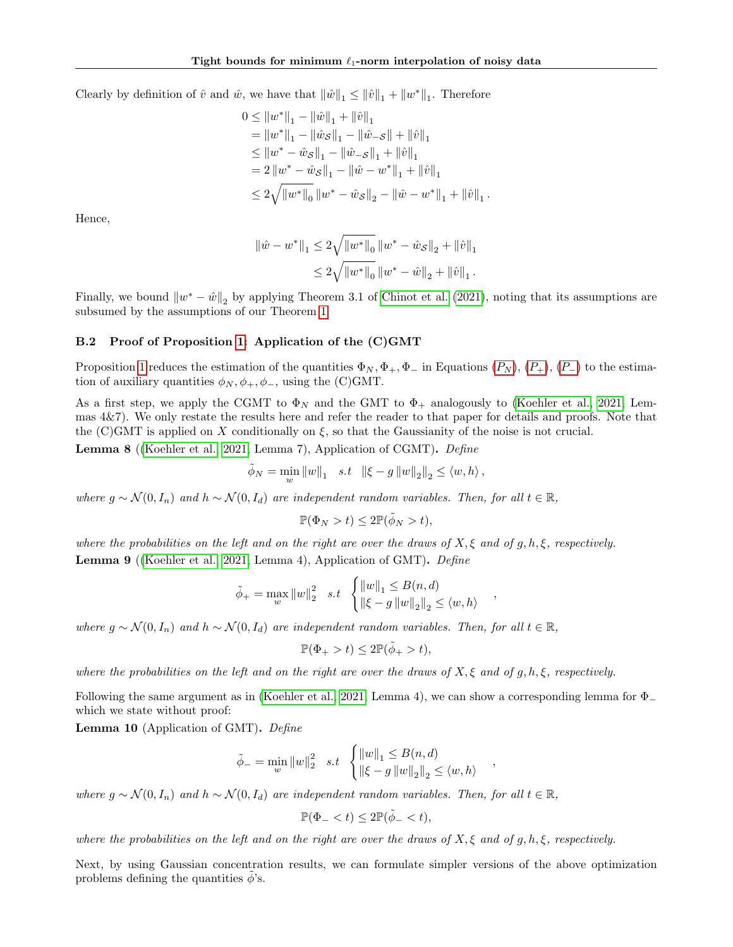Clearly by definition of  $\hat{v}$  and  $\hat{w}$ , we have that  $\|\hat{w}\|_1 \leq \|\hat{v}\|_1 + \|w^*\|_1$ . Therefore

$$
0 \le ||w^*||_1 - ||\hat{w}||_1 + ||\hat{v}||_1
$$
  
\n
$$
= ||w^*||_1 - ||\hat{w}_S||_1 - ||\hat{w}_{-S}|| + ||\hat{v}||_1
$$
  
\n
$$
\le ||w^* - \hat{w}_S||_1 - ||\hat{w}_{-S}||_1 + ||\hat{v}||_1
$$
  
\n
$$
= 2 ||w^* - \hat{w}_S||_1 - ||\hat{w} - w^*||_1 + ||\hat{v}||_1
$$
  
\n
$$
\le 2\sqrt{||w^*||_0} ||w^* - \hat{w}_S||_2 - ||\hat{w} - w^*||_1 + ||\hat{v}||_1
$$

.

,

,

Hence,

$$
\begin{aligned} \|\hat w - w^*\|_1 &\le 2\sqrt{\|w^*\|_0}\,\|w^* - \hat w_{\mathcal{S}}\|_2 + \|\hat v\|_1 \\ &\le 2\sqrt{\|w^*\|_0}\,\|w^* - \hat w\|_2 + \|\hat v\|_1\,. \end{aligned}
$$

Finally, we bound  $\|w^* - \hat{w}\|_2$  by applying Theorem 3.1 of [Chinot et al. \(2021\)](#page-7-13), noting that its assumptions are subsumed by the assumptions of our Theorem [1.](#page-1-1)

## <span id="page-17-0"></span>B.2 Proof of Proposition [1:](#page-10-1) Application of the (C)GMT

Proposition [1](#page-10-1) reduces the estimation of the quantities  $\Phi_N, \Phi_+,\Phi_ \Phi_N, \Phi_+,\Phi_ \Phi_N, \Phi_+,\Phi_-$  in Equations  $(P_N), (P_+), (P_-)$  to the estimation of auxiliary quantities  $\phi_N, \phi_+, \phi_-,$  using the (C)GMT.

As a first step, we apply the CGMT to  $\Phi_N$  and the GMT to  $\Phi_+$  analogously to [\(Koehler et al., 2021,](#page-7-10) Lemmas 4&7). We only restate the results here and refer the reader to that paper for details and proofs. Note that the (C)GMT is applied on X conditionally on  $\xi$ , so that the Gaussianity of the noise is not crucial.

Lemma 8 ([\(Koehler et al., 2021,](#page-7-10) Lemma 7), Application of CGMT). Define

$$
\tilde{\phi}_N=\min_{w}\left\|w\right\|_1\quad s.t\quad\left\|\xi-g\left\|w\right\|_2\right\|_2\leq \left\langle w,h\right\rangle,
$$

where  $g \sim \mathcal{N}(0, I_n)$  and  $h \sim \mathcal{N}(0, I_d)$  are independent random variables. Then, for all  $t \in \mathbb{R}$ ,

$$
\mathbb{P}(\Phi_N > t) \le 2\mathbb{P}(\tilde{\phi}_N > t),
$$

where the probabilities on the left and on the right are over the draws of  $X, \xi$  and of  $g, h, \xi$ , respectively. **Lemma 9** ([\(Koehler et al., 2021,](#page-7-10) Lemma 4), Application of GMT). Define

$$
\tilde{\phi}_{+} = \max_{w} \|w\|_{2}^{2} \quad s.t \quad \begin{cases} \|w\|_{1} \leq B(n,d) \\ \|\xi - g\|w\|_{2}\|_{2} \leq \langle w, h \rangle \end{cases}
$$

where  $q \sim \mathcal{N}(0, I_n)$  and  $h \sim \mathcal{N}(0, I_d)$  are independent random variables. Then, for all  $t \in \mathbb{R}$ ,

$$
\mathbb{P}(\Phi_+ > t) \le 2\mathbb{P}(\tilde{\phi}_+ > t),
$$

where the probabilities on the left and on the right are over the draws of  $X, \xi$  and of g, h,  $\xi$ , respectively.

Following the same argument as in [\(Koehler et al., 2021,](#page-7-10) Lemma 4), we can show a corresponding lemma for  $\Phi$ <sub>-</sub> which we state without proof:

Lemma 10 (Application of GMT). Define

$$
\tilde{\phi}_{-} = \min_{w} \|w\|_{2}^{2} \quad s.t \quad \begin{cases} \|w\|_{1} \leq B(n,d) \\ \|\xi - g\| \|w\|_{2}\|_{2} \leq \langle w, h \rangle \end{cases}
$$

where  $g \sim \mathcal{N}(0, I_n)$  and  $h \sim \mathcal{N}(0, I_d)$  are independent random variables. Then, for all  $t \in \mathbb{R}$ ,

 $\mathbb{P}(\Phi_- < t) \leq 2\mathbb{P}(\tilde{\phi}_- < t),$ 

where the probabilities on the left and on the right are over the draws of  $X, \xi$  and of  $g, h, \xi$ , respectively.

Next, by using Gaussian concentration results, we can formulate simpler versions of the above optimization problems defining the quantities  $\phi$ 's.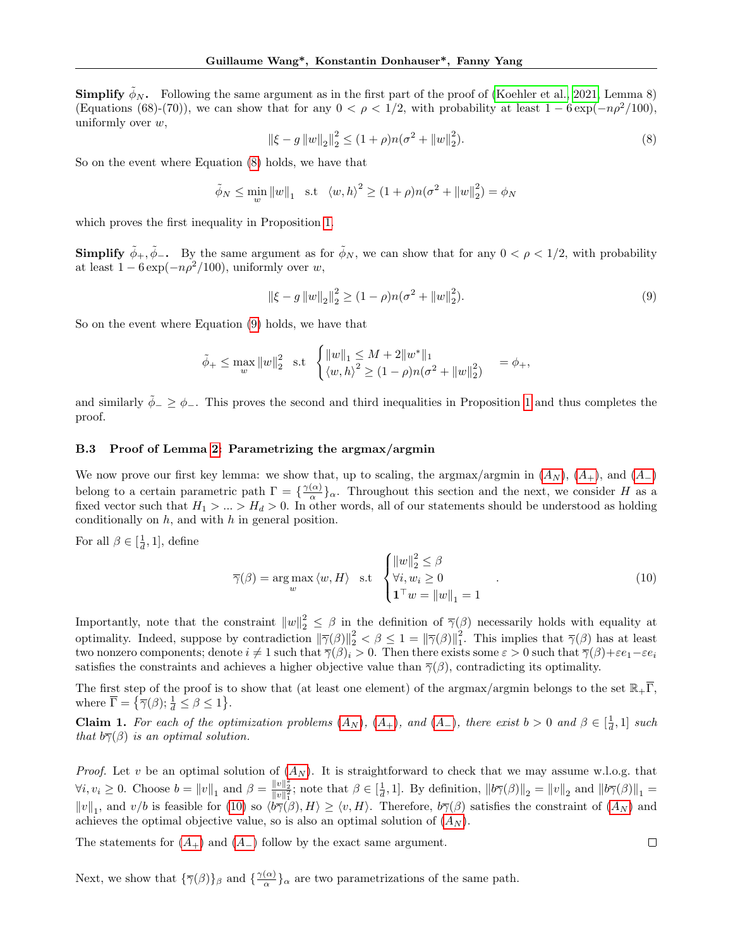**Simplify**  $\phi_N$ . Following the same argument as in the first part of the proof of [\(Koehler et al., 2021,](#page-7-10) Lemma 8) (Equations (68)-(70)), we can show that for any  $0 < \rho < 1/2$ , with probability at least  $1 - 6 \exp(-n\rho^2/100)$ , uniformly over  $w$ ,

<span id="page-18-2"></span>
$$
\|\xi - g\|w\|_2\|_2^2 \le (1 + \rho)n(\sigma^2 + \|w\|_2^2). \tag{8}
$$

So on the event where Equation [\(8\)](#page-18-2) holds, we have that

$$
\tilde{\phi}_N \le \min_w \|w\|_1 \quad \text{s.t} \quad \langle w, h \rangle^2 \ge (1 + \rho)n(\sigma^2 + \|w\|_2^2) = \phi_N
$$

which proves the first inequality in Proposition [1.](#page-10-1)

**Simplify**  $\tilde{\phi}_+, \tilde{\phi}_-$ . By the same argument as for  $\tilde{\phi}_N$ , we can show that for any  $0 < \rho < 1/2$ , with probability at least  $1 - 6 \exp(-n\rho^2/100)$ , uniformly over w,

<span id="page-18-3"></span>
$$
\|\xi - g\|w\|_2\|_2^2 \ge (1 - \rho)n(\sigma^2 + \|w\|_2^2). \tag{9}
$$

So on the event where Equation [\(9\)](#page-18-3) holds, we have that

$$
\tilde{\phi}_{+} \leq \max_{w} \|w\|_{2}^{2} \text{ s.t } \begin{cases} \|w\|_{1} \leq M + 2\|w^{*}\|_{1} \\ \langle w, h \rangle^{2} \geq (1 - \rho)n(\sigma^{2} + \|w\|_{2}^{2}) \end{cases} = \phi_{+},
$$

and similarly  $\tilde{\phi}_-\geq\phi_+$ . This proves the second and third inequalities in Proposition [1](#page-10-1) and thus completes the proof.

#### <span id="page-18-1"></span>B.3 Proof of Lemma [2:](#page-12-2) Parametrizing the argmax/argmin

We now prove our first key lemma: we show that, up to scaling, the argmax/argmin in  $(A_N)$  $(A_N)$  $(A_N)$ ,  $(A_+)$ , and  $(A_-)$ belong to a certain parametric path  $\Gamma = \{ \frac{\gamma(\alpha)}{\alpha} \}$  $\frac{\alpha}{\alpha}$  a. Throughout this section and the next, we consider H as a fixed vector such that  $H_1 > ... > H_d > 0$ . In other words, all of our statements should be understood as holding conditionally on  $h$ , and with  $h$  in general position.

For all  $\beta \in [\frac{1}{d}, 1]$ , define

<span id="page-18-0"></span>
$$
\overline{\gamma}(\beta) = \arg \max_{w} \langle w, H \rangle \quad \text{s.t} \quad \begin{cases} ||w||_2^2 \leq \beta \\ \forall i, w_i \geq 0 \\ \mathbf{1}^\top w = ||w||_1 = 1 \end{cases} \tag{10}
$$

Importantly, note that the constraint  $||w||_2^2 \leq \beta$  in the definition of  $\overline{\gamma}(\beta)$  necessarily holds with equality at optimality. Indeed, suppose by contradiction  $\|\overline{\gamma}(\beta)\|_2^2 < \beta \leq 1 = \|\overline{\gamma}(\beta)\|_1^2$ . This implies that  $\overline{\gamma}(\beta)$  has at least two nonzero components; denote  $i \neq 1$  such that  $\overline{\gamma}(\beta)_i > 0$ . Then there exists some  $\varepsilon > 0$  such that  $\overline{\gamma}(\beta) + \varepsilon e_1 - \varepsilon e_i$ satisfies the constraints and achieves a higher objective value than  $\overline{\gamma}(\beta)$ , contradicting its optimality.

The first step of the proof is to show that (at least one element) of the argmax/argmin belongs to the set  $\mathbb{R}_+\overline{\Gamma}$ , where  $\overline{\Gamma} = \{ \overline{\gamma}(\beta) ; \frac{1}{d} \le \beta \le 1 \}.$ 

**Claim 1.** For each of the optimization problems  $(A_N)$  $(A_N)$  $(A_N)$ ,  $(A_+)$ , and  $(A_-)$ , there exist  $b > 0$  and  $\beta \in \left[\frac{1}{d}, 1\right]$  such that  $b\bar{\gamma}(\beta)$  is an optimal solution.

*Proof.* Let v be an optimal solution of  $(A_N)$  $(A_N)$  $(A_N)$ . It is straightforward to check that we may assume w.l.o.g. that  $\forall i, v_i \geq 0$ . Choose  $b = ||v||_1$  and  $\beta = \frac{||v||_2^2}{||v||_1^2}$ ; note that  $\beta \in [\frac{1}{d}, 1]$ . By definition,  $||b\overline{\gamma}(\beta)||_2 = ||v||_2$  and  $||b\overline{\gamma}(\beta)||_1 =$  $||v||_1$ , and  $v/b$  is feasible for [\(10\)](#page-18-0) so  $\langle b\overline{\gamma}(\beta), H \rangle \ge \langle v, H \rangle$ . Therefore,  $b\overline{\gamma}(\beta)$  satisfies the constraint of  $(A_N)$  $(A_N)$  $(A_N)$  and achieves the optimal objective value, so is also an optimal solution of  $(A_N)$  $(A_N)$  $(A_N)$ .

The statements for  $(A_{+})$  $(A_{+})$  $(A_{+})$  and  $(A_{-})$  follow by the exact same argument.

Next, we show that  $\{\overline{\gamma}(\beta)\}_\beta$  and  $\{\frac{\gamma(\alpha)}{\alpha}$  $\frac{\alpha}{\alpha}$ , are two parametrizations of the same path.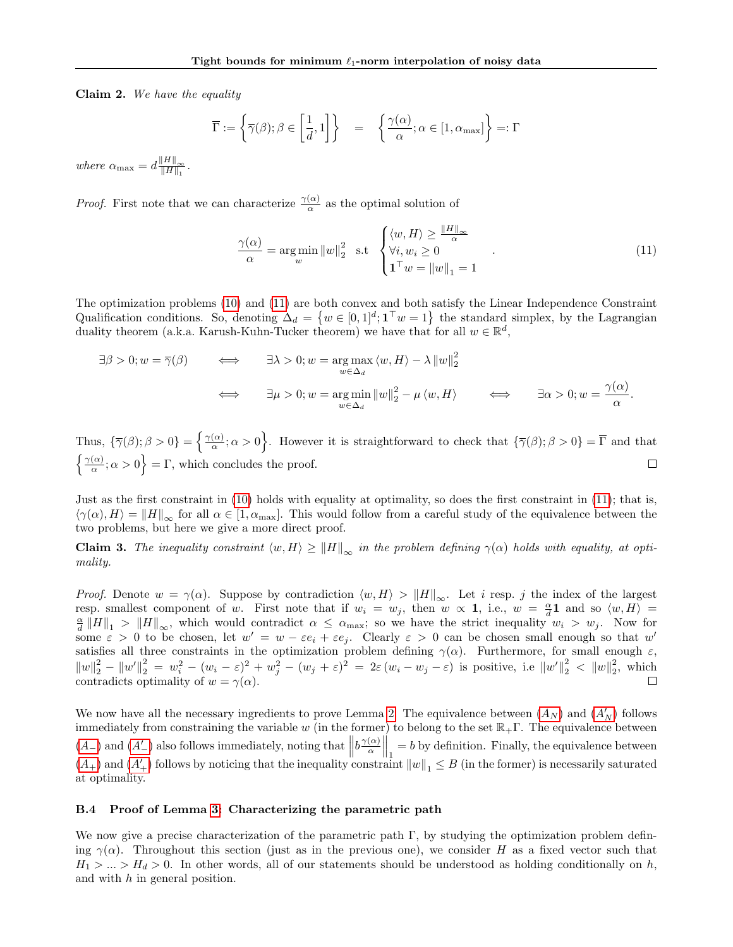Claim 2. We have the equality

$$
\overline{\Gamma} := \left\{ \overline{\gamma}(\beta); \beta \in \left[ \frac{1}{d}, 1 \right] \right\} = \left\{ \frac{\gamma(\alpha)}{\alpha}; \alpha \in [1, \alpha_{\max}] \right\} =: \Gamma
$$

where  $\alpha_{\text{max}} = d \frac{\Vert H \Vert_{\infty}}{\Vert H \Vert_{\infty}}$  $\frac{\Vert H \Vert_\infty}{\Vert H \Vert_1}$ .

*Proof.* First note that we can characterize  $\frac{\gamma(\alpha)}{\alpha}$  as the optimal solution of

<span id="page-19-1"></span>
$$
\frac{\gamma(\alpha)}{\alpha} = \underset{w}{\arg\min} \|w\|_2^2 \quad \text{s.t} \quad \begin{cases} \langle w, H \rangle \ge \frac{\|H\|_\infty}{\alpha} \\ \forall i, w_i \ge 0 \\ \mathbf{1}^\top w = \|w\|_1 = 1 \end{cases} \tag{11}
$$

The optimization problems [\(10\)](#page-18-0) and [\(11\)](#page-19-1) are both convex and both satisfy the Linear Independence Constraint Qualification conditions. So, denoting  $\Delta_d = \{w \in [0,1]^d; \mathbf{1}^\top w = 1\}$  the standard simplex, by the Lagrangian duality theorem (a.k.a. Karush-Kuhn-Tucker theorem) we have that for all  $w \in \mathbb{R}^d$ ,

$$
\exists \beta > 0; w = \overline{\gamma}(\beta) \qquad \Longleftrightarrow \qquad \exists \lambda > 0; w = \underset{w \in \Delta_d}{\arg \max} \langle w, H \rangle - \lambda \|w\|_2^2
$$

$$
\implies \qquad \exists \mu > 0; w = \underset{w \in \Delta_d}{\arg \min} \|w\|_2^2 - \mu \langle w, H \rangle \qquad \Longleftrightarrow \qquad \exists \alpha > 0; w = \frac{\gamma(\alpha)}{\alpha}.
$$

Thus,  $\{\overline{\gamma}(\beta); \beta > 0\} = \left\{\frac{\gamma(\alpha)}{\alpha}\right\}$  $\{\frac{\alpha}{\alpha}; \alpha > 0\}$ . However it is straightforward to check that  $\{\overline{\gamma}(\beta); \beta > 0\} = \overline{\Gamma}$  and that  $\int \gamma(\alpha)$  $\left\{\frac{\alpha}{\alpha}; \alpha > 0\right\} = \Gamma$ , which concludes the proof.  $\Box$ 

Just as the first constraint in [\(10\)](#page-18-0) holds with equality at optimality, so does the first constraint in [\(11\)](#page-19-1); that is,  $\langle \gamma(\alpha), H \rangle = ||H||_{\infty}$  for all  $\alpha \in [1, \alpha_{\text{max}}]$ . This would follow from a careful study of the equivalence between the two problems, but here we give a more direct proof.

<span id="page-19-2"></span>**Claim 3.** The inequality constraint  $\langle w, H \rangle \ge ||H||_{\infty}$  in the problem defining  $\gamma(\alpha)$  holds with equality, at optimality.

*Proof.* Denote  $w = \gamma(\alpha)$ . Suppose by contradiction  $\langle w, H \rangle > ||H||_{\infty}$ . Let i resp. j the index of the largest resp. smallest component of w. First note that if  $w_i = w_j$ , then  $w \propto 1$ , i.e.,  $w = \frac{\alpha}{d} \mathbf{1}$  and so  $\langle w, H \rangle =$  $\frac{\alpha}{d} ||H||_1 > ||H||_{\infty}$ , which would contradict  $\alpha \leq \alpha_{\max}$ ; so we have the strict inequality  $w_i > w_j$ . Now for some  $\varepsilon > 0$  to be chosen, let  $w' = w - \varepsilon e_i + \varepsilon e_j$ . Clearly  $\varepsilon > 0$  can be chosen small enough so that w' satisfies all three constraints in the optimization problem defining  $\gamma(\alpha)$ . Furthermore, for small enough  $\varepsilon$ ,  $||w||_2^2 - ||w'||_2^2 = w_i^2 - (w_i - \varepsilon)^2 + w_j^2 - (w_j + \varepsilon)^2 = 2\varepsilon (w_i - w_j - \varepsilon)$  is positive, i.e  $||w'||_2^2 < ||w||_2^2$ , which contradicts optimality of  $w = \gamma(\alpha)$ . П

We now have all the necessary ingredients to prove Lemma [2.](#page-12-2) The equivalence between  $(A_N)$  $(A_N)$  $(A_N)$  and  $(A'_N)$  follows immediately from constraining the variable w (in the former) to belong to the set  $\mathbb{R}_+$ Γ. The equivalence between  $(A_{-})$  $(A_{-})$  $(A_{-})$  and  $(A'_{-})$  also follows immediately, noting that  $||b^{\gamma(\alpha)}_{\alpha}||$  $\left\| \frac{\alpha}{\alpha} \right\|_1 = b$  by definition. Finally, the equivalence between  $(A_{+})$  $(A_{+})$  $(A_{+})$  and  $(A'_{+})$  follows by noticing that the inequality constraint  $||w||_1 \leq B$  (in the former) is necessarily saturated at optimality.

# <span id="page-19-0"></span>B.4 Proof of Lemma [3:](#page-13-0) Characterizing the parametric path

We now give a precise characterization of the parametric path Γ, by studying the optimization problem defining  $\gamma(\alpha)$ . Throughout this section (just as in the previous one), we consider H as a fixed vector such that  $H_1 > ... > H_d > 0$ . In other words, all of our statements should be understood as holding conditionally on h, and with h in general position.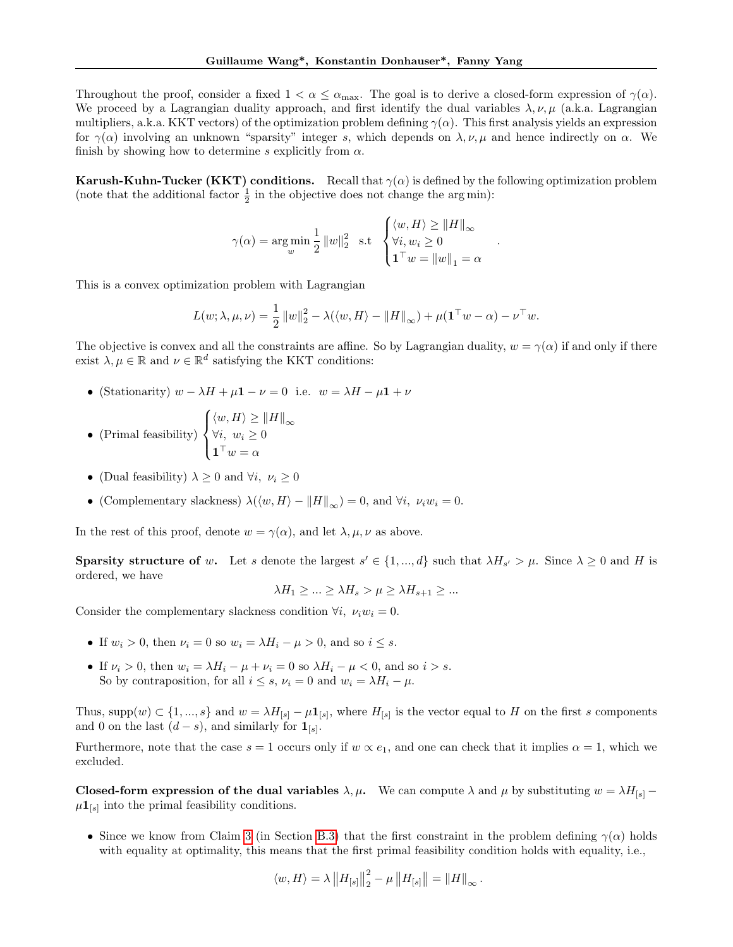Throughout the proof, consider a fixed  $1 < \alpha \le \alpha_{\text{max}}$ . The goal is to derive a closed-form expression of  $\gamma(\alpha)$ . We proceed by a Lagrangian duality approach, and first identify the dual variables  $\lambda, \nu, \mu$  (a.k.a. Lagrangian multipliers, a.k.a. KKT vectors) of the optimization problem defining  $\gamma(\alpha)$ . This first analysis yields an expression for  $\gamma(\alpha)$  involving an unknown "sparsity" integer s, which depends on  $\lambda, \nu, \mu$  and hence indirectly on  $\alpha$ . We finish by showing how to determine s explicitly from  $\alpha$ .

**Karush-Kuhn-Tucker (KKT) conditions.** Recall that  $\gamma(\alpha)$  is defined by the following optimization problem (note that the additional factor  $\frac{1}{2}$  in the objective does not change the argmin):

$$
\gamma(\alpha) = \argmin_{w} \frac{1}{2} ||w||_2^2 \text{ s.t } \begin{cases} \langle w, H \rangle \ge ||H||_{\infty} \\ \forall i, w_i \ge 0 \\ \mathbf{1}^\top w = ||w||_1 = \alpha \end{cases}
$$

.

This is a convex optimization problem with Lagrangian

$$
L(w; \lambda, \mu, \nu) = \frac{1}{2} ||w||_2^2 - \lambda(\langle w, H \rangle - ||H||_{\infty}) + \mu(\mathbf{1}^\top w - \alpha) - \nu^\top w.
$$

The objective is convex and all the constraints are affine. So by Lagrangian duality,  $w = \gamma(\alpha)$  if and only if there exist  $\lambda, \mu \in \mathbb{R}$  and  $\nu \in \mathbb{R}^d$  satisfying the KKT conditions:

• (Stationarity)  $w - \lambda H + \mu \mathbf{1} - \nu = 0$  i.e.  $w = \lambda H - \mu \mathbf{1} + \nu$ 

• (Primal feasibility) 
$$
\begin{cases} \langle w, H \rangle \ge ||H||_{\infty} \\ \forall i, w_i \ge 0 \\ \mathbf{1}^\top w = \alpha \end{cases}
$$

- (Dual feasibility)  $\lambda \geq 0$  and  $\forall i, \nu_i \geq 0$
- (Complementary slackness)  $\lambda(\langle w, H \rangle ||H||_{\infty}) = 0$ , and  $\forall i, \nu_i w_i = 0$ .

In the rest of this proof, denote  $w = \gamma(\alpha)$ , and let  $\lambda, \mu, \nu$  as above.

**Sparsity structure of w.** Let s denote the largest  $s' \in \{1, ..., d\}$  such that  $\lambda H_{s'} > \mu$ . Since  $\lambda \geq 0$  and H is ordered, we have

$$
\lambda H_1 \geq \ldots \geq \lambda H_s > \mu \geq \lambda H_{s+1} \geq \ldots
$$

Consider the complementary slackness condition  $\forall i, \nu_i w_i = 0$ .

- If  $w_i > 0$ , then  $\nu_i = 0$  so  $w_i = \lambda H_i \mu > 0$ , and so  $i \leq s$ .
- If  $\nu_i > 0$ , then  $w_i = \lambda H_i \mu + \nu_i = 0$  so  $\lambda H_i \mu < 0$ , and so  $i > s$ . So by contraposition, for all  $i \leq s$ ,  $\nu_i = 0$  and  $w_i = \lambda H_i - \mu$ .

Thus, supp $(w) \subset \{1, ..., s\}$  and  $w = \lambda H_{[s]} - \mu \mathbf{1}_{[s]}$ , where  $H_{[s]}$  is the vector equal to H on the first s components and 0 on the last  $(d-s)$ , and similarly for  $\mathbf{1}_{[s]}$ .

Furthermore, note that the case  $s = 1$  occurs only if  $w \propto e_1$ , and one can check that it implies  $\alpha = 1$ , which we excluded.

Closed-form expression of the dual variables  $\lambda, \mu$ . We can compute  $\lambda$  and  $\mu$  by substituting  $w = \lambda H_{[s]}$  –  $\mu \mathbf{1}_{[s]}$  into the primal feasibility conditions.

• Since we know from Claim [3](#page-19-2) (in Section [B.3\)](#page-18-1) that the first constraint in the problem defining  $\gamma(\alpha)$  holds with equality at optimality, this means that the first primal feasibility condition holds with equality, i.e.,

$$
\langle w, H \rangle = \lambda \left\| H_{[s]} \right\|_2^2 - \mu \left\| H_{[s]} \right\| = \left\| H \right\|_{\infty}.
$$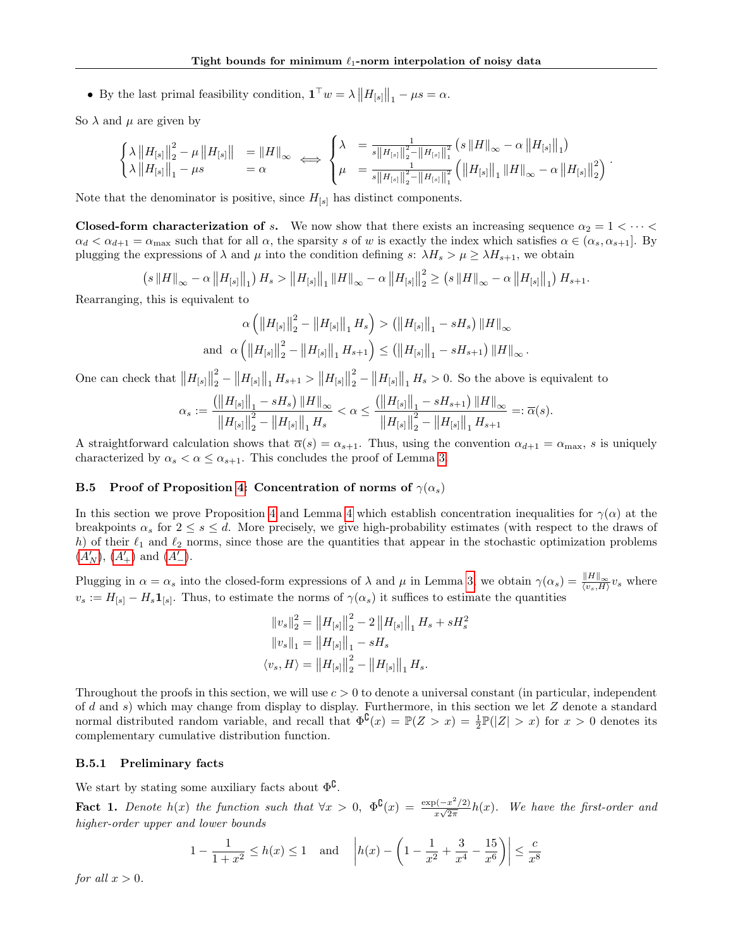• By the last primal feasibility condition,  $\mathbf{1}^\top w = \lambda ||H_{[s]}||_1 - \mu s = \alpha$ .

So  $\lambda$  and  $\mu$  are given by

$$
\begin{cases}\lambda \left\|H_{[s]}\right\|_{2}^{2} - \mu \left\|H_{[s]}\right\| &= \left\|H\right\|_{\infty} \\
\lambda \left\|H_{[s]}\right\|_{1} - \mu s &= \alpha\n\end{cases}\n\Longleftrightarrow\n\begin{cases}\n\lambda = \frac{1}{s\left\|H_{[s]}\right\|_{2}^{2} - \left\|H_{[s]}\right\|_{1}^{2}} \left(s\left\|H\right\|_{\infty} - \alpha \left\|H_{[s]}\right\|_{1}\right) \\
\mu = \frac{1}{s\left\|H_{[s]}\right\|_{2}^{2} - \left\|H_{[s]}\right\|_{1}^{2}} \left(\left\|H_{[s]}\right\|_{1} \left\|H\right\|_{\infty} - \alpha \left\|H_{[s]}\right\|_{2}^{2}\right).\n\end{cases}
$$

Note that the denominator is positive, since  $H_{[s]}$  has distinct components.

**Closed-form characterization of s.** We now show that there exists an increasing sequence  $\alpha_2 = 1 \lt \cdots \lt \blacktriangleleft$  $\alpha_d < \alpha_{d+1} = \alpha_{\text{max}}$  such that for all  $\alpha$ , the sparsity s of w is exactly the index which satisfies  $\alpha \in (\alpha_s, \alpha_{s+1}]$ . By plugging the expressions of  $\lambda$  and  $\mu$  into the condition defining s:  $\lambda H_s > \mu \geq \lambda H_{s+1}$ , we obtain

> $(s \|H\|_{\infty} - \alpha \|H_{[s]}\|_{1}) H_{s} > \|H_{[s]}\|_{1} \|H\|_{\infty} - \alpha \|H_{[s]}\|$ 2  $\frac{2}{2} \geq (s \|H\|_{\infty} - \alpha \|H_{[s]}\|_{1}) H_{s+1}.$

Rearranging, this is equivalent to

$$
\alpha \left( \left\| H_{[s]} \right\|_{2}^{2} - \left\| H_{[s]} \right\|_{1} H_{s} \right) > \left( \left\| H_{[s]} \right\|_{1} - sH_{s} \right) \left\| H \right\|_{\infty}
$$
  
and 
$$
\alpha \left( \left\| H_{[s]} \right\|_{2}^{2} - \left\| H_{[s]} \right\|_{1} H_{s+1} \right) \leq \left( \left\| H_{[s]} \right\|_{1} - sH_{s+1} \right) \left\| H \right\|_{\infty}.
$$

One can check that  $||H_{[s]}||$ 2  $\frac{2}{2} - \|H_{[s]}\|_1 H_{s+1} > \|H_{[s]}\|$ 2  $\frac{2}{2} - ||H_{[s]}||_1$   $H_s > 0$ . So the above is equivalent to

$$
\alpha_s := \frac{\left( \left\| H_{[s]} \right\|_1 - sH_s \right) \left\| H \right\|_{\infty}}{\left\| H_{[s]} \right\|_2^2 - \left\| H_{[s]} \right\|_1 H_s} < \alpha \le \frac{\left( \left\| H_{[s]} \right\|_1 - sH_{s+1} \right) \left\| H \right\|_{\infty}}{\left\| H_{[s]} \right\|_2^2 - \left\| H_{[s]} \right\|_1 H_{s+1}} =: \overline{\alpha}(s).
$$

A straightforward calculation shows that  $\overline{\alpha}(s) = \alpha_{s+1}$ . Thus, using the convention  $\alpha_{d+1} = \alpha_{\max}$ , s is uniquely characterized by  $\alpha_s < \alpha \leq \alpha_{s+1}$ . This concludes the proof of Lemma [3.](#page-13-0)

# <span id="page-21-0"></span>B.5 Proof of Proposition [4:](#page-13-1) Concentration of norms of  $\gamma(\alpha_s)$

In this section we prove Proposition [4](#page-13-5) and Lemma 4 which establish concentration inequalities for  $\gamma(\alpha)$  at the breakpoints  $\alpha_s$  for  $2 \leq s \leq d$ . More precisely, we give high-probability estimates (with respect to the draws of h) of their  $\ell_1$  and  $\ell_2$  norms, since those are the quantities that appear in the stochastic optimization problems  $(A'_N)$  $(A'_N)$  $(A'_N)$ ,  $(A'_+)$  and  $(A'_-)$ .

Plugging in  $\alpha = \alpha_s$  into the closed-form expressions of  $\lambda$  and  $\mu$  in Lemma [3,](#page-13-0) we obtain  $\gamma(\alpha_s) = \frac{\|H\|_{\infty}}{\langle v_s, H \rangle} v_s$  where  $v_s := H_{[s]} - H_s \mathbf{1}_{[s]}$ . Thus, to estimate the norms of  $\gamma(\alpha_s)$  it suffices to estimate the quantities

$$
\begin{aligned} \|v_s\|_2^2 &= \left\|H_{[s]}\right\|_2^2 - 2\left\|H_{[s]}\right\|_1 H_s + sH_s^2\\ \|v_s\|_1 &= \left\|H_{[s]}\right\|_1 - sH_s\\ \langle v_s, H \rangle &= \left\|H_{[s]}\right\|_2^2 - \left\|H_{[s]}\right\|_1 H_s. \end{aligned}
$$

Throughout the proofs in this section, we will use  $c > 0$  to denote a universal constant (in particular, independent of d and s) which may change from display to display. Furthermore, in this section we let Z denote a standard normal distributed random variable, and recall that  $\Phi^{\mathsf{C}}(x) = \mathbb{P}(Z > x) = \frac{1}{2}\mathbb{P}(|Z| > x)$  for  $x > 0$  denotes its complementary cumulative distribution function.

## B.5.1 Preliminary facts

We start by stating some auxiliary facts about  $\Phi^{\complement}$ .

<span id="page-21-1"></span>**Fact 1.** Denote  $h(x)$  the function such that  $\forall x > 0$ ,  $\Phi^{\complement}(x) = \frac{\exp(-x^2/2)}{\sqrt{2\pi}}$  $\frac{\partial (-x^2/2)}{\partial x \sqrt{2\pi}} h(x)$ . We have the first-order and higher-order upper and lower bounds

$$
1 - \frac{1}{1+x^2} \le h(x) \le 1 \quad \text{and} \quad \left| h(x) - \left( 1 - \frac{1}{x^2} + \frac{3}{x^4} - \frac{15}{x^6} \right) \right| \le \frac{c}{x^8}
$$

for all  $x > 0$ .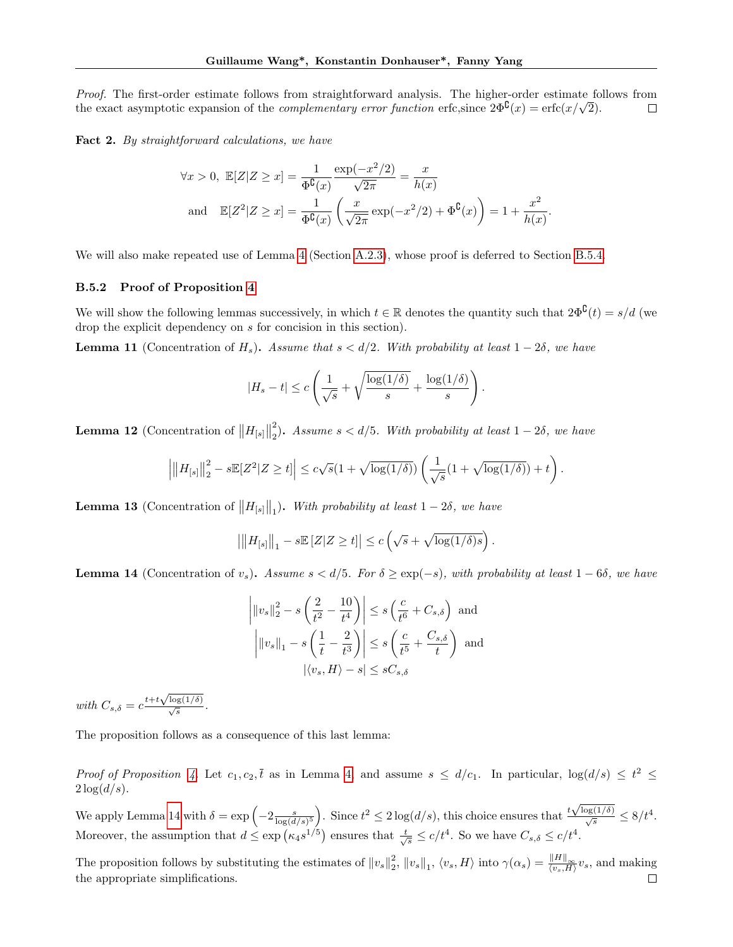Proof. The first-order estimate follows from straightforward analysis. The higher-order estimate follows from *Proof.* The first-order estimate follows from straightforward analysis. The higher-order estimate for the exact asymptotic expansion of the *complementary error function* erfc, since  $2\Phi^{\mathsf{C}}(x) = \text{erfc}(x/\sqrt{2})$ .  $\Box$ 

<span id="page-22-4"></span>Fact 2. By straightforward calculations, we have

$$
\forall x > 0, \ \mathbb{E}[Z|Z \ge x] = \frac{1}{\Phi^{\mathbb{G}}(x)} \frac{\exp(-x^2/2)}{\sqrt{2\pi}} = \frac{x}{h(x)}
$$
  
and 
$$
\mathbb{E}[Z^2|Z \ge x] = \frac{1}{\Phi^{\mathbb{G}}(x)} \left(\frac{x}{\sqrt{2\pi}} \exp(-x^2/2) + \Phi^{\mathbb{G}}(x)\right) = 1 + \frac{x^2}{h(x)}
$$

.

We will also make repeated use of Lemma [4](#page-13-5) (Section [A.2.3\)](#page-13-3), whose proof is deferred to Section [B.5.4.](#page-25-1)

# B.5.2 Proof of Proposition [4](#page-13-1)

We will show the following lemmas successively, in which  $t \in \mathbb{R}$  denotes the quantity such that  $2\Phi^{\complement}(t) = s/d$  (we drop the explicit dependency on s for concision in this section).

<span id="page-22-1"></span>**Lemma 11** (Concentration of  $H_s$ ). Assume that  $s < d/2$ . With probability at least  $1 - 2\delta$ , we have

$$
|H_s - t| \leq c \left( \frac{1}{\sqrt{s}} + \sqrt{\frac{\log(1/\delta)}{s}} + \frac{\log(1/\delta)}{s} \right).
$$

<span id="page-22-2"></span>**Lemma 12** (Concentration of  $||H_{[s]}||$ 2 <sup>2</sup>). Assume  $s < d/5$ . With probability at least  $1 - 2\delta$ , we have

$$
\left|\left\|H_{[s]}\right\|_2^2 - s\mathbb{E}[Z^2|Z\geq t]\right| \leq c\sqrt{s}(1+\sqrt{\log(1/\delta)})\left(\frac{1}{\sqrt{s}}(1+\sqrt{\log(1/\delta)})+t\right).
$$

<span id="page-22-3"></span>**Lemma 13** (Concentration of  $||H_{[s]}||_1$ ). With probability at least  $1-2\delta$ , we have

$$
\left|\left|\left|H_{[s]}\right|\right|_1 - s\mathbb{E}\left[Z|Z \geq t\right]\right| \leq c\left(\sqrt{s} + \sqrt{\log(1/\delta)s}\right).
$$

<span id="page-22-0"></span>**Lemma 14** (Concentration of v<sub>s</sub>). Assume  $s < d/5$ . For  $\delta \geq \exp(-s)$ , with probability at least  $1-6\delta$ , we have

$$
\left| \|v_s\|_2^2 - s\left(\frac{2}{t^2} - \frac{10}{t^4}\right) \right| \le s\left(\frac{c}{t^6} + C_{s,\delta}\right) \text{ and}
$$

$$
\left| \|v_s\|_1 - s\left(\frac{1}{t} - \frac{2}{t^3}\right) \right| \le s\left(\frac{c}{t^5} + \frac{C_{s,\delta}}{t}\right) \text{ and}
$$

$$
|\langle v_s, H \rangle - s| \le sC_{s,\delta}
$$

with  $C_{s,\delta} = c \frac{t + t \sqrt{\log(1/\delta)}}{\sqrt{s}}$ .

The proposition follows as a consequence of this last lemma:

Proof of Proposition [4.](#page-13-1) Let  $c_1, c_2, \overline{t}$  as in Lemma [4,](#page-13-5) and assume  $s \leq d/c_1$ . In particular,  $\log(d/s) \leq t^2 \leq$  $2\log(d/s)$ .

We apply Lemma [14](#page-22-0) with  $\delta = \exp\left(-2\frac{s}{\log(d/s)^5}\right)$ . Since  $t^2 \leq 2\log(d/s)$ , this choice ensures that  $\frac{t^2}{a}$  $\frac{\sqrt{\log(1/\delta)}}{\sqrt{s}} \leq 8/t^4.$ Moreover, the assumption that  $d \le \exp(\kappa_4 s^{1/5})$  ensures that  $\frac{t}{\sqrt{s}} \le c/t^4$ . So we have  $C_{s,\delta} \le c/t^4$ .

The proposition follows by substituting the estimates of  $||v_s||_2^2$ ,  $||v_s||_1$ ,  $\langle v_s, H \rangle$  into  $\gamma(\alpha_s) = \frac{||H||_{\infty}}{\langle v_s, H \rangle} v_s$ , and making the appropriate simplifications. $\Box$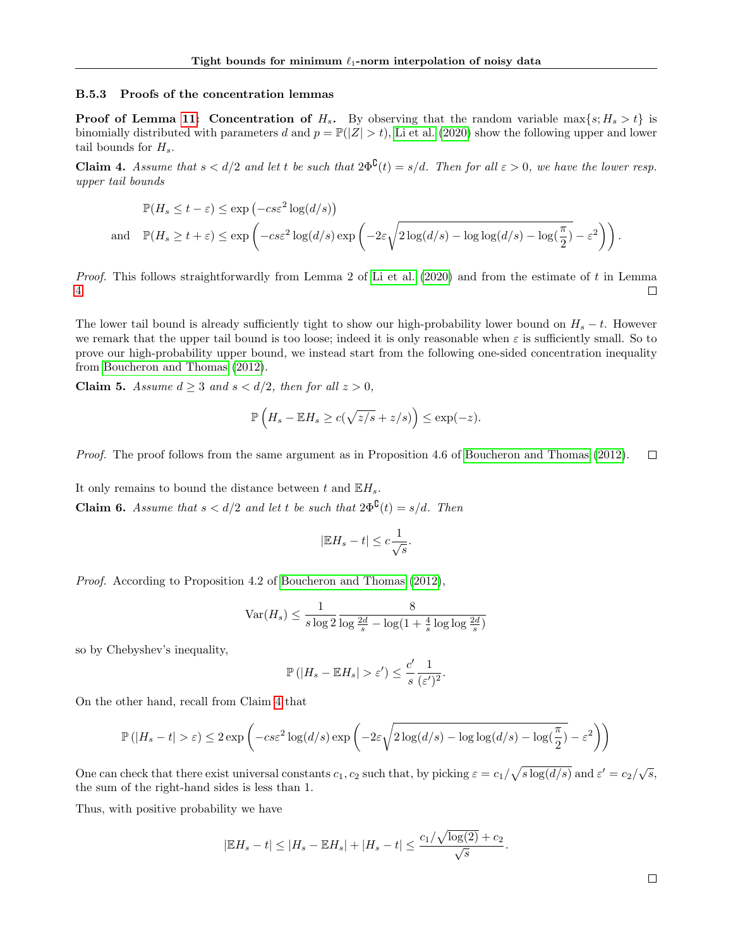#### B.5.3 Proofs of the concentration lemmas

**Proof of Lemma [11:](#page-22-1) Concentration of H<sub>s</sub>.** By observing that the random variable max $\{s; H_s > t\}$  is binomially distributed with parameters d and  $p = \mathbb{P}(|Z| > t)$ , [Li et al. \(2020\)](#page-7-24) show the following upper and lower tail bounds for  $H_s$ .

<span id="page-23-0"></span>**Claim 4.** Assume that  $s < d/2$  and let t be such that  $2\Phi^{\mathbb{C}}(t) = s/d$ . Then for all  $\varepsilon > 0$ , we have the lower resp. upper tail bounds

$$
\mathbb{P}(H_s \le t - \varepsilon) \le \exp(-cs\varepsilon^2 \log(d/s))
$$
  
and 
$$
\mathbb{P}(H_s \ge t + \varepsilon) \le \exp(-cs\varepsilon^2 \log(d/s) \exp\left(-2\varepsilon \sqrt{2\log(d/s) - \log\log(d/s) - \log(\frac{\pi}{2})} - \varepsilon^2\right)\right).
$$

*Proof.* This follows straightforwardly from Lemma 2 of [Li et al. \(2020\)](#page-7-24) and from the estimate of t in Lemma [4.](#page-13-5) П

The lower tail bound is already sufficiently tight to show our high-probability lower bound on  $H_s - t$ . However we remark that the upper tail bound is too loose; indeed it is only reasonable when  $\varepsilon$  is sufficiently small. So to prove our high-probability upper bound, we instead start from the following one-sided concentration inequality from [Boucheron and Thomas \(2012\)](#page-7-23).

**Claim 5.** Assume  $d \geq 3$  and  $s < d/2$ , then for all  $z > 0$ ,

$$
\mathbb{P}\left(H_s - \mathbb{E}H_s \ge c(\sqrt{z/s} + z/s)\right) \le \exp(-z).
$$

Proof. The proof follows from the same argument as in Proposition 4.6 of [Boucheron and Thomas \(2012\)](#page-7-23).  $\Box$ 

It only remains to bound the distance between t and  $\mathbb{E}H_s$ . **Claim 6.** Assume that  $s < d/2$  and let t be such that  $2\Phi^{\mathcal{C}}(t) = s/d$ . Then

$$
|\mathbb{E} H_s - t| \leq c \frac{1}{\sqrt{s}}.
$$

Proof. According to Proposition 4.2 of [Boucheron and Thomas \(2012\)](#page-7-23),

$$
\text{Var}(H_s) \le \frac{1}{s \log 2} \frac{8}{\log \frac{2d}{s} - \log(1 + \frac{4}{s} \log \log \frac{2d}{s})}
$$

so by Chebyshev's inequality,

$$
\mathbb{P}\left(|H_s - \mathbb{E} H_s| > \varepsilon'\right) \leq \frac{c'}{s} \frac{1}{(\varepsilon')^2}.
$$

On the other hand, recall from Claim [4](#page-23-0) that

$$
\mathbb{P}\left(|H_s - t| > \varepsilon\right) \le 2\exp\left(-c s \varepsilon^2 \log(d/s) \exp\left(-2\varepsilon \sqrt{2\log(d/s) - \log\log(d/s) - \log(\frac{\pi}{2})} - \varepsilon^2\right)\right)
$$

One can check that there exist universal constants  $c_1, c_2$  such that, by picking  $\varepsilon = c_1/\sqrt{s \log(d/s)}$  and  $\varepsilon' = c_2/\sqrt{s}$ , the sum of the right-hand sides is less than 1.

Thus, with positive probability we have

$$
|\mathbb{E}H_s - t| \le |H_s - \mathbb{E}H_s| + |H_s - t| \le \frac{c_1/\sqrt{\log(2)} + c_2}{\sqrt{s}}.
$$

 $\Box$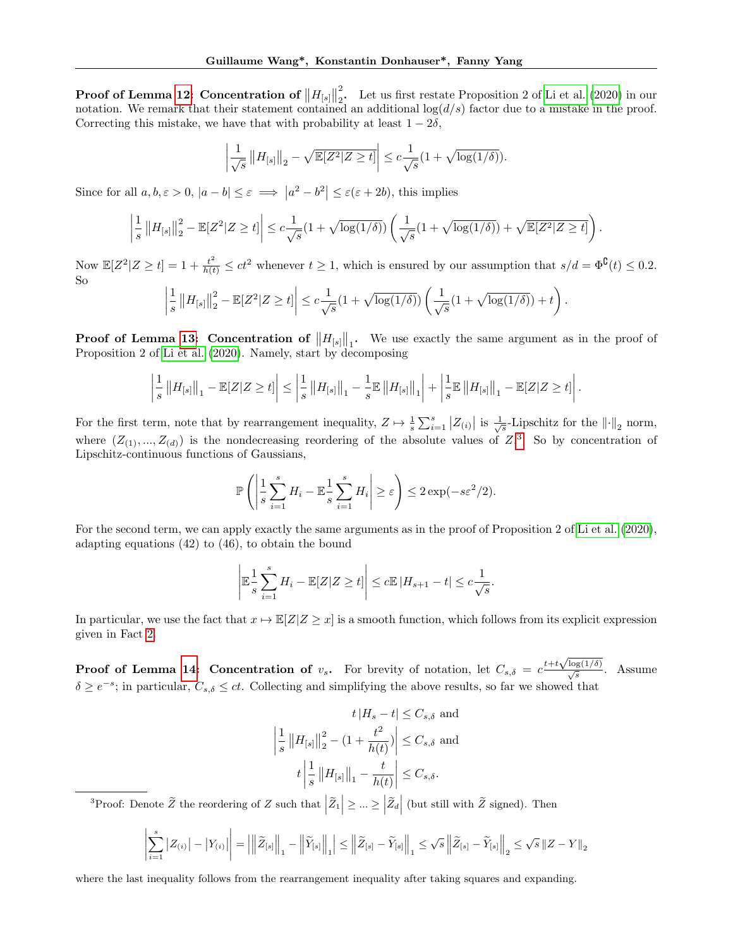$\text{Proof of Lemma 12:}\text{Concentration of } \left\Vert H_{[s]} \right\Vert$  $\text{Proof of Lemma 12:}\text{Concentration of } \left\Vert H_{[s]} \right\Vert$  $\text{Proof of Lemma 12:}\text{Concentration of } \left\Vert H_{[s]} \right\Vert$ 2  $\frac{2}{2}$ . Let us first restate Proposition 2 of [Li et al. \(2020\)](#page-7-24) in our notation. We remark that their statement contained an additional  $log(d/s)$  factor due to a mistake in the proof. Correcting this mistake, we have that with probability at least  $1 - 2\delta$ ,

$$
\left|\frac{1}{\sqrt{s}}\left\|H_{[s]}\right\|_2 - \sqrt{\mathbb{E}[Z^2|Z\geq t]}\right| \leq c\frac{1}{\sqrt{s}}\left(1 + \sqrt{\log(1/\delta)}\right).
$$

Since for all  $a, b, \varepsilon > 0$ ,  $|a - b| \le \varepsilon \implies |a^2 - b^2| \le \varepsilon (\varepsilon + 2b)$ , this implies

$$
\left|\frac{1}{s}\left\|H_{[s]}\right\|_2^2 - \mathbb{E}[Z^2|Z\geq t]\right| \leq c\frac{1}{\sqrt{s}}\left(1+\sqrt{\log(1/\delta)}\right)\left(\frac{1}{\sqrt{s}}\left(1+\sqrt{\log(1/\delta)}\right)+\sqrt{\mathbb{E}[Z^2|Z\geq t]}\right).
$$

Now  $\mathbb{E}[Z^2|Z \ge t] = 1 + \frac{t^2}{h(t)} \le ct^2$  whenever  $t \ge 1$ , which is ensured by our assumption that  $s/d = \Phi^{\complement}(t) \le 0.2$ . So

$$
\left|\frac{1}{s}\left\|H_{[s]}\right\|_{2}^{2}-\mathbb{E}[Z^{2}|Z\geq t]\right|\leq c\frac{1}{\sqrt{s}}(1+\sqrt{\log(1/\delta)})\left(\frac{1}{\sqrt{s}}(1+\sqrt{\log(1/\delta)})+t\right).
$$

**Proof of Lemma [13:](#page-22-3) Concentration of**  $||H_{[s]}||_1$ . We use exactly the same argument as in the proof of Proposition 2 of [Li et al. \(2020\)](#page-7-24). Namely, start by decomposing

$$
\left|\frac{1}{s}\left\|H_{[s]}\right\|_{1}-\mathbb{E}[Z|Z\geq t]\right|\leq\left|\frac{1}{s}\left\|H_{[s]}\right\|_{1}-\frac{1}{s}\mathbb{E}\left\|H_{[s]}\right\|_{1}\right|+\left|\frac{1}{s}\mathbb{E}\left\|H_{[s]}\right\|_{1}-\mathbb{E}[Z|Z\geq t]\right|.
$$

For the first term, note that by rearrangement inequality,  $Z \mapsto \frac{1}{s} \sum_{i=1}^{s} |Z_{(i)}|$  is  $\frac{1}{\sqrt{s}}$ -Lipschitz for the  $\|\cdot\|_2$  norm, where  $(Z_{(1)},...,Z_{(d)})$  is the nondecreasing reordering of the absolute values of  $Z$ <sup>[3](#page-24-0)</sup>. So by concentration of Lipschitz-continuous functions of Gaussians,

$$
\mathbb{P}\left(\left|\frac{1}{s}\sum_{i=1}^s H_i - \mathbb{E}\frac{1}{s}\sum_{i=1}^s H_i\right| \geq \varepsilon\right) \leq 2\exp(-s\varepsilon^2/2).
$$

For the second term, we can apply exactly the same arguments as in the proof of Proposition 2 of [Li et al. \(2020\)](#page-7-24), adapting equations (42) to (46), to obtain the bound

$$
\left|\mathbb{E}\frac{1}{s}\sum_{i=1}^s H_i - \mathbb{E}[Z|Z\geq t]\right| \leq c\mathbb{E}|H_{s+1} - t| \leq c\frac{1}{\sqrt{s}}.
$$

In particular, we use the fact that  $x \mapsto \mathbb{E}[Z|Z \geq x]$  is a smooth function, which follows from its explicit expression given in Fact [2.](#page-22-4)

**Proof of Lemma [14:](#page-22-0) Concentration of**  $v_s$ . For brevity of notation, let  $C_{s,\delta} = c \frac{t + t \sqrt{\log(1/\delta)}}{\sqrt{s}}$ . Assume  $\delta \geq e^{-s}$ ; in particular,  $C_{s,\delta} \leq ct$ . Collecting and simplifying the above results, so far we showed that

$$
t | H_s - t | \leq C_{s,\delta} \text{ and}
$$
  

$$
\left| \frac{1}{s} ||H_{[s]}||_2^2 - (1 + \frac{t^2}{h(t)}) \right| \leq C_{s,\delta} \text{ and}
$$
  

$$
t \left| \frac{1}{s} ||H_{[s]}||_1 - \frac{t}{h(t)} \right| \leq C_{s,\delta}.
$$

<span id="page-24-0"></span><sup>3</sup>Proof: Denote  $\widetilde{Z}$  the reordering of Z such that  $|\widetilde{Z}_1|\geq ... \geq |\widetilde{Z}_d|$  (but still with  $\widetilde{Z}$  signed). Then

$$
\left|\sum_{i=1}^s \left|Z_{(i)}\right| - \left|Y_{(i)}\right|\right| = \left|\left|\left|\widetilde{Z}_{[s]}\right|\right|_1 - \left|\left|\widetilde{Y}_{[s]}\right|\right|_1\right| \le \left|\left|\widetilde{Z}_{[s]} - \widetilde{Y}_{[s]}\right|\right|_1 \le \sqrt{s} \left|\left|\widetilde{Z}_{[s]} - \widetilde{Y}_{[s]}\right|\right|_2 \le \sqrt{s} \left\|Z - Y\right\|_2
$$

where the last inequality follows from the rearrangement inequality after taking squares and expanding.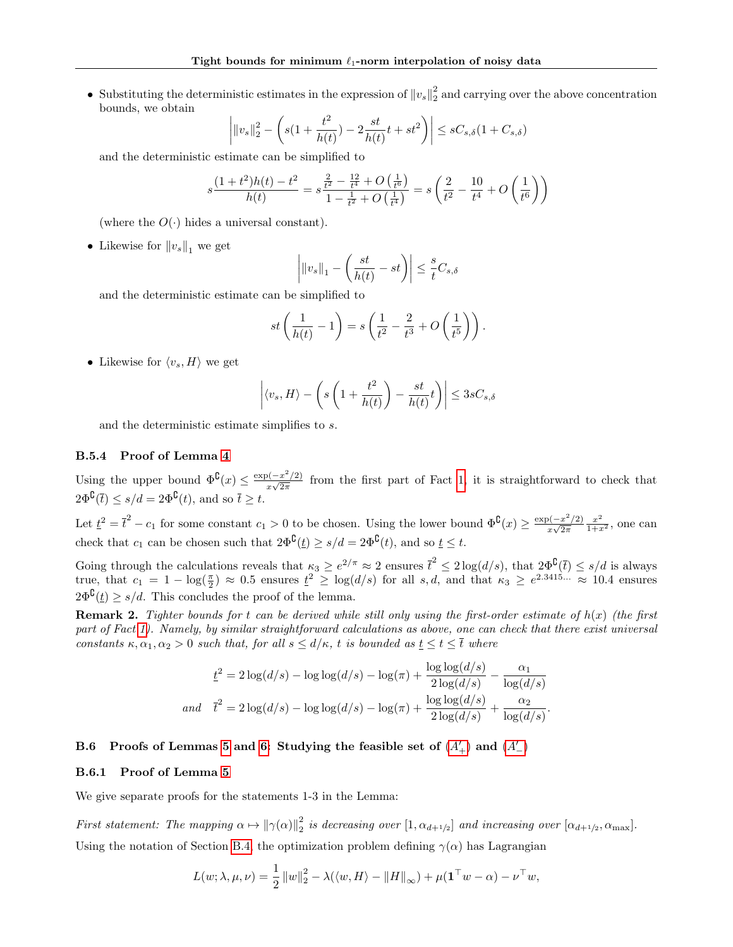• Substituting the deterministic estimates in the expression of  $||v_s||_2^2$  and carrying over the above concentration bounds, we obtain

$$
\left| \|v_s\|_2^2 - \left( s(1 + \frac{t^2}{h(t)}) - 2\frac{st}{h(t)}t + st^2 \right) \right| \le sC_{s,\delta}(1 + C_{s,\delta})
$$

and the deterministic estimate can be simplified to

$$
s\frac{(1+t^2)h(t) - t^2}{h(t)} = s\frac{\frac{2}{t^2} - \frac{12}{t^4} + O\left(\frac{1}{t^6}\right)}{1 - \frac{1}{t^2} + O\left(\frac{1}{t^4}\right)} = s\left(\frac{2}{t^2} - \frac{10}{t^4} + O\left(\frac{1}{t^6}\right)\right)
$$

(where the  $O(\cdot)$  hides a universal constant).

• Likewise for  $||v_s||_1$  we get

$$
\left| \|v_s\|_1 - \left(\frac{st}{h(t)} - st\right) \right| \le \frac{s}{t} C_{s,\delta}
$$

and the deterministic estimate can be simplified to

$$
st\left(\frac{1}{h(t)}-1\right) = s\left(\frac{1}{t^2} - \frac{2}{t^3} + O\left(\frac{1}{t^5}\right)\right).
$$

• Likewise for  $\langle v_s, H \rangle$  we get

$$
\left| \langle v_s, H \rangle - \left( s \left( 1 + \frac{t^2}{h(t)} \right) - \frac{st}{h(t)} t \right) \right| \leq 3sC_{s, \delta}
$$

and the deterministic estimate simplifies to s.

# <span id="page-25-1"></span>B.5.4 Proof of Lemma [4](#page-13-5)

Using the upper bound  $\Phi^{\complement}(x) \leq \frac{\exp(-x^2/2)}{x}$  $\frac{\partial(-x^2/2)}{\partial x\sqrt{2\pi}}$  from the first part of Fact [1,](#page-21-1) it is straightforward to check that  $2\Phi^{\complement}(\bar{t}) \leq s/d = 2\Phi^{\complement}(t)$ , and so  $\bar{t} \geq t$ .

Let  $\underline{t}^2 = \overline{t}^2 - c_1$  for some constant  $c_1 > 0$  to be chosen. Using the lower bound  $\Phi^{\complement}(x) \geq \frac{\exp(-x^2/2)}{x\sqrt{2\pi}}$  $rac{y(-x)}{x\sqrt{2\pi}}$  $\frac{x^2}{1+x^2}$ , one can check that  $c_1$  can be chosen such that  $2\Phi^{\complement}(\underline{t}) \geq s/d = 2\Phi^{\complement}(t)$ , and so  $\underline{t} \leq t$ .

Going through the calculations reveals that  $\kappa_3 \geq e^{2/\pi} \approx 2$  ensures  $\bar{t}^2 \leq 2 \log(d/s)$ , that  $2\Phi^{\mathcal{C}}(\bar{t}) \leq s/d$  is always true, that  $c_1 = 1 - \log(\frac{\pi}{2}) \approx 0.5$  ensures  $\underline{t}^2 \geq \log(d/s)$  for all  $s, d$ , and that  $\kappa_3 \geq e^{2.3415...} \approx 10.4$  ensures  $2\Phi^{\mathcal{C}}(t) \geq s/d$ . This concludes the proof of the lemma.

**Remark 2.** Tighter bounds for t can be derived while still only using the first-order estimate of  $h(x)$  (the first part of Fact [1\)](#page-21-1). Namely, by similar straightforward calculations as above, one can check that there exist universal constants  $\kappa, \alpha_1, \alpha_2 > 0$  such that, for all  $s \le d/\kappa$ , t is bounded as  $t \le t \le \overline{t}$  where

$$
\underline{t}^2 = 2\log(d/s) - \log\log(d/s) - \log(\pi) + \frac{\log\log(d/s)}{2\log(d/s)} - \frac{\alpha_1}{\log(d/s)}
$$
  
and 
$$
\overline{t}^2 = 2\log(d/s) - \log\log(d/s) - \log(\pi) + \frac{\log\log(d/s)}{2\log(d/s)} + \frac{\alpha_2}{\log(d/s)}.
$$

# <span id="page-25-0"></span>B.6 Proofs of Lemmas [5](#page-15-0) and [6:](#page-15-1) Studying the feasible set of  $(A'_+)$  $(A'_+)$  $(A'_+)$  and  $(A'_{-})$

# B.6.1 Proof of Lemma [5](#page-15-0)

We give separate proofs for the statements 1-3 in the Lemma:

First statement: The mapping  $\alpha \mapsto ||\gamma(\alpha)||_2^2$  is decreasing over  $[1, \alpha_{d+1/2}]$  and increasing over  $[\alpha_{d+1/2}, \alpha_{\text{max}}]$ . Using the notation of Section [B.4,](#page-19-0) the optimization problem defining  $\gamma(\alpha)$  has Lagrangian

$$
L(w; \lambda, \mu, \nu) = \frac{1}{2} ||w||_2^2 - \lambda(\langle w, H \rangle - ||H||_{\infty}) + \mu(\mathbf{1}^\top w - \alpha) - \nu^\top w,
$$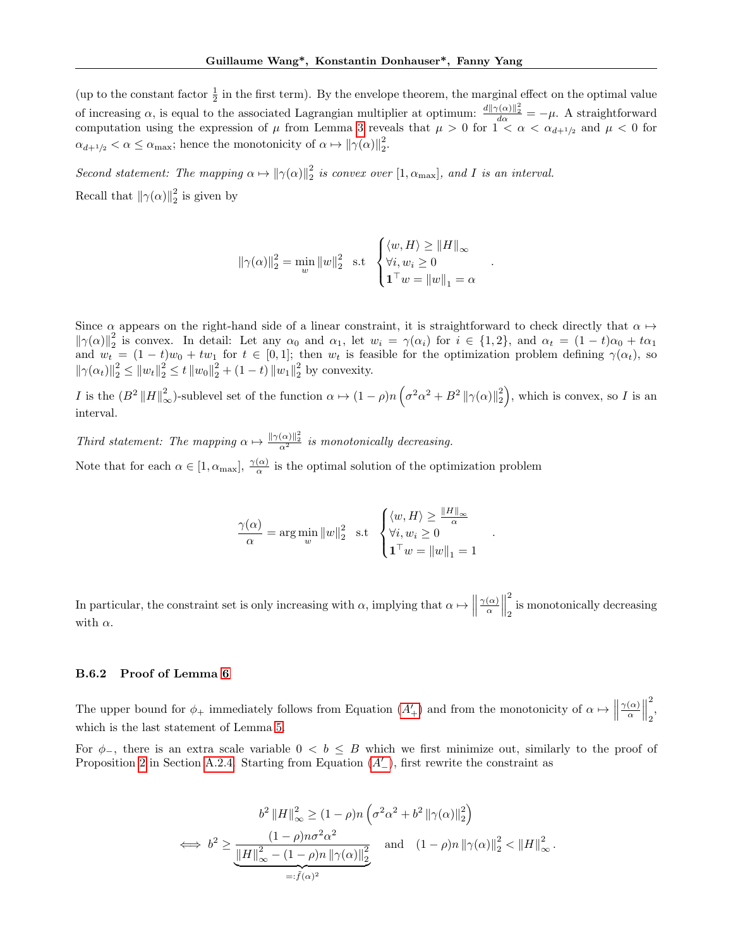(up to the constant factor  $\frac{1}{2}$  in the first term). By the envelope theorem, the marginal effect on the optimal value of increasing  $\alpha$ , is equal to the associated Lagrangian multiplier at optimum:  $\frac{d||\gamma(\alpha)||_2^2}{d\alpha} = -\mu$ . A straightforward computation using the expression of  $\mu$  from Lemma [3](#page-13-0) reveals that  $\mu > 0$  for  $1 < \alpha < \alpha_{d+1/2}$  and  $\mu < 0$  for  $\alpha_{d+1/2} < \alpha \le \alpha_{\text{max}}$ ; hence the monotonicity of  $\alpha \mapsto ||\gamma(\alpha)||_2^2$ .

Second statement: The mapping  $\alpha \mapsto ||\gamma(\alpha)||_2^2$  is convex over  $[1, \alpha_{\text{max}}]$ , and I is an interval. Recall that  $\|\gamma(\alpha)\|_2^2$  is given by

$$
\|\gamma(\alpha)\|_2^2 = \min_{w} \|w\|_2^2 \quad \text{s.t} \quad \begin{cases} \langle w, H \rangle \ge \|H\|_{\infty} \\ \forall i, w_i \ge 0 \\ \mathbf{1}^\top w = \|w\|_1 = \alpha \end{cases}.
$$

Since  $\alpha$  appears on the right-hand side of a linear constraint, it is straightforward to check directly that  $\alpha \mapsto$  $\|\gamma(\alpha)\|_2^2$  is convex. In detail: Let any  $\alpha_0$  and  $\alpha_1$ , let  $w_i = \gamma(\alpha_i)$  for  $i \in \{1,2\}$ , and  $\alpha_t = (1-t)\alpha_0 + t\alpha_1$ and  $w_t = (1-t)w_0 + tw_1$  for  $t \in [0,1]$ ; then  $w_t$  is feasible for the optimization problem defining  $\gamma(\alpha_t)$ , so  $\|\gamma(\alpha_t)\|_2^2 \le \|w_t\|_2^2 \le t \|w_0\|_2^2 + (1-t) \|w_1\|_2^2$  by convexity.

I is the  $(B^2 ||H||^2_{\infty})$ -sublevel set of the function  $\alpha \mapsto (1 - \rho)n \left(\sigma^2 \alpha^2 + B^2 ||\gamma(\alpha)||_2^2\right)$ , which is convex, so I is an interval.

Third statement: The mapping  $\alpha \mapsto \frac{\|\gamma(\alpha)\|_2^2}{\alpha^2}$  is monotonically decreasing. Note that for each  $\alpha \in [1, \alpha_{\text{max}}], \frac{\gamma(\alpha)}{\alpha}$  is the optimal solution of the optimization problem

$$
\frac{\gamma(\alpha)}{\alpha} = \arg\min_w \|w\|_2^2 \quad \text{s.t} \quad \begin{cases} \langle w, H \rangle \ge \frac{\|H\|_\infty}{\alpha} \\ \forall i, w_i \ge 0 \\ \mathbf{1}^\top w = \|w\|_1 = 1 \end{cases}
$$

.

In particular, the constraint set is only increasing with  $\alpha$ , implying that  $\alpha \mapsto$  $\gamma(\alpha)$  $\frac{(\alpha)}{\alpha}$ 2 2 is monotonically decreasing with  $\alpha$ .

#### B.6.2 Proof of Lemma [6](#page-15-1)

The upper bound for  $\phi_+$  immediately follows from Equation  $(A'_+)$  $(A'_+)$  $(A'_+)$  and from the monotonicity of  $\alpha \mapsto \|\cdot\|$  $\gamma(\alpha)$  $\frac{(\alpha)}{\alpha}$ 2 <sup>2</sup> which is the last statement of Lemma [5.](#page-15-0)

For  $\phi$ <sub>-</sub>, there is an extra scale variable  $0 < b \leq B$  which we first minimize out, similarly to the proof of Proposition [2](#page-11-0) in Section [A.2.4.](#page-13-4) Starting from Equation  $(A'_{-})$  $(A'_{-})$  $(A'_{-})$ , first rewrite the constraint as

$$
b^{2} ||H||_{\infty}^{2} \ge (1 - \rho) n \left( \sigma^{2} \alpha^{2} + b^{2} ||\gamma(\alpha)||_{2}^{2} \right)
$$
  

$$
\iff b^{2} \ge \underbrace{\frac{(1 - \rho) n \sigma^{2} \alpha^{2}}{||H||_{\infty}^{2} - (1 - \rho) n ||\gamma(\alpha)||_{2}^{2}}}_{=: \tilde{f}(\alpha)^{2}} \text{ and } (1 - \rho) n ||\gamma(\alpha)||_{2}^{2} < ||H||_{\infty}^{2}.
$$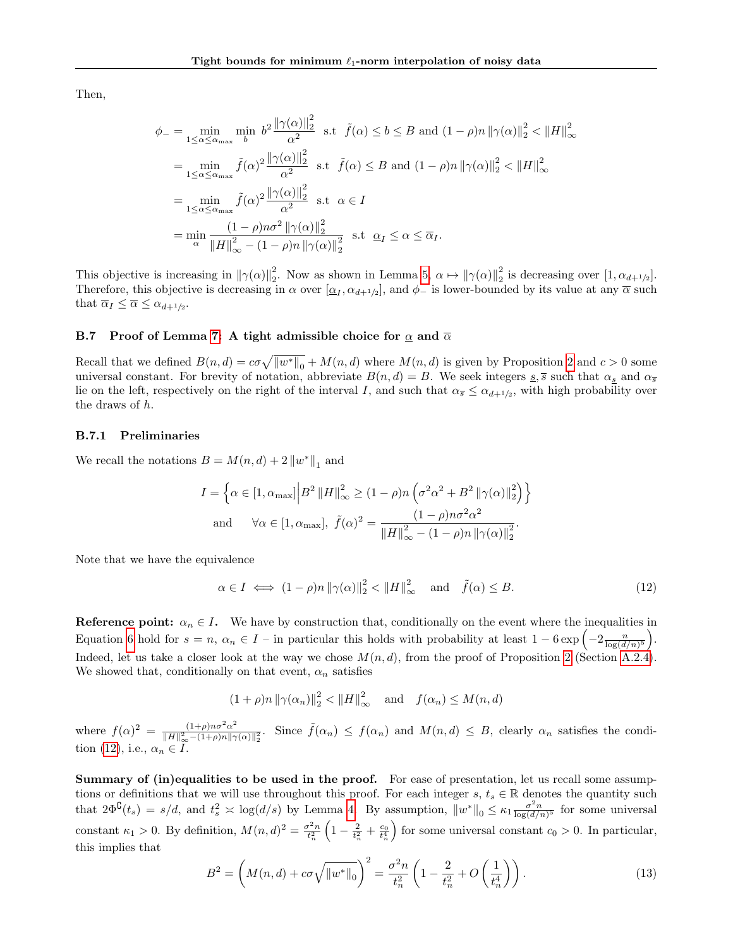Then,

$$
\phi_{-} = \min_{1 \leq \alpha \leq \alpha_{\text{max}}} \min_{b} b^{2} \frac{\|\gamma(\alpha)\|_{2}^{2}}{\alpha^{2}} \text{ s.t } \tilde{f}(\alpha) \leq b \leq B \text{ and } (1 - \rho)n \|\gamma(\alpha)\|_{2}^{2} < \|H\|_{\infty}^{2}
$$
  
\n
$$
= \min_{1 \leq \alpha \leq \alpha_{\text{max}}} \tilde{f}(\alpha)^{2} \frac{\|\gamma(\alpha)\|_{2}^{2}}{\alpha^{2}} \text{ s.t } \tilde{f}(\alpha) \leq B \text{ and } (1 - \rho)n \|\gamma(\alpha)\|_{2}^{2} < \|H\|_{\infty}^{2}
$$
  
\n
$$
= \min_{1 \leq \alpha \leq \alpha_{\text{max}}} \tilde{f}(\alpha)^{2} \frac{\|\gamma(\alpha)\|_{2}^{2}}{\alpha^{2}} \text{ s.t } \alpha \in I
$$
  
\n
$$
= \min_{\alpha} \frac{(1 - \rho)n\sigma^{2} \|\gamma(\alpha)\|_{2}^{2}}{\|H\|_{\infty}^{2} - (1 - \rho)n \|\gamma(\alpha)\|_{2}^{2}} \text{ s.t } \alpha \leq \overline{\alpha}_{I}.
$$

This objective is increasing in  $\|\gamma(\alpha)\|_2^2$ . Now as shown in Lemma [5,](#page-15-0)  $\alpha \mapsto \|\gamma(\alpha)\|_2^2$  is decreasing over  $[1, \alpha_{d+1/2}]$ . Therefore, this objective is decreasing in  $\alpha$  over  $[\underline{\alpha}_I, \alpha_{d+1/2}]$ , and  $\phi_-$  is lower-bounded by its value at any  $\overline{\alpha}$  such that  $\overline{\alpha}_I \leq \overline{\alpha} \leq \alpha_{d+1/2}$ .

# <span id="page-27-0"></span>B.7 Proof of Lemma [7:](#page-15-2) A tight admissible choice for  $\alpha$  and  $\overline{\alpha}$

Recall that we defined  $B(n,d) = c\sigma\sqrt{||w^*||_0} + M(n,d)$  where  $M(n,d)$  is given by Proposition [2](#page-11-0) and  $c > 0$  some universal constant. For brevity of notation, abbreviate  $B(n, d) = B$ . We seek integers  $s, \overline{s}$  such that  $\alpha_s$  and  $\alpha_{\overline{s}}$ lie on the left, respectively on the right of the interval I, and such that  $\alpha_{\bar{s}} \leq \alpha_{d+1/2}$ , with high probability over the draws of h.

# B.7.1 Preliminaries

We recall the notations  $B = M(n, d) + 2 ||w^*||_1$  and

$$
I = \left\{ \alpha \in [1, \alpha_{\text{max}}] \middle| B^2 \left\| H \right\|_{\infty}^2 \ge (1 - \rho) n \left( \sigma^2 \alpha^2 + B^2 \left\| \gamma(\alpha) \right\|_2^2 \right) \right\}
$$
  
and  $\forall \alpha \in [1, \alpha_{\text{max}}], \ \tilde{f}(\alpha)^2 = \frac{(1 - \rho) n \sigma^2 \alpha^2}{\left\| H \right\|_{\infty}^2 - (1 - \rho) n \left\| \gamma(\alpha) \right\|_2^2}.$ 

Note that we have the equivalence

<span id="page-27-1"></span>
$$
\alpha \in I \iff (1 - \rho)n \|\gamma(\alpha)\|_2^2 < \|H\|_{\infty}^2 \quad \text{and} \quad \tilde{f}(\alpha) \le B. \tag{12}
$$

**Reference point:**  $\alpha_n \in I$ . We have by construction that, conditionally on the event where the inequalities in Equation [6](#page-13-6) hold for  $s = n$ ,  $\alpha_n \in I$  – in particular this holds with probability at least  $1 - 6 \exp\left(-2 \frac{n}{\log(d/n)^5}\right)$ . Indeed, let us take a closer look at the way we chose  $M(n, d)$ , from the proof of Proposition [2](#page-11-0) (Section [A.2.4\)](#page-13-4). We showed that, conditionally on that event,  $\alpha_n$  satisfies

> $(1+\rho)n \|\gamma(\alpha_n)\|_2^2 < \|H\|_{\infty}^2$  $\frac{2}{2} < ||H||_{\infty}^{2}$  and  $f(\alpha_{n}) \leq M(n, d)$

where  $f(\alpha)^2 = \frac{(1+\rho)n\sigma^2\alpha^2}{\|H\|^2 - (1+\rho)n\|^2}$  $\frac{(1+\rho)n\sigma^2\alpha^2}{\|H\|_{\infty}^2-(1+\rho)n\|\gamma(\alpha)\|_{2}^2}$ . Since  $\tilde{f}(\alpha_n) \leq f(\alpha_n)$  and  $M(n,d) \leq B$ , clearly  $\alpha_n$  satisfies the condi-tion [\(12\)](#page-27-1), i.e.,  $\alpha_n \in I$ .

Summary of (in)equalities to be used in the proof. For ease of presentation, let us recall some assumptions or definitions that we will use throughout this proof. For each integer s,  $t_s \in \mathbb{R}$  denotes the quantity such that  $2\Phi^{\mathbf{C}}(t_s) = s/d$ , and  $t_s^2 \approx \log(d/s)$  by Lemma [4.](#page-13-5) By assumption,  $||w^*||_0 \leq \kappa_1 \frac{\sigma^2 n}{\log(d/n)^5}$  for some universal constant  $\kappa_1 > 0$ . By definition,  $M(n, d)^2 = \frac{\sigma^2 n}{t_n^2}$  $\left(1-\frac{2}{t_n^2}+\frac{c_0}{t_n^4}\right)$ for some universal constant  $c_0 > 0$ . In particular, this implies that

<span id="page-27-2"></span>
$$
B^{2} = \left( M(n,d) + c\sigma \sqrt{\|w^*\|_0} \right)^2 = \frac{\sigma^2 n}{t_n^2} \left( 1 - \frac{2}{t_n^2} + O\left(\frac{1}{t_n^4}\right) \right). \tag{13}
$$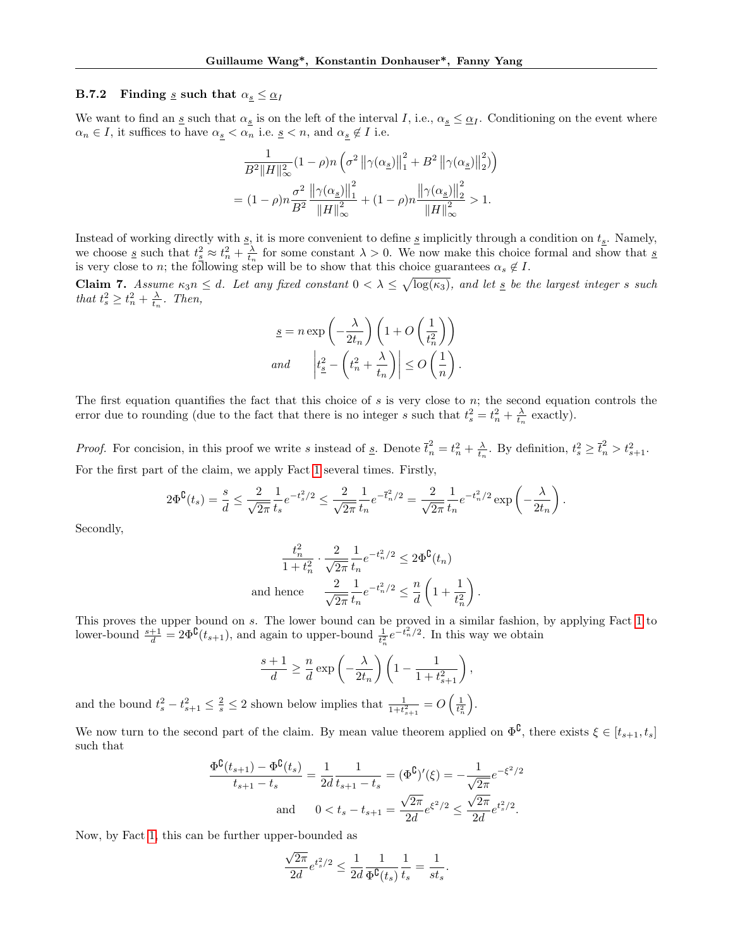# B.7.2 Finding s such that  $\alpha_s \leq \alpha_I$

We want to find an <u>s</u> such that  $\alpha_{s}$  is on the left of the interval I, i.e.,  $\alpha_{s} \leq \alpha_{I}$ . Conditioning on the event where  $\alpha_n \in I$ , it suffices to have  $\alpha_{\underline{s}} < \alpha_n$  i.e.  $\underline{s} < n$ , and  $\alpha_{\underline{s}} \notin I$  i.e.

$$
\begin{split} &\frac{1}{B^2\|H\|_\infty^2}(1-\rho)n\left(\sigma^2\left\|\gamma(\alpha_{\underline{s}})\right\|_1^2+B^2\left\|\gamma(\alpha_{\underline{s}})\right\|_2^2\right)\right)\\ &=(1-\rho)n\frac{\sigma^2}{B^2}\frac{\left\|\gamma(\alpha_{\underline{s}})\right\|_1^2}{\|H\|_\infty^2}+(1-\rho)n\frac{\left\|\gamma(\alpha_{\underline{s}})\right\|_2^2}{\|H\|_\infty^2}>1. \end{split}
$$

Instead of working directly with  $\underline{s}$ , it is more convenient to define  $\underline{s}$  implicitly through a condition on  $t_{\underline{s}}$ . Namely, we choose <u>s</u> such that  $t_s^2 \approx t_n^2 + \frac{\lambda}{t_n}$  for some constant  $\lambda > 0$ . We now make this choice formal and show that s is very close to n; the following step will be to show that this choice guarantees  $\alpha_s \notin I$ .

<span id="page-28-0"></span>**Claim 7.** Assume  $\kappa_3 n \leq d$ . Let any fixed constant  $0 < \lambda \leq \sqrt{\log(\kappa_3)}$ , and let  $\underline{s}$  be the largest integer s such that  $t_s^2 \geq t_n^2 + \frac{\lambda}{t_n}$ . Then,

$$
\underline{s} = n \exp\left(-\frac{\lambda}{2t_n}\right) \left(1 + O\left(\frac{1}{t_n^2}\right)\right)
$$
  
and 
$$
\left|t_{\underline{s}}^2 - \left(t_n^2 + \frac{\lambda}{t_n}\right)\right| \le O\left(\frac{1}{n}\right).
$$

The first equation quantifies the fact that this choice of  $s$  is very close to  $n$ ; the second equation controls the error due to rounding (due to the fact that there is no integer s such that  $t_s^2 = t_n^2 + \frac{\lambda}{t_n}$  exactly).

*Proof.* For concision, in this proof we write s instead of <u>s</u>. Denote  $\bar{t}_n^2 = t_n^2 + \frac{\lambda}{t_n}$ . By definition,  $t_s^2 \geq \bar{t}_n^2 > t_{s+1}^2$ . For the first part of the claim, we apply Fact [1](#page-21-1) several times. Firstly,

$$
2\Phi^{\complement}(t_s) = \frac{s}{d} \leq \frac{2}{\sqrt{2\pi}} \frac{1}{t_s} e^{-t_s^2/2} \leq \frac{2}{\sqrt{2\pi}} \frac{1}{t_n} e^{-\bar{t}_n^2/2} = \frac{2}{\sqrt{2\pi}} \frac{1}{t_n} e^{-t_n^2/2} \exp\left(-\frac{\lambda}{2t_n}\right).
$$

Secondly,

$$
\frac{t_n^2}{1+t_n^2} \cdot \frac{2}{\sqrt{2\pi}} \frac{1}{t_n} e^{-t_n^2/2} \le 2\Phi^{\complement}(t_n)
$$
  
and hence 
$$
\frac{2}{\sqrt{2\pi}} \frac{1}{t_n} e^{-t_n^2/2} \le \frac{n}{d} \left(1 + \frac{1}{t_n^2}\right).
$$

This proves the upper bound on s. The lower bound can be proved in a similar fashion, by applying Fact [1](#page-21-1) to lower-bound  $\frac{s+1}{d} = 2\Phi^{\complement}(t_{s+1})$ , and again to upper-bound  $\frac{1}{t_n^2}e^{-t_n^2/2}$ . In this way we obtain

$$
\frac{s+1}{d} \ge \frac{n}{d} \exp\left(-\frac{\lambda}{2t_n}\right) \left(1 - \frac{1}{1 + t_{s+1}^2}\right),\,
$$

and the bound  $t_s^2 - t_{s+1}^2 \leq \frac{2}{s} \leq 2$  shown below implies that  $\frac{1}{1+t_{s+1}^2} = O\left(\frac{1}{t_n^2}\right)$ .

We now turn to the second part of the claim. By mean value theorem applied on  $\Phi^{\complement}$ , there exists  $\xi \in [t_{s+1}, t_s]$ such that

$$
\frac{\Phi^{\complement}(t_{s+1}) - \Phi^{\complement}(t_s)}{t_{s+1} - t_s} = \frac{1}{2d} \frac{1}{t_{s+1} - t_s} = (\Phi^{\complement})'(\xi) = -\frac{1}{\sqrt{2\pi}} e^{-\xi^2/2}
$$
  
and 
$$
0 < t_s - t_{s+1} = \frac{\sqrt{2\pi}}{2d} e^{\xi^2/2} \le \frac{\sqrt{2\pi}}{2d} e^{t_s^2/2}.
$$

Now, by Fact [1,](#page-21-1) this can be further upper-bounded as

$$
\frac{\sqrt{2\pi}}{2d}e^{t_s^2/2} \le \frac{1}{2d} \frac{1}{\Phi^{\text{C}}(t_s)} \frac{1}{t_s} = \frac{1}{st_s}.
$$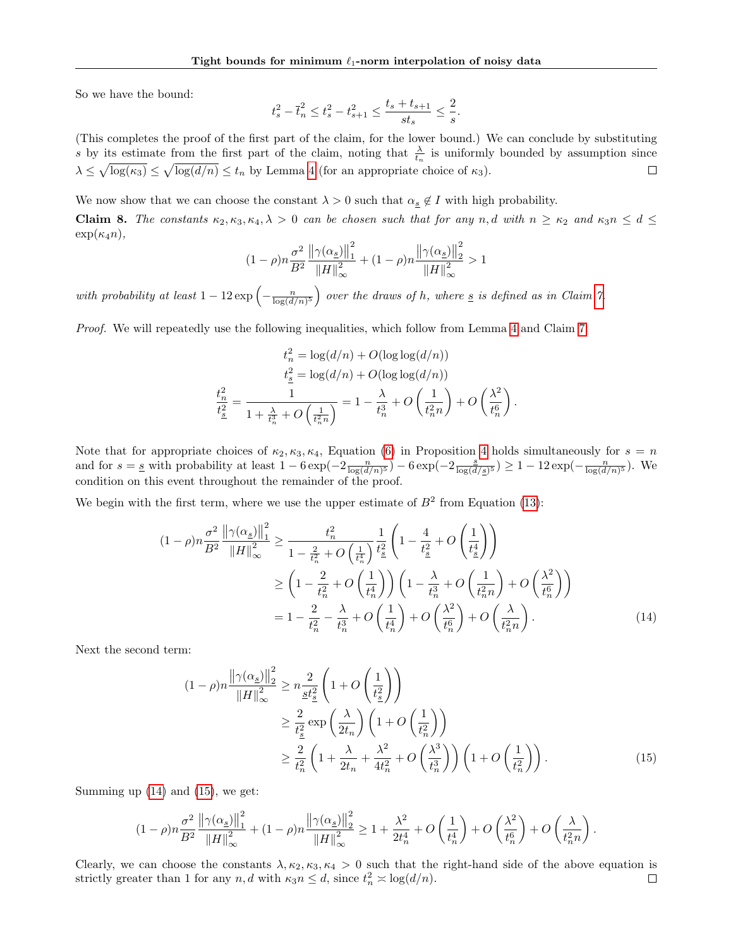So we have the bound:

$$
t_s^2 - \bar{t}_n^2 \leq t_s^2 - t_{s+1}^2 \leq \frac{t_s + t_{s+1}}{st_s} \leq \frac{2}{s}.
$$

(This completes the proof of the first part of the claim, for the lower bound.) We can conclude by substituting s by its estimate from the first part of the claim, noting that  $\frac{\lambda}{t_n}$  is uniformly bounded by assumption since  $\lambda \leq \sqrt{\log(\kappa_3)} \leq \sqrt{\log(d/n)} \leq t_n$  by Lemma [4](#page-13-5) (for an appropriate choice of  $\kappa_3$ ).

We now show that we can choose the constant  $\lambda > 0$  such that  $\alpha_{\underline{s}} \notin I$  with high probability.

Claim 8. The constants  $\kappa_2, \kappa_3, \kappa_4, \lambda > 0$  can be chosen such that for any n, d with  $n \geq \kappa_2$  and  $\kappa_3 n \leq d \leq$  $\exp(\kappa_4 n),$ 

$$
(1-\rho)n\frac{\sigma^2}{B^2}\frac{\left\|\gamma(\alpha_{\underline{s}})\right\|_1^2}{\left\|H\right\|_\infty^2}+(1-\rho)n\frac{\left\|\gamma(\alpha_{\underline{s}})\right\|_2^2}{\left\|H\right\|_\infty^2}>1
$$

with probability at least  $1-12 \exp\left(-\frac{n}{\log(d/n)^5}\right)$  over the draws of h, where  $\underline{s}$  is defined as in Claim [7.](#page-28-0)

Proof. We will repeatedly use the following inequalities, which follow from Lemma [4](#page-13-5) and Claim [7:](#page-28-0)

$$
t_n^2 = \log(d/n) + O(\log \log(d/n))
$$
  
\n
$$
t_{\underline{s}}^2 = \log(d/n) + O(\log \log(d/n))
$$
  
\n
$$
\frac{t_n^2}{t_{\underline{s}}^2} = \frac{1}{1 + \frac{\lambda}{t_n^3} + O\left(\frac{1}{t_n^2 n}\right)} = 1 - \frac{\lambda}{t_n^3} + O\left(\frac{1}{t_n^2 n}\right) + O\left(\frac{\lambda^2}{t_n^6}\right).
$$

Note that for appropriate choices of  $\kappa_2, \kappa_3, \kappa_4$ , Equation [\(6\)](#page-13-6) in Proposition [4](#page-13-1) holds simultaneously for  $s = n$ and for  $s = s$  with probability at least  $1 - 6 \exp(-2 \frac{n}{\log(d/n)^5}) - 6 \exp(-2 \frac{s}{\log(d/n)^5})$  $\frac{s}{\log(d/s)^5}) \geq 1 - 12 \exp(-\frac{n}{\log(d/n)^5})$ . We condition on this event throughout the remainder of the proof.

We begin with the first term, where we use the upper estimate of  $B<sup>2</sup>$  from Equation [\(13\)](#page-27-2):

$$
(1 - \rho)n\frac{\sigma^2}{B^2} \frac{\left\|\gamma(\alpha_s)\right\|_1^2}{\|H\|_{\infty}^2} \ge \frac{t_n^2}{1 - \frac{2}{t_n^2} + O\left(\frac{1}{t_n^4}\right)} \frac{1}{t_s^2} \left(1 - \frac{4}{t_s^2} + O\left(\frac{1}{t_s^4}\right)\right)
$$
  
\n
$$
\ge \left(1 - \frac{2}{t_n^2} + O\left(\frac{1}{t_n^4}\right)\right) \left(1 - \frac{\lambda}{t_n^3} + O\left(\frac{1}{t_n^2n}\right) + O\left(\frac{\lambda^2}{t_n^6}\right)\right)
$$
  
\n
$$
= 1 - \frac{2}{t_n^2} - \frac{\lambda}{t_n^3} + O\left(\frac{1}{t_n^4}\right) + O\left(\frac{\lambda^2}{t_n^6}\right) + O\left(\frac{\lambda}{t_n^2n}\right).
$$
 (14)

Next the second term:

<span id="page-29-1"></span><span id="page-29-0"></span>
$$
(1 - \rho)n \frac{\left\| \gamma(\alpha_s) \right\|_2^2}{\left\| H \right\|_\infty^2} \ge n \frac{2}{\underline{st}_s^2} \left( 1 + O\left(\frac{1}{t_s^2}\right) \right)
$$
  
\n
$$
\ge \frac{2}{t_s^2} \exp\left(\frac{\lambda}{2t_n}\right) \left( 1 + O\left(\frac{1}{t_n^2}\right) \right)
$$
  
\n
$$
\ge \frac{2}{t_n^2} \left( 1 + \frac{\lambda}{2t_n} + \frac{\lambda^2}{4t_n^2} + O\left(\frac{\lambda^3}{t_n^3}\right) \right) \left( 1 + O\left(\frac{1}{t_n^2}\right) \right).
$$
 (15)

Summing up [\(14\)](#page-29-0) and [\(15\)](#page-29-1), we get:

$$
(1-\rho)n\frac{\sigma^2}{B^2}\frac{\left\|\gamma(\alpha_{\underline{s}})\right\|_1^2}{\left\|H\right\|_{\infty}^2}+(1-\rho)n\frac{\left\|\gamma(\alpha_{\underline{s}})\right\|_2^2}{\left\|H\right\|_{\infty}^2}\geq 1+\frac{\lambda^2}{2t_n^4}+O\left(\frac{1}{t_n^4}\right)+O\left(\frac{\lambda^2}{t_n^6}\right)+O\left(\frac{\lambda}{t_n^2n}\right).
$$

Clearly, we can choose the constants  $\lambda, \kappa_2, \kappa_3, \kappa_4 > 0$  such that the right-hand side of the above equation is strictly greater than 1 for any  $n, d$  with  $\kappa_3 n \leq d$ , since  $t_n^2 \approx \log(d/n)$ .  $\Box$